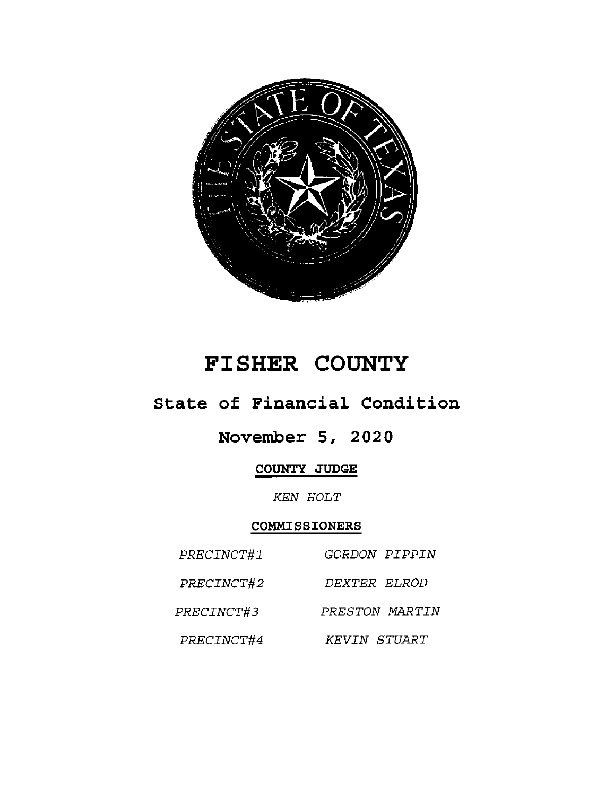

# FISHER COUNTY

## State of Financial Condition

## November 5, 2020

COUNTY JUDGE

KEN HOLT

## COMMISSIONERS

| PRECINCT#1 | <i>GORDON PIPPIN</i> |
|------------|----------------------|
| PRECINCT#2 | <i>DEXTER ELROD</i>  |
| PRECINCT#3 | PRESTON MARTIN       |
| PRECINCT#4 | KEVIN STUART         |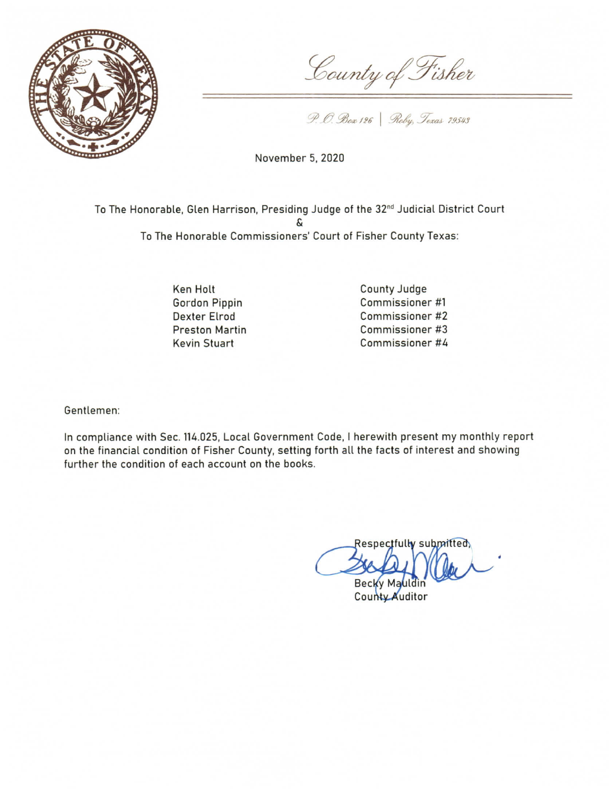

County of Fisher

P. O. Box 126 | Roby, Texas 79543

November 5, 2020

To The Honorable, Glen Harrison, Presiding Judge of the 32<sup>nd</sup> Judicial District Court To The Honorable Commissioners' Court of Fisher County Texas:

> **Ken Holt** Gordon Pippin **Dexter Elrod Preston Martin Kevin Stuart**

County Judge Commissioner #1 Commissioner #2 Commissioner #3 Commissioner #4

Gentlemen:

In compliance with Sec. 114.025, Local Government Code, I herewith present my monthly report on the financial condition of Fisher County, setting forth all the facts of interest and showing further the condition of each account on the books.

Respectfully submitted **Becky Ma** 

County Auditor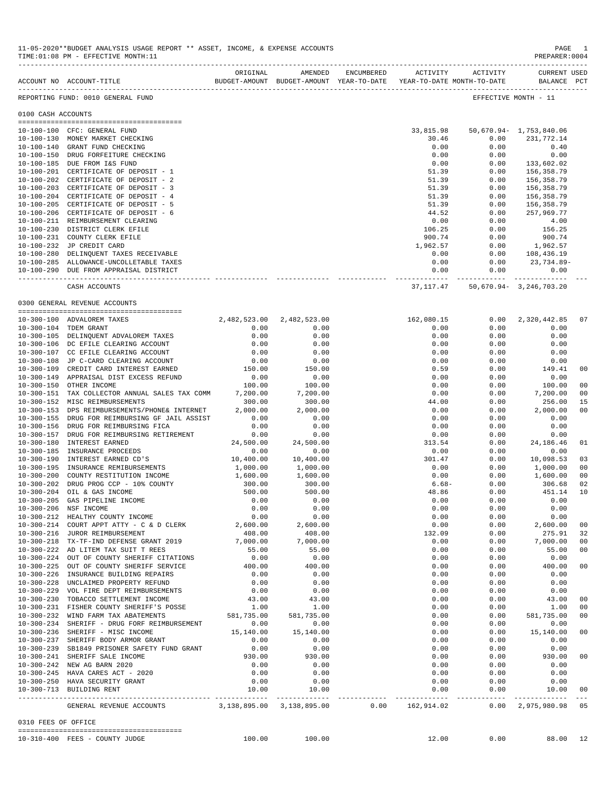|                     | ACCOUNT NO ACCOUNT-TITLE                                                        |                    | BUDGET-AMOUNT BUDGET-AMOUNT YEAR-TO-DATE | YEAR-TO-DATE MONTH-TO-DATE |              | BALANCE PCT                               |                      |
|---------------------|---------------------------------------------------------------------------------|--------------------|------------------------------------------|----------------------------|--------------|-------------------------------------------|----------------------|
|                     | REPORTING FUND: 0010 GENERAL FUND                                               |                    |                                          |                            |              | EFFECTIVE MONTH - 11                      |                      |
| 0100 CASH ACCOUNTS  |                                                                                 |                    |                                          |                            |              |                                           |                      |
|                     |                                                                                 |                    |                                          |                            |              |                                           |                      |
|                     | 10-100-100 CFC: GENERAL FUND                                                    |                    |                                          |                            |              | 33,815.98 50,670.94 - 1,753,840.06        |                      |
|                     | 10-100-130 MONEY MARKET CHECKING                                                |                    |                                          | 30.46                      | 0.00         | 231,772.14                                |                      |
|                     | 10-100-140 GRANT FUND CHECKING                                                  |                    |                                          | 0.00                       | 0.00         | 0.40                                      |                      |
|                     | 10-100-150 DRUG FORFEITURE CHECKING                                             |                    |                                          | 0.00                       | 0.00         | 0.00                                      |                      |
|                     | 10-100-185 DUE FROM I&S FUND                                                    |                    |                                          | 0.00                       | 0.00         | 133,602.02                                |                      |
|                     | 10-100-201 CERTIFICATE OF DEPOSIT - 1                                           |                    |                                          | 51.39                      | 0.00         | 156,358.79                                |                      |
|                     | 10-100-202 CERTIFICATE OF DEPOSIT - 2<br>10-100-203 CERTIFICATE OF DEPOSIT - 3  |                    |                                          | 51.39                      | 0.00<br>0.00 | 156,358.79                                |                      |
|                     | 10-100-204 CERTIFICATE OF DEPOSIT - 4                                           |                    |                                          | 51.39<br>51.39             | 0.00         | 156,358.79<br>156,358.79                  |                      |
|                     | 10-100-205 CERTIFICATE OF DEPOSIT - 5                                           |                    |                                          | 51.39                      | 0.00         | 156,358.79                                |                      |
|                     | 10-100-206 CERTIFICATE OF DEPOSIT - 6                                           |                    |                                          | 44.52                      | 0.00         | 257,969.77                                |                      |
|                     | 10-100-211 REIMBURSEMENT CLEARING                                               |                    |                                          | 0.00                       | 0.00         | 4.00                                      |                      |
|                     | 10-100-230 DISTRICT CLERK EFILE                                                 |                    |                                          | 106.25                     | 0.00         | 156.25                                    |                      |
|                     | 10-100-231 COUNTY CLERK EFILE                                                   |                    |                                          | 900.74                     | 0.00         | 900.74                                    |                      |
|                     | 10-100-232 JP CREDIT CARD                                                       |                    |                                          | 1,962.57                   | 0.00         | 1,962.57                                  |                      |
|                     | 10-100-280 DELINQUENT TAXES RECEIVABLE                                          |                    |                                          | 0.00                       | 0.00         | 108,436.19                                |                      |
|                     | 10-100-285 ALLOWANCE-UNCOLLETABLE TAXES                                         |                    |                                          | 0.00                       | 0.00         | 23,734.89-                                |                      |
|                     | 10-100-290 DUE FROM APPRAISAL DISTRICT                                          |                    |                                          | 0.00                       | 0.00         | 0.00                                      |                      |
|                     | CASH ACCOUNTS                                                                   |                    |                                          |                            |              | 37, 117. 47 50, 670. 94 - 3, 246, 703. 20 |                      |
|                     |                                                                                 |                    |                                          |                            |              |                                           |                      |
|                     | 0300 GENERAL REVENUE ACCOUNTS                                                   |                    |                                          |                            |              |                                           |                      |
|                     | 10-300-100 ADVALOREM TAXES                                                      |                    | 2,482,523.00 2,482,523.00                | 162,080.15                 | 0.00         | 2,320,442.85                              | 07                   |
|                     | 10-300-104 TDEM GRANT                                                           | 0.00               | 0.00                                     | 0.00                       | 0.00         | 0.00                                      |                      |
|                     | 10-300-105 DELINQUENT ADVALOREM TAXES                                           | 0.00               | 0.00                                     | 0.00                       | 0.00         | 0.00                                      |                      |
|                     | 10-300-106 DC EFILE CLEARING ACCOUNT                                            | 0.00               | 0.00                                     | 0.00                       | 0.00         | 0.00                                      |                      |
|                     | 10-300-107 CC EFILE CLEARING ACCOUNT                                            | 0.00               | 0.00                                     | 0.00                       | 0.00         | 0.00                                      |                      |
|                     | 10-300-108 JP C-CARD CLEARING ACCOUNT                                           | 0.00               | 0.00                                     | 0.00                       | 0.00         | 0.00                                      |                      |
|                     | 10-300-109 CREDIT CARD INTEREST EARNED                                          | 150.00             | 150.00                                   | 0.59                       | 0.00         | 149.41                                    | 0 <sub>0</sub>       |
|                     | 10-300-149 APPRAISAL DIST EXCESS REFUND                                         | 0.00               | 0.00                                     | 0.00                       | 0.00         | 0.00                                      |                      |
|                     | 10-300-150 OTHER INCOME                                                         | 100.00             | 100.00                                   | 0.00                       | 0.00         | 100.00                                    | 0 <sub>0</sub>       |
|                     | 10-300-151 TAX COLLECTOR ANNUAL SALES TAX COMM                                  | 7,200.00           | 7,200.00                                 | 0.00                       | 0.00         | 7,200.00                                  | 0 <sub>0</sub>       |
|                     | 10-300-152 MISC REIMBURSEMENTS<br>10-300-153 DPS REIMBURSEMENTS/PHONE& INTERNET | 300.00<br>2,000.00 | 300.00<br>2,000.00                       | 44.00<br>0.00              | 0.00<br>0.00 | 256.00<br>2,000.00                        | 15<br>0 <sub>0</sub> |
|                     | 10-300-155 DRUG FOR REIMBURSING GF JAIL ASSIST                                  | 0.00               | 0.00                                     | 0.00                       | 0.00         | 0.00                                      |                      |
|                     | 10-300-156 DRUG FOR REIMBURSING FICA                                            | 0.00               | 0.00                                     | 0.00                       | 0.00         | 0.00                                      |                      |
|                     | 10-300-157 DRUG FOR REIMBURSING RETIREMENT                                      | 0.00               | 0.00                                     | 0.00                       | 0.00         | 0.00                                      |                      |
|                     | 10-300-180 INTEREST EARNED                                                      | 24,500.00          | 24,500.00                                | 313.54                     | 0.00         | 24,186.46                                 | 01                   |
|                     | 10-300-185 INSURANCE PROCEEDS                                                   | 0.00               | 0.00                                     | 0.00                       | 0.00         | 0.00                                      |                      |
|                     | 10-300-190 INTEREST EARNED CD'S                                                 | 10,400.00          | 10,400.00                                | 301.47                     | 0.00         | 10,098.53                                 | 03                   |
|                     | 10-300-195 INSURANCE REMIBURSEMENTS                                             | 1,000.00           | 1,000.00                                 | 0.00                       | 0.00         | 1,000.00                                  | 0 <sub>0</sub>       |
|                     | 10-300-200 COUNTY RESTITUTION INCOME                                            | 1,600.00           | 1,600.00                                 | 0.00                       | 0.00         | 1,600.00                                  | 0 <sub>0</sub>       |
|                     | 10-300-202 DRUG PROG CCP - 10% COUNTY                                           | 300.00             | 300.00                                   | $6.68-$                    | 0.00         | 306.68                                    | 02                   |
|                     | 10-300-204 OIL & GAS INCOME                                                     | 500.00             | 500.00                                   | 48.86                      | 0.00         | 451.14                                    | 10                   |
| $10 - 300 - 205$    | GAS PIPELINE INCOME                                                             | 0.00               | 0.00                                     | 0.00                       | 0.00         | 0.00                                      |                      |
|                     | 10-300-206 NSF INCOME                                                           | 0.00               | 0.00                                     | 0.00                       | 0.00         | 0.00                                      |                      |
|                     | 10-300-212 HEALTHY COUNTY INCOME                                                | 0.00               | 0.00                                     | 0.00                       | 0.00         | 0.00                                      |                      |
|                     | 10-300-214 COURT APPT ATTY - C & D CLERK                                        | 2,600.00           | 2,600.00                                 | 0.00                       | 0.00         | 2,600.00                                  | 00                   |
|                     | 10-300-216 JUROR REIMBURSEMENT                                                  | 408.00             | 408.00                                   | 132.09                     | 0.00         | 275.91                                    | 32                   |
|                     | 10-300-218 TX-TF-IND DEFENSE GRANT 2019                                         | 7,000.00           | 7,000.00                                 | 0.00                       | 0.00         | 7,000.00                                  | 0 <sub>0</sub>       |
|                     | 10-300-222 AD LITEM TAX SUIT T REES                                             | 55.00              | 55.00                                    | 0.00                       | 0.00         | 55.00                                     | 0 <sub>0</sub>       |
|                     | 10-300-224 OUT OF COUNTY SHERIFF CITATIONS                                      | 0.00               | 0.00                                     | 0.00                       | 0.00         | 0.00                                      |                      |
|                     | 10-300-225 OUT OF COUNTY SHERIFF SERVICE                                        | 400.00             | 400.00                                   | 0.00                       | 0.00         | 400.00                                    | 0 <sub>0</sub>       |
|                     | 10-300-226 INSURANCE BUILDING REPAIRS                                           | 0.00               | 0.00                                     | 0.00                       | 0.00         | 0.00                                      |                      |
|                     | 10-300-228 UNCLAIMED PROPERTY REFUND                                            | 0.00               | 0.00                                     | 0.00                       | 0.00         | 0.00                                      |                      |
|                     | 10-300-229 VOL FIRE DEPT REIMBURSEMENTS                                         | 0.00               | 0.00                                     | 0.00                       | 0.00         | 0.00                                      |                      |
|                     | 10-300-230 TOBACCO SETTLEMENT INCOME                                            | 43.00              | 43.00                                    | 0.00                       | 0.00         | 43.00                                     | 0 <sub>0</sub>       |
|                     | 10-300-231 FISHER COUNTY SHERIFF'S POSSE                                        | 1.00               | 1.00                                     | 0.00                       | 0.00         | 1.00                                      | 0 <sub>0</sub>       |
|                     | 10-300-232 WIND FARM TAX ABATEMENTS                                             | 581,735.00         | 581,735.00                               | 0.00                       | 0.00         | 581,735.00                                | 0 <sub>0</sub>       |
|                     | 10-300-234 SHERIFF - DRUG FORF REIMBURSEMENT                                    | 0.00               | 0.00                                     | 0.00                       | 0.00         | 0.00                                      |                      |
|                     | 10-300-236 SHERIFF - MISC INCOME                                                | 15,140.00          | 15,140.00                                | 0.00                       | 0.00         | 15,140.00                                 | 0 <sub>0</sub>       |
|                     | 10-300-237 SHERIFF BODY ARMOR GRANT                                             | 0.00               | 0.00                                     | 0.00                       | 0.00<br>0.00 | 0.00                                      |                      |
|                     | 10-300-239 SB1849 PRISONER SAFETY FUND GRANT<br>10-300-241 SHERIFF SALE INCOME  | 0.00<br>930.00     | 0.00<br>930.00                           | 0.00<br>0.00               | 0.00         | 0.00<br>930.00                            | 0 <sub>0</sub>       |
|                     | 10-300-242 NEW AG BARN 2020                                                     | 0.00               | 0.00                                     | 0.00                       | 0.00         | 0.00                                      |                      |
|                     | 10-300-245 HAVA CARES ACT - 2020                                                | 0.00               | 0.00                                     | 0.00                       | 0.00         | 0.00                                      |                      |
|                     | 10-300-250 HAVA SECURITY GRANT                                                  | 0.00               | 0.00                                     | 0.00                       | 0.00         | 0.00                                      |                      |
|                     | 10-300-713 BUILDING RENT                                                        | 10.00              | 10.00                                    | 0.00                       | 0.00         | 10.00                                     | 00                   |
|                     |                                                                                 |                    |                                          |                            |              | ------------                              | $- - -$              |
|                     | GENERAL REVENUE ACCOUNTS 3,138,895.00 3,138,895.00                              |                    |                                          | $0.00$ $162,914.02$        |              | $0.00 \quad 2,975,980.98$                 | 05                   |
| 0310 FEES OF OFFICE |                                                                                 |                    |                                          |                            |              |                                           |                      |
|                     | 10-310-400 FEES - COUNTY JUDGE                                                  | 100.00             | 100.00                                   | 12.00                      | 0.00         | 88.00                                     | 12                   |
|                     |                                                                                 |                    |                                          |                            |              |                                           |                      |

-------------------------------------------------------------------------------------------------------------------------------------------

ORIGINAL AMENDED ENCUMBERED ACTIVITY ACTIVITY CURRENT USED

11-05-2020\*\*BUDGET ANALYSIS USAGE REPORT \*\* ASSET, INCOME, & EXPENSE ACCOUNTS PAGE 1 TIME:  $01:08$  PM - EFFECTIVE MONTH: 11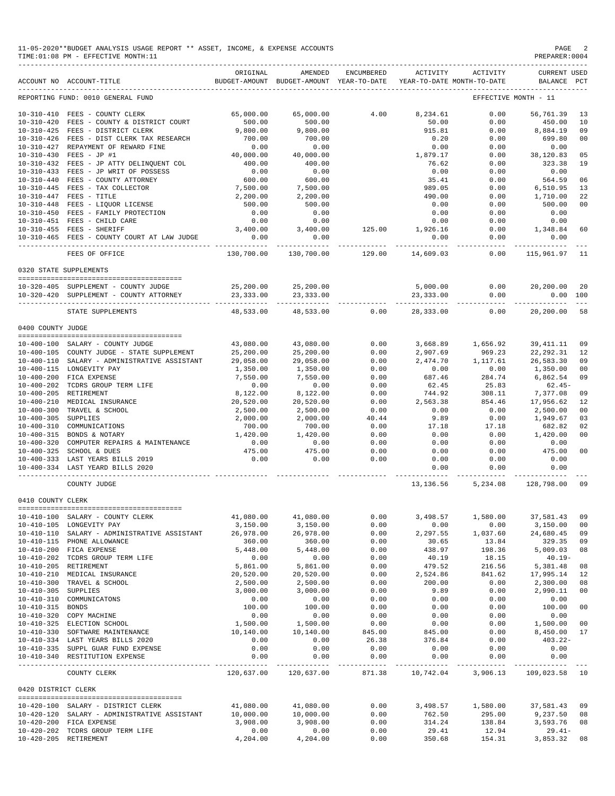| 11-05-2020**BUDGET ANALYSIS USAGE REPORT ** ASSET, INCOME, | & EXPENSE ACCOUNTS | PAGE           |
|------------------------------------------------------------|--------------------|----------------|
| TIME: 01:08 PM - EFFECTIVE MONTH: 11                       |                    | PREPARER: 0004 |
|                                                            |                    |                |

PREPARER:0004 -------------------------------------------------------------------------------------------------------------------------------------------

|                       | ACCOUNT NO ACCOUNT-TITLE                                                                         | ORIGINAL              | AMENDED                            |                           | ENCUMBERED ACTIVITY ACTIVITY<br>BUDGET-AMOUNT BUDGET-AMOUNT YEAR-TO-DATE YEAR-TO-DATE MONTH-TO-DATE |                                | <b>CURRENT USED</b><br>BALANCE PCT                                  |          |
|-----------------------|--------------------------------------------------------------------------------------------------|-----------------------|------------------------------------|---------------------------|-----------------------------------------------------------------------------------------------------|--------------------------------|---------------------------------------------------------------------|----------|
|                       | REPORTING FUND: 0010 GENERAL FUND                                                                |                       |                                    |                           |                                                                                                     |                                | EFFECTIVE MONTH - 11                                                |          |
|                       | 10-310-410 FEES - COUNTY CLERK                                                                   | 65,000.00             | 65,000.00                          | 4.00                      | 8,234.61                                                                                            | 0.00                           | 56,761.39                                                           | 13       |
|                       | 10-310-420 FEES - COUNTY & DISTRICT COURT                                                        | 500.00                | 500.00                             |                           | 50.00                                                                                               | 0.00                           | 450.00                                                              | 10       |
|                       | 10-310-425 FEES - DISTRICT CLERK                                                                 | 9,800.00              | 9,800.00                           |                           | 915.81                                                                                              | 0.00                           | 8,884.19                                                            | 09       |
|                       | 10-310-426 FEES - DIST CLERK TAX RESEARCH                                                        | 700.00                | 700.00                             |                           | 0.20                                                                                                | 0.00                           | 699.80                                                              | 00       |
|                       | 10-310-427 REPAYMENT OF REWARD FINE                                                              | 0.00                  | 0.00                               |                           | 0.00                                                                                                | 0.00                           | 0.00                                                                |          |
|                       | 10-310-430 FEES - JP #1                                                                          | 40,000.00             | 40,000.00                          |                           | 1,879.17                                                                                            | 0.00                           | 38,120.83                                                           | 05       |
|                       | 10-310-432 FEES - JP ATTY DELINQUENT COL<br>10-310-433 FEES - JP WRIT OF POSSESS                 | $400.00$<br>0.00      | 400.00                             |                           | 76.62                                                                                               | 0.00                           | 323.38                                                              | 19       |
|                       |                                                                                                  |                       | $0.00$<br>$600.00$                 |                           | 0.00                                                                                                | 0.00                           | 0.00                                                                |          |
|                       | 10-310-440 FEES - COUNTY ATTORNEY                                                                | $600.00$<br>7,500.00  |                                    |                           | 35.41                                                                                               | 0.00                           | 564.59                                                              | 06       |
|                       | $10-310-445$ FEES - TAX COLLECTOR<br>10-310-447 FEES - TITLE<br>10-310-448 FEES - LIQUOR LICENSE |                       | 7,500.00<br>2,200.00               |                           | 989.05                                                                                              | 0.00                           | 6,510.95<br>1,710.00                                                | 13       |
|                       |                                                                                                  | 2,200.00<br>500.00    | 500.00                             |                           | 490.00<br>0.00                                                                                      | 0.00<br>0.00                   | 500.00                                                              | 22<br>00 |
|                       |                                                                                                  | 0.00                  | 0.00                               |                           | 0.00                                                                                                | 0.00                           | 0.00                                                                |          |
|                       | 10-310-450 FEES - FAMILY PROTECTION                                                              | 0.00                  | 0.00                               |                           | 0.00                                                                                                | 0.00                           | 0.00                                                                |          |
|                       | $10-310-451$ FEES - CHILD CARE<br>$10-310-455$ FEES - SHERIFF                                    | 3,400.00              |                                    | 3,400.00 125.00 1,926.16  |                                                                                                     | 0.00                           | 1,348.84 60                                                         |          |
|                       | 10-310-465 FEES - COUNTY COURT AT LAW JUDGE 0.00                                                 |                       | 0.00                               |                           | 0.00                                                                                                | 0.00                           | 0.00                                                                |          |
|                       | FEES OF OFFICE                                                                                   |                       | 130,700.00 130,700.00 129.00       |                           | ----------- -<br>14,609.03                                                                          | ---------- -                   | $0.00$ 115,961.97 11                                                |          |
|                       |                                                                                                  |                       |                                    |                           |                                                                                                     |                                |                                                                     |          |
|                       | 0320 STATE SUPPLEMENTS                                                                           |                       |                                    |                           |                                                                                                     |                                |                                                                     |          |
|                       | 10-320-405 SUPPLEMENT - COUNTY JUDGE<br>10-320-420 SUPPLEMENT - COUNTY ATTORNEY                  | 23, 333, 00           | 25, 200.00 25, 200.00<br>23,333.00 |                           | 23, 333.00                                                                                          | 0.00                           | 0.00 100                                                            |          |
|                       | STATE SUPPLEMENTS                                                                                | 48,533.00             | ------------                       | 48,533.00 0.00            | .                                                                                                   | ------------<br>28,333.00 0.00 | 20,200.00 58                                                        |          |
| 0400 COUNTY JUDGE     |                                                                                                  |                       |                                    |                           |                                                                                                     |                                |                                                                     |          |
|                       |                                                                                                  |                       |                                    |                           |                                                                                                     |                                |                                                                     |          |
|                       | 10-400-100 SALARY - COUNTY JUDGE                                                                 | 43,080.00             | 43,080.00                          | 0.00                      | 3,668.89                                                                                            | 1,656.92                       | 39,411.11                                                           | 09       |
|                       | 10-400-105 COUNTY JUDGE - STATE SUPPLEMENT                                                       | 25,200.00             | 25,200.00                          | 0.00                      | 2,907.69                                                                                            | 969.23                         | 22, 292.31<br>$2,474.70$ $1,117.61$ $26,583.30$                     | 12       |
|                       | 10-400-110 SALARY - ADMINISTRATIVE ASSISTANT                                                     | 29,058.00             | 29,058.00                          | 0.00                      | 0.00                                                                                                |                                |                                                                     | 09       |
|                       | 10-400-115 LONGEVITY PAY                                                                         | 1,350.00              | 1,350.00                           | 0.00<br>0.00              |                                                                                                     | 0.00                           | 1,350.00                                                            | 00<br>09 |
|                       | 10-400-200 FICA EXPENSE<br>10-400-202 TCDRS GROUP TERM LIFE                                      | 7,550.00<br>0.00      | 7,550.00<br>0.00                   | 0.00                      | 687.46<br>62.45                                                                                     | 284.74<br>25.83                | 6,862.54<br>$62.45-$                                                |          |
|                       | 10-400-205 RETIREMENT                                                                            | 8,122.00              | 8,122.00                           | 0.00                      | 744.92                                                                                              | 308.11                         | 7,377.08                                                            | 09       |
|                       | 10-400-210 MEDICAL INSURANCE                                                                     | 20,520.00             | 20,520.00                          | 0.00                      | 2,563.38                                                                                            | 854.46                         | 17,956.62                                                           | 12       |
|                       | 10-400-300 TRAVEL & SCHOOL                                                                       | 2,500.00              | 2,500.00                           | 0.00                      | 0.00                                                                                                | 0.00                           | 2,500.00                                                            | 00       |
| 10-400-305 SUPPLIES   |                                                                                                  | 2,000.00              | 2,000.00                           | 40.44                     | 9.89                                                                                                | 0.00                           | 1,949.67                                                            | 03       |
|                       | 10-400-310 COMMUNICATIONS                                                                        | 700.00                | 700.00                             | 0.00                      | 17.18                                                                                               | 17.18                          | 682.82                                                              | 02       |
|                       | 10-400-315 BONDS & NOTARY                                                                        | 1,420.00              | 1,420.00                           | 0.00                      | 0.00                                                                                                | 0.00                           | 1,420.00                                                            | 00       |
|                       | 10-400-320 COMPUTER REPAIRS & MAINTENANCE                                                        | 0.00                  | 0.00                               | 0.00                      | 0.00                                                                                                | 0.00                           | 0.00                                                                |          |
|                       | 10-400-325 SCHOOL & DUES                                                                         | 475.00                | 475.00                             | 0.00                      | 0.00                                                                                                | 0.00                           | 475.00                                                              | 00       |
|                       | 10-400-333 LAST YEARS BILLS 2019                                                                 | 0.00                  | 0.00                               | 0.00                      | 0.00                                                                                                | 0.00                           | 0.00                                                                |          |
|                       | 10-400-334 LAST YEARD BILLS 2020                                                                 |                       |                                    |                           | 0.00<br>----------- -                                                                               | 0.00                           | 0.00                                                                |          |
|                       | COUNTY JUDGE                                                                                     |                       |                                    |                           | 13,136.56                                                                                           |                                | 5, 234.08 128, 798.00                                               | 09       |
| 0410 COUNTY CLERK     |                                                                                                  |                       |                                    |                           |                                                                                                     |                                |                                                                     |          |
|                       | 10-410-100 SALARY - COUNTY CLERK                                                                 |                       |                                    |                           |                                                                                                     |                                | $41,080.00$ $41,080.00$ $0.00$ $3,498.57$ $1,580.00$ $37,581.43$ 09 |          |
|                       | 10-410-105 LONGEVITY PAY                                                                         | 3,150.00              | 3,150.00                           | 0.00                      | 0.00                                                                                                | 0.00                           | 3,150.00 00                                                         |          |
|                       | 10-410-110 SALARY - ADMINISTRATIVE ASSISTANT                                                     | 26,978.00             | 26,978.00                          | 0.00                      | 2,297.55                                                                                            | 1,037.60                       | 24,680.45 09                                                        |          |
|                       | 10-410-115 PHONE ALLOWANCE                                                                       | 360.00                | 360.00                             | 0.00                      | 30.65                                                                                               | 13.84                          | 329.35 09                                                           |          |
|                       | 10-410-200 FICA EXPENSE                                                                          | 5,448.00              | 5,448.00                           | 0.00                      | 438.97                                                                                              | 198.36                         | 5,009.03 08                                                         |          |
|                       | 10-410-202 TCDRS GROUP TERM LIFE                                                                 | 0.00                  | 0.00                               | 0.00                      | 40.19                                                                                               | 18.15                          | $40.19 -$                                                           |          |
|                       | 10-410-205 RETIREMENT                                                                            | 5,861.00              | 5,861.00                           | 0.00                      | 479.52                                                                                              | 216.56                         | 5,381.48 08                                                         |          |
|                       | 10-410-210 MEDICAL INSURANCE                                                                     | 20,520.00             | 20,520.00                          | 0.00                      | 2,524.86                                                                                            | 841.62                         | 17,995.14 12                                                        |          |
|                       | 10-410-300 TRAVEL & SCHOOL                                                                       | 2,500.00              | 2,500.00                           | 0.00                      | 200.00                                                                                              | 0.00                           | 2,300.00 08                                                         |          |
| 10-410-305 SUPPLIES   |                                                                                                  | 3,000.00              | 3,000.00                           | 0.00                      | 9.89                                                                                                | 0.00                           | 2,990.11                                                            | 00       |
|                       | 10-410-310 COMMUNICATONS                                                                         | 0.00                  | 0.00                               | 0.00                      | 0.00                                                                                                | 0.00                           | 0.00                                                                |          |
| 10-410-315 BONDS      |                                                                                                  | 100.00                | 100.00                             | 0.00                      | 0.00                                                                                                | 0.00                           | 100.00 00                                                           |          |
|                       | 10-410-320 COPY MACHINE                                                                          | 0.00                  | 0.00                               | 0.00                      | 0.00                                                                                                | 0.00                           | 0.00                                                                |          |
|                       | 10-410-325 ELECTION SCHOOL<br>10-410-330 SOFTWARE MAINTENANCE                                    | 1,500.00<br>10,140.00 | 1,500.00<br>10,140.00              | 0.00<br>845.00            | 0.00<br>845.00                                                                                      | 0.00<br>0.00                   | 1,500.00 00<br>8,450.00 17                                          |          |
|                       | 10-410-334 LAST YEARS BILLS 2020                                                                 | 0.00                  | 0.00                               | 26.38                     | 376.84                                                                                              | 0.00                           | $403.22 -$                                                          |          |
|                       | 10-410-335 SUPPL GUAR FUND EXPENSE                                                               | 0.00                  | 0.00                               | 0.00                      | 0.00                                                                                                | 0.00                           | 0.00                                                                |          |
|                       | 10-410-340 RESTITUTION EXPENSE                                                                   | 0.00                  | 0.00                               | 0.00                      | 0.00                                                                                                | 0.00                           | 0.00                                                                |          |
|                       | COUNTY CLERK                                                                                     | 120,637.00            | 120,637.00                         | _______________<br>871.38 | 10,742.04                                                                                           |                                | _____________<br>3,906.13 109,023.58 10                             |          |
| 0420 DISTRICT CLERK   |                                                                                                  |                       |                                    |                           |                                                                                                     |                                |                                                                     |          |
|                       | 10-420-100 SALARY - DISTRICT CLERK                                                               | 41,080.00             | 41,080.00                          | 0.00                      |                                                                                                     | 3,498.57 1,580.00              | 37,581.43 09                                                        |          |
|                       | 10-420-120 SALARY - ADMINISTRATIVE ASSISTANT                                                     | 10,000.00             | 10,000.00                          | 0.00                      | 762.50                                                                                              | 295.00                         | 9,237.50 08                                                         |          |
|                       | 10-420-200 FICA EXPENSE                                                                          | 3,908.00              | 3,908.00                           | 0.00                      | 314.24                                                                                              | 138.84                         | 3,593.76 08                                                         |          |
|                       | 10-420-202 TCDRS GROUP TERM LIFE                                                                 | 0.00                  | 0.00                               | 0.00                      | 29.41                                                                                               | 12.94                          | $29.41-$                                                            |          |
| 10-420-205 RETIREMENT |                                                                                                  | 4,204.00              | 4,204.00                           | 0.00                      | 350.68                                                                                              | 154.31                         | 3,853.32                                                            | 08       |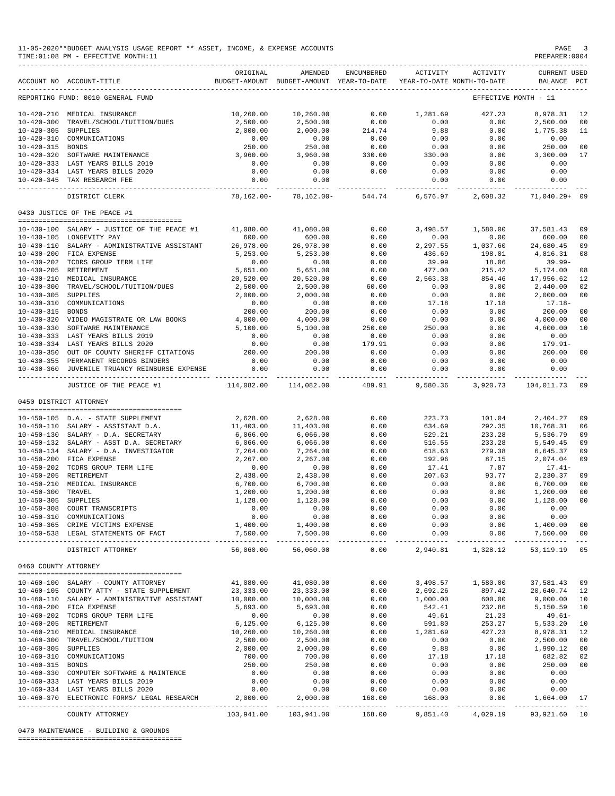|                      | 11-05-2020**BUDGET ANALYSIS USAGE REPORT ** ASSET, INCOME, & EXPENSE ACCOUNTS<br>TIME: 01:08 PM - EFFECTIVE MONTH: 11 |                           |                                                                                |                                                           |                         |                                       | PAGE<br>PREPARER: 0004                | $\overline{\phantom{a}}$ |
|----------------------|-----------------------------------------------------------------------------------------------------------------------|---------------------------|--------------------------------------------------------------------------------|-----------------------------------------------------------|-------------------------|---------------------------------------|---------------------------------------|--------------------------|
|                      | ACCOUNT NO ACCOUNT-TITLE                                                                                              | ORIGINAL                  | AMENDED<br>BUDGET-AMOUNT BUDGET-AMOUNT YEAR-TO-DATE YEAR-TO-DATE MONTH-TO-DATE | ENCUMBERED                                                | ACTIVITY                | ACTIVITY                              | <b>CURRENT USED</b><br>BALANCE PCT    |                          |
|                      | REPORTING FUND: 0010 GENERAL FUND                                                                                     |                           |                                                                                |                                                           |                         |                                       | EFFECTIVE MONTH - 11                  |                          |
|                      | 10-420-210 MEDICAL INSURANCE                                                                                          | 10,260.00                 | 10,260.00                                                                      | 0.00                                                      | 1,281.69                | 427.23                                | 8,978.31                              | 12                       |
| $10 - 420 - 300$     | TRAVEL/SCHOOL/TUITION/DUES                                                                                            | 2,500.00                  | 2,500.00                                                                       | 0.00                                                      | 0.00                    | 0.00                                  | 2,500.00                              | 00                       |
| 10-420-305 SUPPLIES  |                                                                                                                       | 2,000.00                  | 2,000.00                                                                       | 214.74                                                    | 9.88                    | 0.00                                  | 1,775.38                              | 11                       |
|                      | 10-420-310 COMMUNICATIONS                                                                                             | 0.00<br>250.00            | $0.00$<br>$250.00$                                                             | 0.00                                                      | 0.00                    | 0.00                                  | 0.00                                  |                          |
| 10-420-315 BONDS     | 10-420-320 SOFTWARE MAINTENANCE                                                                                       | 3,960.00                  | 3,960.00                                                                       | 0.00<br>330.00                                            | 0.00<br>330.00          | 0.00<br>0.00                          | 250.00<br>3,300.00                    | 00<br>17                 |
|                      | 10-420-333 LAST YEARS BILLS 2019                                                                                      | 0.00                      | 0.00                                                                           | 0.00                                                      | 0.00                    | 0.00                                  | 0.00                                  |                          |
|                      | 10-420-334 LAST YEARS BILLS 2020                                                                                      | 0.00                      | 0.00                                                                           | 0.00                                                      | 0.00                    | 0.00                                  | 0.00                                  |                          |
|                      | 10-420-345 TAX RESEARCH FEE                                                                                           | 0.00                      | 0.00                                                                           |                                                           | 0.00                    | 0.00                                  | 0.00                                  |                          |
|                      | DISTRICT CLERK                                                                                                        | -----------<br>78,162.00- |                                                                                | ------------ -------------<br>78,162.00 - 544.74 6,576.97 | .                       | . _ _ _ _ _ _ _ _ _ _                 | -----------<br>2,608.32 71,040.29+ 09 |                          |
|                      | 0430 JUSTICE OF THE PEACE #1                                                                                          |                           |                                                                                |                                                           |                         |                                       |                                       |                          |
|                      |                                                                                                                       |                           |                                                                                |                                                           |                         |                                       |                                       |                          |
|                      | $10-430-100$ SALARY - JUSTICE OF THE PEACE #1 $41,080.00$<br>10-430-105 LONGEVITY PAY                                 | 600.00                    | 41,080.00<br>600.00                                                            | 0.00<br>0.00                                              | 3,498.57<br>0.00        | 1,580.00<br>0.00                      | 37,581.43<br>600.00                   | 09<br>00                 |
|                      | 10-430-110 SALARY - ADMINISTRATIVE ASSISTANT                                                                          | 26,978.00                 | 26,978.00                                                                      | 0.00                                                      | 2,297.55                | 1,037.60                              | 24,680.45                             | 09                       |
|                      | 10-430-200 FICA EXPENSE                                                                                               | 5,253.00                  | 5,253.00                                                                       | 0.00                                                      | 436.69                  | 198.01                                | 4,816.31                              | 08                       |
|                      | 10-430-202 TCDRS GROUP TERM LIFE                                                                                      | 0.00                      | 0.00                                                                           | 0.00                                                      | 39.99                   | 18.06                                 | $39.99 -$                             |                          |
|                      | 10-430-205 RETIREMENT                                                                                                 | 5,651.00                  | 5,651.00                                                                       | 0.00                                                      | 477.00                  | 215.42                                | 5,174.00                              | 08                       |
|                      | 10-430-210 MEDICAL INSURANCE                                                                                          | 20,520.00                 | 20,520.00                                                                      | 0.00                                                      | 2,563.38                | 854.46                                | 17,956.62                             | 12                       |
|                      | 10-430-300 TRAVEL/SCHOOL/TUITION/DUES                                                                                 | 2,500.00                  | 2,500.00                                                                       | 60.00                                                     | 0.00                    | 0.00                                  | 2,440.00                              | 02                       |
| 10-430-305 SUPPLIES  |                                                                                                                       | 2,000.00                  | 2,000.00                                                                       | 0.00                                                      | 0.00                    | 0.00                                  | 2,000.00                              | 00                       |
|                      | 10-430-310 COMMUNICATIONS                                                                                             | 0.00                      | 0.00                                                                           | 0.00                                                      | 17.18                   | 17.18                                 | $17.18-$                              |                          |
| 10-430-315 BONDS     |                                                                                                                       | 200.00                    | 200.00<br>4,000.00                                                             | 0.00                                                      | 0.00                    | 0.00                                  | 200.00                                | 00                       |
|                      | 10-430-320 VIDEO MAGISTRATE OR LAW BOOKS<br>10-430-330 SOFTWARE MAINTENANCE                                           | 4,000.00<br>5,100.00      | 5,100.00                                                                       | 0.00<br>250.00                                            | 0.00<br>250.00          | 0.00<br>0.00                          | 4,000.00<br>4,600.00                  | 00<br>10                 |
|                      | 10-430-333 LAST YEARS BILLS 2019                                                                                      | 0.00                      | 0.00                                                                           | 0.00                                                      | 0.00                    | 0.00                                  | 0.00                                  |                          |
|                      | 10-430-334 LAST YEARS BILLS 2020                                                                                      | 0.00                      | 0.00                                                                           | 179.91                                                    | 0.00                    | 0.00                                  | $179.91 -$                            |                          |
|                      | 10-430-350 OUT OF COUNTY SHERIFF CITATIONS                                                                            | 200.00                    | 200.00                                                                         | 0.00                                                      | 0.00                    | 0.00                                  | 200.00                                | 00                       |
|                      | 10-430-355 PERMANENT RECORDS BINDERS                                                                                  | 0.00                      | 0.00                                                                           | 0.00                                                      | 0.00                    | 0.00                                  | 0.00                                  |                          |
|                      | 10-430-360 JUVENILE TRUANCY REINBURSE EXPENSE                                                                         | 0.00                      | 0.00<br>--------------                                                         | 0.00<br>------------                                      | 0.00                    | 0.00<br>_____________________________ | 0.00<br>------------                  |                          |
|                      | JUSTICE OF THE PEACE #1                                                                                               | 114,082.00                | 114,082.00                                                                     | 489.91                                                    | 9,580.36                | 3,920.73                              | 104,011.73                            | 09                       |
|                      | 0450 DISTRICT ATTORNEY                                                                                                |                           |                                                                                |                                                           |                         |                                       |                                       |                          |
|                      |                                                                                                                       |                           |                                                                                |                                                           |                         |                                       |                                       |                          |
|                      | 10-450-105 D.A. - STATE SUPPLEMENT                                                                                    | 2,628.00                  | 2,628.00                                                                       | 0.00                                                      | 223.73                  | 101.04                                | 2,404.27                              | 09                       |
|                      | 10-450-110 SALARY - ASSISTANT D.A.<br>10-450-130 SALARY - D.A. SECRETARY                                              | 11,403.00<br>6,066.00     | 11,403.00                                                                      | 0.00<br>0.00                                              | 634.69<br>529.21        | 292.35<br>233.28                      | 10,768.31<br>5,536.79                 | 06<br>09                 |
|                      | 10-450-132 SALARY - ASST D.A. SECRETARY                                                                               | 6,066.00                  | 6,066.00<br>6,066.00                                                           | 0.00                                                      | 516.55                  | 233.28                                | 5,549.45                              | 09                       |
|                      | 10-450-134 SALARY - D.A. INVESTIGATOR                                                                                 | 7,264.00                  | 7,264.00                                                                       | 0.00                                                      | 618.63                  | 279.38                                | 6,645.37                              | 09                       |
|                      | 10-450-200 FICA EXPENSE                                                                                               | 2,267.00                  | 2,267.00                                                                       | 0.00                                                      | 192.96                  | 87.15                                 | 2,074.04                              | 09                       |
|                      | 10-450-202 TCDRS GROUP TERM LIFE                                                                                      | 0.00                      | 0.00                                                                           | 0.00                                                      | 17.41                   | 7.87                                  | $17.41-$                              |                          |
|                      | 10-450-205 RETIREMENT                                                                                                 | 2,438.00                  | 2,438.00                                                                       | 0.00                                                      | 207.63                  | 93.77                                 | 2,230.37                              | 09                       |
|                      | 10-450-210 MEDICAL INSURANCE                                                                                          | 6,700.00                  | 6,700.00                                                                       | 0.00                                                      | 0.00                    | 0.00                                  | 6,700.00                              | 00                       |
| 10-450-300 TRAVEL    |                                                                                                                       | 1,200.00                  | 1,200.00                                                                       | 0.00                                                      | 0.00                    | 0.00                                  | 1,200.00 00                           |                          |
| 10-450-305 SUPPLIES  |                                                                                                                       | 1,128.00                  | 1,128.00                                                                       | 0.00                                                      | 0.00                    | 0.00                                  | 1,128.00                              | 00                       |
|                      | 10-450-308 COURT TRANSCRIPTS                                                                                          | 0.00<br>0.00              | 0.00<br>0.00                                                                   | 0.00<br>0.00                                              | 0.00<br>0.00            | 0.00                                  | 0.00                                  |                          |
|                      | 10-450-310 COMMUNICATIONS<br>10-450-365 CRIME VICTIMS EXPENSE                                                         | 1,400.00                  | 1,400.00                                                                       | 0.00                                                      | 0.00                    | 0.00<br>0.00                          | 0.00<br>1,400.00                      | 00                       |
|                      | 10-450-538 LEGAL STATEMENTS OF FACT                                                                                   | 7,500.00                  | 7,500.00                                                                       | 0.00                                                      | 0.00                    | 0.00                                  | 7,500.00                              | 00                       |
|                      | DISTRICT ATTORNEY                                                                                                     | 56,060.00                 | --------------<br>56,060.00                                                    | ------<br>0.00                                            | -----------<br>2,940.81 | ------------<br>1,328.12              | -------------<br>53, 119.19           | $\frac{1}{2}$<br>05      |
| 0460 COUNTY ATTORNEY |                                                                                                                       |                           |                                                                                |                                                           |                         |                                       |                                       |                          |
|                      |                                                                                                                       |                           |                                                                                |                                                           |                         |                                       | 37,581.43 09                          |                          |
|                      | 10-460-100 SALARY - COUNTY ATTORNEY<br>10-460-105 COUNTY ATTY - STATE SUPPLEMENT                                      | 41,080.00<br>23, 333.00   | 41,080.00<br>23, 333.00                                                        | 0.00<br>0.00                                              | 2,692.26                | 3,498.57 1,580.00<br>897.42           | 20,640.74 12                          |                          |
|                      | 10-460-110 SALARY - ADMINISTRATIVE ASSISTANT                                                                          | 10,000.00                 | 10,000.00                                                                      | 0.00                                                      | 1,000.00                | 600.00                                | 9,000.00 10                           |                          |
|                      | 10-460-200 FICA EXPENSE                                                                                               | 5,693.00                  | 5,693.00                                                                       | 0.00                                                      | 542.41                  | 232.86                                | 5,150.59 10                           |                          |
|                      | 10-460-202 TCDRS GROUP TERM LIFE                                                                                      | 0.00                      | 0.00                                                                           | 0.00                                                      | 49.61                   | 21.23                                 | $49.61 -$                             |                          |
|                      | 10-460-205 RETIREMENT                                                                                                 | 6,125.00                  | 6,125.00                                                                       | 0.00                                                      | 591.80                  | 253.27                                | 5,533.20                              | 10                       |
|                      | 10-460-210 MEDICAL INSURANCE                                                                                          | 10,260.00                 | 10,260.00                                                                      | 0.00                                                      | 1,281.69                | 427.23                                | 8,978.31                              | 12                       |
|                      | 10-460-300 TRAVEL/SCHOOL/TUITION                                                                                      | 2,500.00                  | 2,500.00                                                                       | 0.00                                                      | 0.00                    | 0.00                                  | 2,500.00 00                           |                          |
| 10-460-305 SUPPLIES  |                                                                                                                       | 2,000.00                  | 2,000.00                                                                       | 0.00                                                      | 9.88                    | 0.00                                  | 1,990.12                              | 00                       |
| 10-460-315 BONDS     | 10-460-310 COMMUNICATIONS                                                                                             | 700.00<br>250.00          | 700.00<br>250.00                                                               | 0.00<br>0.00                                              | 17.18<br>0.00           | 17.18<br>0.00                         | 682.82<br>250.00                      | 02<br>00                 |
|                      | 10-460-330 COMPUTER SOFTWARE & MAINTENCE                                                                              | 0.00                      | 0.00                                                                           | 0.00                                                      | 0.00                    | 0.00                                  | 0.00                                  |                          |
|                      | 10-460-333 LAST YEARS BILLS 2019                                                                                      | 0.00                      |                                                                                | 0.00                                                      | 0.00                    | 0.00                                  | 0.00                                  |                          |
|                      | 10-460-334 LAST YEARS BILLS 2020                                                                                      | 0.00                      | $\begin{array}{c} 0.00 \\ 0.00 \end{array}$                                    | 0.00                                                      | 0.00                    | 0.00                                  | 0.00                                  |                          |
|                      | 10-460-370 ELECTRONIC FORMS/ LEGAL RESEARCH                                                                           | 2,000.00                  | 2,000.00                                                                       | 168.00                                                    | 168.00                  | 0.00                                  | 1,664.00 17                           |                          |
|                      | COUNTY ATTORNEY                                                                                                       |                           | 103,941.00 103,941.00                                                          | ------------<br>168.00                                    | 9,851.40                | 4,029.19                              | 93,921.60 10                          |                          |

0470 MAINTENANCE - BUILDING & GROUNDS

========================================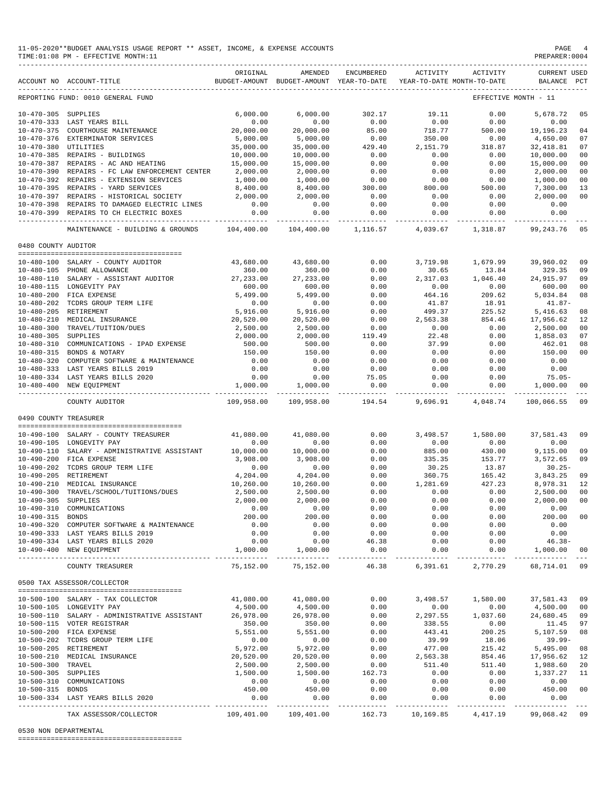|                       | 11-05-2020**BUDGET ANALYSIS USAGE REPORT ** ASSET, INCOME, & EXPENSE ACCOUNTS<br>TIME: 01:08 PM - EFFECTIVE MONTH: 11                                                                                                                      |                           |                                   |                       |                                                                                 |                         | PAGE<br>PREPARER: 0004              |          |
|-----------------------|--------------------------------------------------------------------------------------------------------------------------------------------------------------------------------------------------------------------------------------------|---------------------------|-----------------------------------|-----------------------|---------------------------------------------------------------------------------|-------------------------|-------------------------------------|----------|
|                       | ACCOUNT NO ACCOUNT-TITLE                                                                                                                                                                                                                   | ORIGINAL                  | AMENDED                           | ENCUMBERED            | ACTIVITY<br>BUDGET-AMOUNT BUDGET-AMOUNT YEAR-TO-DATE YEAR-TO-DATE MONTH-TO-DATE | ACTIVITY                | <b>CURRENT USED</b><br>BALANCE PCT  |          |
|                       | REPORTING FUND: 0010 GENERAL FUND                                                                                                                                                                                                          |                           |                                   |                       |                                                                                 |                         | EFFECTIVE MONTH - 11                |          |
|                       |                                                                                                                                                                                                                                            | 6,000.00                  | 6,000.00                          | 302.17                | 19.11                                                                           | 0.00                    | 5,678.72                            | 05       |
|                       | $10-470-305 \quad \mbox{SUPPLIES} \qquad \qquad \mbox{6,000.00} \\ 10-470-333 \quad \mbox{LAST YEARS BILL} \qquad \qquad \mbox{0.00} \\ 10-470-375 \quad \mbox{CONTHOUSE MAINTENANCE} \qquad \qquad \mbox{20,000.00} \\$                   |                           | 0.00                              | 0.00                  | 0.00                                                                            |                         | 0.00                                |          |
|                       |                                                                                                                                                                                                                                            |                           | 20,000.00                         | 85.00                 | 718.77                                                                          | $0.00$<br>$500.00$      | 19,196.23                           | 04       |
|                       | 10-470-376 EXTERMINATOR SERVICES                                                                                                                                                                                                           | 5,000.00                  | 5,000.00                          | 0.00                  | 350.00                                                                          | 0.00                    | 4,650.00                            | 07       |
| 10-470-380 UTILITIES  |                                                                                                                                                                                                                                            | 35,000.00                 | 35,000.00                         | 429.40                | 2,151.79                                                                        | 318.87                  | 32,418.81                           | 07       |
|                       | $10-470-385$ REPAIRS - BUILDINGS<br>$10-470-397$ PERAIRS<br>10-470-387 REPAIRS - AC AND HEATING                                                                                                                                            | 10,000.00                 | 10,000.00                         | 0.00                  | 0.00                                                                            | 0.00                    | 10,000.00                           | 00       |
|                       | 10-470-390 REPAIRS - FC LAW ENFORCEMENT CENTER 2,000.00                                                                                                                                                                                    | 15,000.00                 | 15,000.00<br>2,000.00<br>1,000.00 | $0.00$<br>$0.00$      | 0.00                                                                            | 0.00                    | 15,000.00                           | 00       |
|                       | 10-470-392 REPAIRS - EXTENSION SERVICES                                                                                                                                                                                                    | 1,000.00                  |                                   |                       | 0.00<br>0.00                                                                    | 0.00<br>0.00            | 2,000.00<br>1,000.00                | 00<br>00 |
|                       |                                                                                                                                                                                                                                            | 8,400.00                  |                                   | $0.00$<br>300.00      | 800.00                                                                          | 500.00                  | 7,300.00                            | 13       |
|                       | 10-470-395 REPAIRS - YARD SERVICES<br>10-470-397 REPAIRS - HISTORICAL SOCIETY                                                                                                                                                              | 2,000.00                  | $8,400.00$<br>$2,000.00$          | 0.00                  | 0.00                                                                            | 0.00                    | 2,000.00                            | 00       |
|                       | 10-470-398 REPAIRS TO DAMAGED ELECTRIC LINES                                                                                                                                                                                               | 0.00                      | 0.00                              | 0.00                  | 0.00                                                                            | 0.00                    | 0.00                                |          |
|                       | 10-470-399 REPAIRS TO CH ELECTRIC BOXES                                                                                                                                                                                                    | 0.00                      | 0.00                              | 0.00                  | 0.00                                                                            | 0.00                    | 0.00                                |          |
|                       | MAINTENANCE - BUILDING & GROUNDS 104,400.00                                                                                                                                                                                                | -------------             | 104,400.00                        | 1,116.57              | 4,039.67 1,318.87                                                               |                         | .<br>99,243.76                      | 05       |
| 0480 COUNTY AUDITOR   |                                                                                                                                                                                                                                            |                           |                                   |                       |                                                                                 |                         |                                     |          |
|                       |                                                                                                                                                                                                                                            |                           |                                   |                       |                                                                                 |                         |                                     |          |
|                       | 10-480-100 SALARY - COUNTY AUDITOR                                                                                                                                                                                                         | 43,680.00<br>360.00       | 43,680.00<br>360.00               | 0.00<br>0.00          | 3,719.98<br>30.65                                                               | 13.84                   | 1,679.99 39,960.02<br>329.35        | 09<br>09 |
|                       | $10-480-105 \quad \text{PHONE ALLOWANCE} \qquad \text{360.00} \\ 10-480-110 \quad \text{SALARY} - \text{ASSISTANT ANDITOR} \qquad \text{27,233.00} \\ 27,233.00 \\ \text{28.00} \\ 27,233.00 \\ \text{29.01} \\ 29,233.00 \\ \text{20.02}$ |                           | 27, 233.00                        | 0.00                  | 2,317.03                                                                        |                         | 1,046.40 24,915.97                  | 09       |
|                       | 10-480-115 LONGEVITY PAY                                                                                                                                                                                                                   | 600.00                    | 600.00                            | 0.00                  | 0.00                                                                            | 0.00                    | 600.00                              | 00       |
|                       |                                                                                                                                                                                                                                            |                           | 5,499.00                          | 0.00                  | 464.16                                                                          | 209.62                  | 5,034.84                            | 08       |
|                       |                                                                                                                                                                                                                                            |                           | 0.00                              | 0.00                  | 41.87                                                                           | 18.91                   | $41.87-$                            |          |
|                       |                                                                                                                                                                                                                                            |                           | 5,916.00                          | 0.00                  | 499.37                                                                          |                         | $225.52$ 5,416.63                   | 08       |
|                       | 10-480-210 MEDICAL INSURANCE                                                                                                                                                                                                               | 20,520.00                 | 20,520.00                         | $0.00$<br>$0.00$      |                                                                                 | 2,563.38 854.46         | 17,956.62 12                        |          |
|                       | 10-480-300 TRAVEL/TUITION/DUES<br>10-480-300 TRAVEL/TUITION/DUES<br>10-480-305 SUPPLIES                                                                                                                                                    | 2,500.00                  | 2,500.00                          |                       | 0.00                                                                            | 0.00                    | 2,500.00                            | 00       |
|                       |                                                                                                                                                                                                                                            | 2,000.00                  | 2,000.00                          | 119.49                | 22.48                                                                           | 0.00                    | 1,858.03                            | 07       |
|                       | 10-480-310 COMMUNICATIONS - IPAD EXPENSE                                                                                                                                                                                                   | 500.00                    | 500.00                            | 0.00                  | 37.99                                                                           | 0.00                    | 462.01                              | 08       |
|                       | 10-480-315 BONDS & NOTARY                                                                                                                                                                                                                  | 150.00                    | 150.00                            | 0.00                  | 0.00                                                                            | 0.00                    | 150.00                              | 00       |
|                       | 10-480-320 COMPUTER SOFTWARE & MAINTENANCE                                                                                                                                                                                                 | 0.00                      | 0.00                              | 0.00                  | 0.00                                                                            | 0.00                    | 0.00                                |          |
|                       | 10-480-333 LAST YEARS BILLS 2019                                                                                                                                                                                                           | 0.00<br>0.00              | $0.00$<br>$0.00$                  | 0.00                  | 0.00                                                                            | 0.00                    | 0.00<br>$75.05-$                    |          |
|                       | 10-480-334 LAST YEARS BILLS 2020<br>10-480-400 NEW EQUIPMENT                                                                                                                                                                               |                           | 1,000.00 1,000.00                 | 75.05                 | 0.00<br>$0.00$ $0.00$                                                           | 0.00                    | $0.00$ 1,000.00 00                  |          |
|                       | COUNTY AUDITOR                                                                                                                                                                                                                             |                           | 109,958.00 109,958.00             | 194.54                |                                                                                 |                         | 9,696.91 4,048.74 100,066.55 09     |          |
| 0490 COUNTY TREASURER |                                                                                                                                                                                                                                            |                           |                                   |                       |                                                                                 |                         |                                     |          |
|                       |                                                                                                                                                                                                                                            |                           |                                   |                       |                                                                                 |                         |                                     |          |
|                       | 10-490-100 SALARY - COUNTY TREASURER                                                                                                                                                                                                       |                           | 41,080.00 41,080.00               | 0.00                  |                                                                                 | 3,498.57 1,580.00       | 37,581.43 09                        |          |
|                       | 10-490-105 LONGEVITY PAY                                                                                                                                                                                                                   | 0.00                      | 0.00<br>10,000.00   10,000.00     | 0.00<br>0.00          | 0.00<br>885.00                                                                  | 0.00<br>430.00          | 0.00                                |          |
|                       | 10-490-110 SALARY - ADMINISTRATIVE ASSISTANT<br>10-490-200 FICA EXPENSE                                                                                                                                                                    | 3,908.00                  |                                   | 0.00                  | 335.35                                                                          |                         | 9,115.00 09                         |          |
|                       | 10-490-202 TCDRS GROUP TERM LIFE                                                                                                                                                                                                           | 0.00                      | $3,908.00$<br>0.00                | 0.00                  | 30.25                                                                           | 13.87                   | $153.77$ $3,572.65$ 09<br>$30.25 -$ |          |
| 10-490-205 RETIREMENT |                                                                                                                                                                                                                                            | 4,204.00                  | 4,204.00                          | 0.00                  | 360.75                                                                          | 165.42                  | 3,843.25 09                         |          |
|                       | 10-490-210 MEDICAL INSURANCE                                                                                                                                                                                                               | 10,260.00                 | 10,260.00                         | 0.00                  | 1,281.69                                                                        | 427.23                  | 8,978.31 12                         |          |
|                       | 10-490-300 TRAVEL/SCHOOL/TUITIONS/DUES                                                                                                                                                                                                     |                           | 2,500.00 2,500.00                 | 0.00                  | 0.00                                                                            | 0.00                    | 2,500.00 00                         |          |
| 10-490-305 SUPPLIES   |                                                                                                                                                                                                                                            | 2,000.00                  | 2,000.00                          | 0.00                  | 0.00                                                                            | 0.00                    | 2,000.00                            | 00       |
|                       | 10-490-310 COMMUNICATIONS                                                                                                                                                                                                                  | 0.00                      | 0.00                              | 0.00                  | 0.00                                                                            | 0.00                    | 0.00                                |          |
| 10-490-315 BONDS      |                                                                                                                                                                                                                                            | 200.00                    | 200.00                            | 0.00                  | 0.00                                                                            | 0.00                    | 200.00                              | 00       |
|                       | 10-490-320 COMPUTER SOFTWARE & MAINTENANCE                                                                                                                                                                                                 | 0.00                      | 0.00                              | 0.00                  | 0.00                                                                            | 0.00                    | 0.00                                |          |
|                       | 10-490-333 LAST YEARS BILLS 2019                                                                                                                                                                                                           | 0.00                      | 0.00                              | 0.00                  | 0.00                                                                            | 0.00                    | 0.00                                |          |
|                       | 10-490-334 LAST YEARS BILLS 2020<br>10-490-400 NEW EQUIPMENT                                                                                                                                                                               | 0.00<br>1,000.00          | 0.00<br>1,000.00                  | 46.38<br>0.00         | 0.00<br>0.00                                                                    | 0.00<br>0.00            | $46.38-$<br>1,000.00                | 00       |
|                       | COUNTY TREASURER                                                                                                                                                                                                                           | 75,152.00                 | 75,152.00                         | 46.38                 | 6,391.61                                                                        | 2,770.29                | 68,714.01 09                        |          |
|                       | 0500 TAX ASSESSOR/COLLECTOR                                                                                                                                                                                                                |                           |                                   |                       |                                                                                 |                         |                                     |          |
|                       |                                                                                                                                                                                                                                            |                           |                                   |                       |                                                                                 |                         |                                     |          |
|                       | 10-500-100 SALARY - TAX COLLECTOR                                                                                                                                                                                                          | 41,080.00                 | 41,080.00                         | 0.00                  | 3,498.57                                                                        | 1,580.00                | 37,581.43 09                        |          |
|                       | 10-500-105 LONGEVITY PAY                                                                                                                                                                                                                   | 4,500.00                  | 4,500.00                          | 0.00                  | 0.00                                                                            | 0.00                    | 4,500.00 00                         |          |
|                       | 10-500-110 SALARY - ADMINISTRATIVE ASSISTANT                                                                                                                                                                                               | 26,978.00                 | 26,978.00                         | 0.00                  | 2,297.55                                                                        | 1,037.60                | 24,680.45 09                        |          |
|                       | 10-500-115 VOTER REGISTRAR                                                                                                                                                                                                                 | 350.00                    | 350.00                            | 0.00                  | 338.55                                                                          | 0.00                    | 11.45                               | 97       |
|                       | 10-500-200 FICA EXPENSE                                                                                                                                                                                                                    | 5,551.00                  | 5,551.00                          | 0.00                  | 443.41                                                                          | 200.25                  | 5,107.59                            | 08       |
|                       | 10-500-202 TCDRS GROUP TERM LIFE                                                                                                                                                                                                           | 0.00                      | 0.00                              | 0.00                  | 39.99                                                                           | 18.06                   | $39.99 -$                           |          |
| 10-500-205 RETIREMENT |                                                                                                                                                                                                                                            | 5,972.00                  | 5,972.00                          | 0.00                  | 477.00                                                                          | 215.42                  | 5,495.00                            | 08       |
| 10-500-300 TRAVEL     | 10-500-210 MEDICAL INSURANCE                                                                                                                                                                                                               | 20,520.00<br>2,500.00     | 20,520.00<br>2,500.00             | 0.00<br>0.00          | 2,563.38<br>511.40                                                              | 854.46<br>511.40        | 17,956.62 12                        |          |
| 10-500-305 SUPPLIES   |                                                                                                                                                                                                                                            | 1,500.00                  | 1,500.00                          | 162.73                | 0.00                                                                            | 0.00                    | 1,988.60 20<br>1,337.27 11          |          |
|                       | 10-500-310 COMMUNICATIONS                                                                                                                                                                                                                  | 0.00                      | 0.00                              | 0.00                  | 0.00                                                                            | 0.00                    | 0.00                                |          |
| 10-500-315 BONDS      |                                                                                                                                                                                                                                            | 450.00                    | 450.00                            | 0.00                  | 0.00                                                                            | 0.00                    | 450.00                              | 00       |
|                       | 10-500-334 LAST YEARS BILLS 2020                                                                                                                                                                                                           | 0.00                      | 0.00                              | 0.00                  | 0.00                                                                            | 0.00                    | 0.00                                |          |
|                       | TAX ASSESSOR/COLLECTOR                                                                                                                                                                                                                     | -----------<br>109,401.00 | . <b>.</b> .<br>109,401.00        | -----------<br>162.73 | ----------<br>10,169.85                                                         | -----------<br>4,417.19 | -------------<br>99,068.42 09       |          |
|                       |                                                                                                                                                                                                                                            |                           |                                   |                       |                                                                                 |                         |                                     |          |

### 0530 NON DEPARTMENTAL

========================================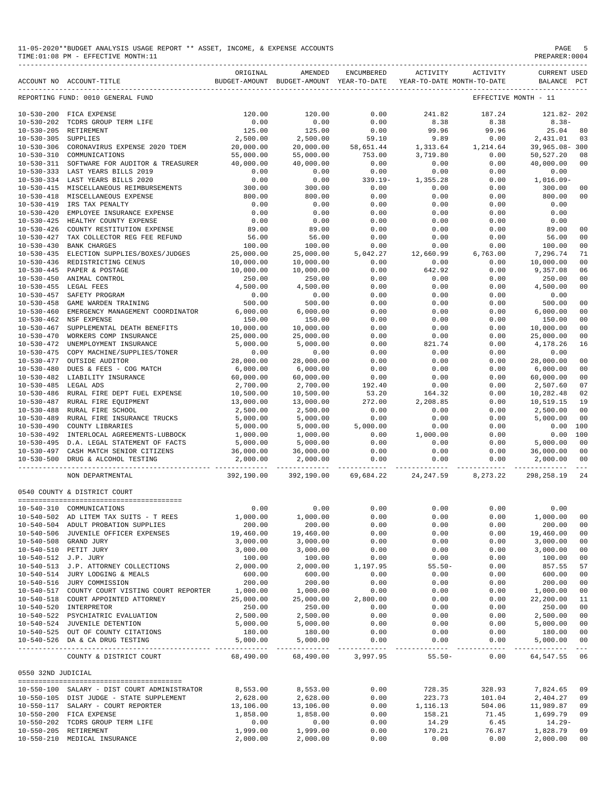| 11-05-2020**BUDGET ANALYSIS USAGE REPORT ** ASSET, INCOME, & EXPENSE ACCOUNTS | PAGE           |
|-------------------------------------------------------------------------------|----------------|
| TIME: 01:08 PM - EFFECTIVE MONTH: 11                                          | PREPARER: 0004 |

|                      | ACCOUNT NO ACCOUNT-TITLE                       | ORIGINAL   | AMENDED<br>BUDGET-AMOUNT BUDGET-AMOUNT YEAR-TO-DATE | ENCUMBERED    | ACTIVITY<br>YEAR-TO-DATE MONTH-TO-DATE | ACTIVITY      | <b>CURRENT USED</b><br>BALANCE PCT |                         |
|----------------------|------------------------------------------------|------------|-----------------------------------------------------|---------------|----------------------------------------|---------------|------------------------------------|-------------------------|
|                      | REPORTING FUND: 0010 GENERAL FUND              |            |                                                     |               |                                        |               | EFFECTIVE MONTH - 11               |                         |
|                      | 10-530-200 FICA EXPENSE                        | 120.00     | 120.00                                              | 0.00          | 241.82                                 | 187.24        | 121.82-202                         |                         |
| $10 - 530 - 202$     | TCDRS GROUP TERM LIFE                          | 0.00       | 0.00                                                | 0.00          | 8.38                                   | 8.38          | $8.38 -$                           |                         |
|                      | 10-530-205 RETIREMENT                          | 125.00     | 125.00                                              | 0.00          | 99.96                                  | 99.96         | 25.04                              | 80                      |
| $10 - 530 - 305$     | SUPPLIES                                       | 2,500.00   | 2,500.00                                            | 59.10         | 9.89                                   | 0.00          | 2,431.01                           | 03                      |
| $10 - 530 - 306$     | CORONAVIRUS EXPENSE 2020 TDEM                  | 20,000.00  | 20,000.00                                           | 58,651.44     | 1,313.64                               | 1,214.64      | 39,965.08-300                      |                         |
|                      |                                                |            |                                                     |               |                                        |               |                                    |                         |
| $10 - 530 - 310$     | COMMUNICATIONS                                 | 55,000.00  | 55,000.00                                           | 753.00        | 3,719.80                               | 0.00          | 50,527.20                          | 08                      |
|                      | 10-530-311 SOFTWARE FOR AUDITOR & TREASURER    | 40,000.00  | 40,000.00                                           | 0.00          | 0.00                                   | 0.00          | 40,000.00                          | 0 <sub>0</sub>          |
|                      | 10-530-333 LAST YEARS BILLS 2019               | 0.00       | 0.00                                                | 0.00          | 0.00                                   | 0.00          | 0.00                               |                         |
|                      | 10-530-334 LAST YEARS BILLS 2020               | 0.00       | 0.00                                                | $339.19 -$    | 1,355.28                               | 0.00          | $1,016.09-$                        |                         |
|                      | 10-530-415 MISCELLANEOUS REIMBURSEMENTS        | 300.00     | 300.00                                              | 0.00          | 0.00                                   | 0.00          | 300.00                             | 0 <sub>0</sub>          |
| $10 - 530 - 418$     | MISCELLANEOUS EXPENSE                          | 800.00     | 800.00                                              | 0.00          | 0.00                                   | 0.00          | 800.00                             | 0 <sub>0</sub>          |
| $10 - 530 - 419$     | IRS TAX PENALTY                                | 0.00       | 0.00                                                | 0.00          | 0.00                                   | 0.00          | 0.00                               |                         |
| $10 - 530 - 420$     | EMPLOYEE INSURANCE EXPENSE                     | 0.00       | 0.00                                                | 0.00          | 0.00                                   | 0.00          | 0.00                               |                         |
| $10 - 530 - 425$     | HEALTHY COUNTY EXPENSE                         | 0.00       | 0.00                                                | 0.00          | 0.00                                   | 0.00          | 0.00                               |                         |
| $10 - 530 - 426$     | COUNTY RESTITUTION EXPENSE                     | 89.00      | 89.00                                               | 0.00          | 0.00                                   | 0.00          | 89.00                              | 0 <sub>0</sub>          |
| $10 - 530 - 427$     | TAX COLLECTOR REG FEE REFUND                   | 56.00      | 56.00                                               | 0.00          | 0.00                                   | 0.00          | 56.00                              | 0 <sub>0</sub>          |
| $10 - 530 - 430$     | <b>BANK CHARGES</b>                            | 100.00     | 100.00                                              | 0.00          | 0.00                                   | 0.00          | 100.00                             | 0 <sub>0</sub>          |
| $10 - 530 - 435$     | ELECTION SUPPLIES/BOXES/JUDGES                 | 25,000.00  | 25,000.00                                           | 5,042.27      | 12,660.99                              | 6,763.00      | 7,296.74                           | 71                      |
| $10 - 530 - 436$     | REDISTRICTING CENUS                            | 10,000.00  | 10,000.00                                           | 0.00          | 0.00                                   | 0.00          | 10,000.00                          | 0 <sub>0</sub>          |
| $10 - 530 - 445$     | PAPER & POSTAGE                                | 10,000.00  | 10,000.00                                           | 0.00          | 642.92                                 | 0.00          | 9,357.08                           | 06                      |
| $10 - 530 - 450$     | ANIMAL CONTROL                                 | 250.00     | 250.00                                              | 0.00          | 0.00                                   | 0.00          | 250.00                             | 0 <sub>0</sub>          |
| $10 - 530 - 455$     | LEGAL FEES                                     | 4,500.00   | 4,500.00                                            | 0.00          | 0.00                                   | 0.00          | 4,500.00                           | 0 <sub>0</sub>          |
| $10 - 530 - 457$     | SAFETY PROGRAM                                 | 0.00       | 0.00                                                | 0.00          | 0.00                                   | 0.00          | 0.00                               |                         |
| $10 - 530 - 458$     | GAME WARDEN TRAINING                           | 500.00     | 500.00                                              | 0.00          | 0.00                                   | 0.00          | 500.00                             | 0 <sub>0</sub>          |
| $10 - 530 - 460$     | EMERGENCY MANAGEMENT COORDINATOR               | 6,000.00   | 6,000.00                                            | 0.00          | 0.00                                   | 0.00          | 6,000.00                           | 0 <sub>0</sub>          |
| $10 - 530 - 462$     | NSF EXPENSE                                    | 150.00     | 150.00                                              | 0.00          | 0.00                                   | 0.00          | 150.00                             | 0 <sub>0</sub>          |
| $10 - 530 - 467$     | SUPPLEMENTAL DEATH BENEFITS                    | 10,000.00  | 10,000.00                                           | 0.00          | 0.00                                   | 0.00          | 10,000.00                          | 0 <sub>0</sub>          |
| $10 - 530 - 470$     | WORKERS COMP INSURANCE                         | 25,000.00  | 25,000.00                                           | 0.00          | 0.00                                   | 0.00          | 25,000.00                          | 0 <sub>0</sub>          |
| $10 - 530 - 472$     | UNEMPLOYMENT INSURANCE                         | 5,000.00   | 5,000.00                                            | 0.00          | 821.74                                 | 0.00          | 4,178.26                           | 16                      |
| $10 - 530 - 475$     | COPY MACHINE/SUPPLIES/TONER                    | 0.00       | 0.00                                                | 0.00          | 0.00                                   | 0.00          | 0.00                               |                         |
| $10 - 530 - 477$     | OUTSIDE AUDITOR                                | 28,000.00  | 28,000.00                                           | 0.00          | 0.00                                   | 0.00          | 28,000.00                          | 0 <sub>0</sub>          |
| $10 - 530 - 480$     |                                                | 6,000.00   | 6,000.00                                            | 0.00          | 0.00                                   | 0.00          | 6,000.00                           | 0 <sub>0</sub>          |
|                      | DUES & FEES - COG MATCH                        |            |                                                     |               |                                        |               |                                    | 0 <sub>0</sub>          |
| $10 - 530 - 482$     | LIABILITY INSURANCE                            | 60,000.00  | 60,000.00                                           | 0.00          | 0.00                                   | 0.00          | 60,000.00                          |                         |
| $10 - 530 - 485$     | LEGAL ADS                                      | 2,700.00   | 2,700.00                                            | 192.40        | 0.00                                   | 0.00          | 2,507.60                           | 07                      |
| $10 - 530 - 486$     | RURAL FIRE DEPT FUEL EXPENSE                   | 10,500.00  | 10,500.00                                           | 53.20         | 164.32                                 | 0.00          | 10,282.48                          | 02                      |
| $10 - 530 - 487$     | RURAL FIRE EQUIPMENT                           | 13,000.00  | 13,000.00                                           | 272.00        | 2,208.85                               | 0.00          | 10,519.15                          | 19                      |
| $10 - 530 - 488$     | RURAL FIRE SCHOOL                              | 2,500.00   | 2,500.00                                            | 0.00          | 0.00                                   | 0.00          | 2,500.00                           | 0 <sub>0</sub>          |
| $10 - 530 - 489$     | RURAL FIRE INSURANCE TRUCKS                    | 5,000.00   | 5,000.00                                            | 0.00          | 0.00                                   | 0.00          | 5,000.00                           | 0 <sub>0</sub>          |
| $10 - 530 - 490$     | COUNTY LIBRARIES                               | 5,000.00   | 5,000.00                                            | 5,000.00      | 0.00                                   | 0.00          | 0.00                               | 100                     |
| $10 - 530 - 492$     | INTERLOCAL AGREEMENTS-LUBBOCK                  | 1,000.00   | 1,000.00                                            | 0.00          | 1,000.00                               | 0.00          | 0.00                               | 100                     |
|                      | 10-530-495 D.A. LEGAL STATEMENT OF FACTS       | 5,000.00   | 5,000.00                                            | 0.00          | 0.00                                   | 0.00          | 5,000.00                           | 0 <sub>0</sub>          |
|                      | 10-530-497 CASH MATCH SENIOR CITIZENS          | 36,000.00  | 36,000.00                                           | 0.00          | 0.00                                   | 0.00          | 36,000.00                          | 0 <sub>0</sub>          |
|                      | 10-530-500 DRUG & ALCOHOL TESTING              | 2,000.00   | 2,000.00                                            | 0.00          | 0.00                                   | 0.00          | 2,000.00                           | 0 <sub>0</sub>          |
|                      | NON DEPARTMENTAL                               | 392,190.00 | 392,190.00                                          | 69,684.22     | 24, 247.59                             | 8,273.22      | 298,258.19                         | 24                      |
|                      | 0540 COUNTY & DISTRICT COURT                   |            |                                                     |               |                                        |               |                                    |                         |
|                      |                                                |            |                                                     |               |                                        |               |                                    |                         |
|                      | 10-540-310 COMMUNICATIONS                      | 0.00       | 0.00                                                | 0.00          | 0.00                                   | 0.00          | 0.00                               |                         |
|                      | 10-540-502 AD LITEM TAX SUITS - T REES         | 1,000.00   | 1,000.00                                            | 0.00          | 0.00                                   | 0.00          | 1,000.00                           | 00                      |
|                      | 10-540-504 ADULT PROBATION SUPPLIES            | 200.00     | 200.00                                              | 0.00          | 0.00                                   | 0.00          | 200.00                             | 0 <sub>0</sub>          |
|                      | 10-540-506 JUVENILE OFFICER EXPENSES           | 19,460.00  | 19,460.00                                           | 0.00          | 0.00                                   | 0.00          | 19,460.00                          | 0 <sub>0</sub>          |
|                      | 10-540-508 GRAND JURY                          | 3,000.00   | 3,000.00                                            | 0.00          | 0.00                                   | 0.00          | 3,000.00                           | 0 <sub>0</sub>          |
|                      | 10-540-510 PETIT JURY                          | 3,000.00   | 3,000.00                                            | 0.00          | 0.00                                   | 0.00          | 3,000.00                           | 0 <sub>0</sub>          |
| 10-540-512 J.P. JURY |                                                | 100.00     | 100.00                                              | 0.00          | 0.00                                   | 0.00          | 100.00                             | 0 <sub>0</sub>          |
|                      | 10-540-513 J.P. ATTORNEY COLLECTIONS           | 2,000.00   | 2,000.00                                            | 1,197.95      | $55.50 -$                              | 0.00          | 857.55                             | 57                      |
|                      | 10-540-514 JURY LODGING & MEALS                | 600.00     | 600.00                                              | 0.00          | 0.00                                   | 0.00          | 600.00                             | 0 <sub>0</sub>          |
|                      | 10-540-516 JURY COMMISSION                     | 200.00     | 200.00                                              | 0.00          | 0.00                                   | 0.00          | 200.00                             | 0 <sub>0</sub>          |
|                      | 10-540-517 COUNTY COURT VISTING COURT REPORTER | 1,000.00   | 1,000.00                                            | 0.00          | 0.00                                   | 0.00          | 1,000.00                           | 0 <sub>0</sub>          |
|                      | 10-540-518 COURT APPOINTED ATTORNEY            | 25,000.00  | 25,000.00                                           | 2,800.00      | 0.00                                   | 0.00          | 22,200.00                          | 11                      |
|                      | 10-540-520 INTERPRETOR                         | 250.00     | 250.00                                              | 0.00          | 0.00                                   | 0.00          | 250.00                             | 0 <sub>0</sub>          |
|                      |                                                |            |                                                     |               |                                        |               |                                    | 0 <sub>0</sub>          |
|                      | 10-540-522 PSYCHIATRIC EVALUATION              | 2,500.00   | 2,500.00                                            | 0.00          | 0.00                                   | 0.00          | 2,500.00                           |                         |
|                      | 10-540-524 JUVENILE DETENTION                  | 5,000.00   | 5,000.00                                            | 0.00          | 0.00                                   | 0.00          | 5,000.00                           | 0 <sub>0</sub>          |
|                      | 10-540-525 OUT OF COUNTY CITATIONS             | 180.00     | 180.00                                              | 0.00          | 0.00                                   | 0.00          | 180.00                             | 0 <sub>0</sub>          |
|                      | 10-540-526 DA & CA DRUG TESTING                | 5,000.00   | 5,000.00<br>-------------                           | 0.00<br>----- | 0.00                                   | 0.00<br>----- | 5,000.00<br>------------           | 0 <sub>0</sub><br>$---$ |
|                      | COUNTY & DISTRICT COURT                        | 68,490.00  | 68,490.00                                           | 3,997.95      | $55.50 -$                              | 0.00          | 64, 547.55                         | 06                      |
| 0550 32ND JUDICIAL   |                                                |            |                                                     |               |                                        |               |                                    |                         |
|                      |                                                |            |                                                     |               |                                        |               |                                    |                         |
|                      | 10-550-100 SALARY - DIST COURT ADMINISTRATOR   | 8,553.00   | 8,553.00                                            | 0.00          | 728.35                                 | 328.93        | 7,824.65                           | 09                      |
|                      | 10-550-105 DIST JUDGE - STATE SUPPLEMENT       | 2,628.00   | 2,628.00                                            | 0.00          | 223.73                                 | 101.04        | 2,404.27                           | 09                      |
|                      | 10-550-117 SALARY - COURT REPORTER             | 13,106.00  | 13,106.00                                           | 0.00          | 1,116.13                               | 504.06        | 11,989.87                          | 09                      |
|                      | 10-550-200 FICA EXPENSE                        | 1,858.00   | 1,858.00                                            | 0.00          | 158.21                                 | 71.45         | 1,699.79                           | 09                      |
|                      | 10-550-202 TCDRS GROUP TERM LIFE               | 0.00       | 0.00                                                | 0.00          | 14.29                                  | 6.45          | $14.29-$                           |                         |
|                      | 10-550-205 RETIREMENT                          | 1,999.00   | 1,999.00                                            | 0.00          | 170.21                                 | 76.87         | 1,828.79                           | 09                      |

10-550-210 MEDICAL INSURANCE 2,000.00 2,000.00 0.00 0.00 0.00 2,000.00 00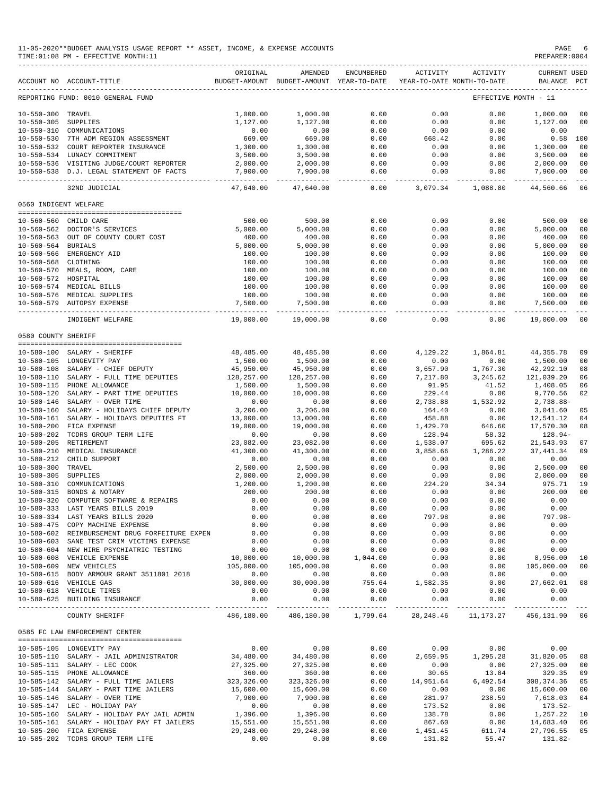| 11-05-2020**BUDGET ANALYSIS USAGE REPORT ** ASSET, INCOME, & EXPENSE ACCOUNTS | PAGE           |
|-------------------------------------------------------------------------------|----------------|
| TIME:01:08 PM - EFFECTIVE MONTH:11                                            | PREPARER: 0004 |

|                       | ACCOUNT NO ACCOUNT-TITLE                       | ORIGINAL    | AMENDED<br>BUDGET-AMOUNT BUDGET-AMOUNT YEAR-TO-DATE | ENCUMBERED | ACTIVITY               | ACTIVITY<br>YEAR-TO-DATE MONTH-TO-DATE | <b>CURRENT USED</b><br>BALANCE | $_{\rm PCT}$   |
|-----------------------|------------------------------------------------|-------------|-----------------------------------------------------|------------|------------------------|----------------------------------------|--------------------------------|----------------|
|                       | REPORTING FUND: 0010 GENERAL FUND              |             |                                                     |            |                        |                                        | EFFECTIVE MONTH - 11           |                |
| $10 - 550 - 300$      | TRAVEL                                         | 1,000.00    | 1,000.00                                            | 0.00       | 0.00                   | 0.00                                   | 1,000.00                       | 00             |
| $10 - 550 - 305$      | <b>SUPPLIES</b>                                | 1,127.00    | 1,127.00                                            | 0.00       | 0.00                   | 0.00                                   | 1,127.00                       | 0 <sup>0</sup> |
| $10 - 550 - 310$      | COMMUNICATIONS                                 | 0.00        | 0.00                                                | 0.00       | 0.00                   | 0.00                                   | 0.00                           |                |
| $10 - 550 - 530$      | 7TH ADM REGION ASSESSMENT                      | 669.00      | 669.00                                              | 0.00       | 668.42                 | 0.00                                   | 0.58                           | 100            |
|                       | 10-550-532 COURT REPORTER INSURANCE            | 1,300.00    | 1,300.00                                            | 0.00       | 0.00                   | 0.00                                   | 1,300.00                       | 0 <sup>0</sup> |
|                       | 10-550-534 LUNACY COMMITMENT                   | 3,500.00    | 3,500.00                                            | 0.00       | 0.00                   | 0.00                                   | 3,500.00                       | 0 <sub>0</sub> |
|                       | 10-550-536 VISITING JUDGE/COURT REPORTER       | 2,000.00    | 2,000.00                                            | 0.00       | 0.00                   | 0.00                                   | 2,000.00                       | 00             |
|                       | 10-550-538 D.J. LEGAL STATEMENT OF FACTS       | 7,900.00    | 7,900.00                                            | 0.00       | 0.00                   | 0.00                                   | 7,900.00                       | 00             |
|                       | 32ND JUDICIAL                                  | 47,640.00   | 47,640.00                                           | 0.00       | 3,079.34               | 1,088.80                               | 44,560.66                      | 06             |
| 0560 INDIGENT WELFARE |                                                |             |                                                     |            |                        |                                        |                                |                |
|                       | 10-560-560 CHILD CARE                          | 500.00      | 500.00                                              | 0.00       | 0.00                   | 0.00                                   | 500.00                         | 00             |
|                       | 10-560-562 DOCTOR'S SERVICES                   | 5,000.00    | 5,000.00                                            | 0.00       | 0.00                   | 0.00                                   | 5,000.00                       | 00             |
|                       | 10-560-563 OUT OF COUNTY COURT COST            | 400.00      | 400.00                                              | 0.00       | 0.00                   | 0.00                                   | 400.00                         | 0 <sup>0</sup> |
| $10 - 560 - 564$      | <b>BURIALS</b>                                 | 5,000.00    | 5,000.00                                            | 0.00       | 0.00                   | 0.00                                   | 5,000.00                       | 0 <sub>0</sub> |
|                       | 10-560-566 EMERGENCY AID                       | 100.00      | 100.00                                              | 0.00       | 0.00                   | 0.00                                   | 100.00                         | 0 <sub>0</sub> |
| $10 - 560 - 568$      | CLOTHING                                       | 100.00      | 100.00                                              | 0.00       | 0.00                   | 0.00                                   | 100.00                         | 00             |
|                       | 10-560-570 MEALS, ROOM, CARE                   | 100.00      | 100.00                                              | 0.00       | 0.00                   | 0.00                                   | 100.00                         | 0 <sub>0</sub> |
| 10-560-572 HOSPITAL   |                                                | 100.00      | 100.00                                              | 0.00       | 0.00                   | 0.00                                   | 100.00                         | 0 <sub>0</sub> |
|                       | 10-560-574 MEDICAL BILLS                       | 100.00      | 100.00                                              | 0.00       | 0.00                   | 0.00                                   | 100.00                         | 0 <sub>0</sub> |
|                       | 10-560-576 MEDICAL SUPPLIES                    | 100.00      | 100.00                                              | 0.00       | 0.00                   | 0.00                                   | 100.00                         | 0 <sub>0</sub> |
| $10 - 560 - 579$      | <b>AUTOPSY EXPENSE</b>                         | 7,500.00    | 7,500.00                                            | 0.00       | 0.00                   | 0.00                                   | 7,500.00                       | 00             |
|                       | INDIGENT WELFARE                               | 19,000.00   | 19,000.00                                           | 0.00       | 0.00                   | 0.00                                   | 19,000.00                      | 00             |
| 0580 COUNTY SHERIFF   |                                                |             |                                                     |            |                        |                                        |                                |                |
| $10 - 580 - 100$      | SALARY - SHERIFF                               | 48,485.00   | 48,485.00                                           | 0.00       | 4,129.22               | 1,864.81                               | 44, 355. 78                    | 09             |
|                       | 10-580-105 LONGEVITY PAY                       | 1,500.00    | 1,500.00                                            | 0.00       | 0.00                   | 0.00                                   | 1,500.00                       | 0 <sup>0</sup> |
| $10 - 580 - 108$      | SALARY - CHIEF DEPUTY                          | 45,950.00   | 45,950.00                                           | 0.00       | 3,657.90               | 1,767.30                               | 42,292.10                      | 08             |
| $10 - 580 - 110$      | SALARY - FULL TIME DEPUTIES                    | 128,257.00  | 128,257.00                                          | 0.00       | 7,217.80               | 3,245.62                               | 121,039.20                     | 06             |
| $10 - 580 - 115$      | PHONE ALLOWANCE                                | 1,500.00    | 1,500.00                                            | 0.00       | 91.95                  | 41.52                                  | 1,408.05                       | 06             |
| $10 - 580 - 120$      | SALARY - PART TIME DEPUTIES                    | 10,000.00   | 10,000.00                                           | 0.00       | 229.44                 | 0.00                                   | 9,770.56                       | 02             |
| $10 - 580 - 146$      | SALARY - OVER TIME                             | 0.00        | 0.00                                                | 0.00       | 2,738.88               | 1,532.92                               | 2,738.88-                      |                |
| $10 - 580 - 160$      | SALARY - HOLIDAYS CHIEF DEPUTY                 | 3,206.00    | 3,206.00                                            | 0.00       | 164.40                 | 0.00                                   | 3,041.60                       | 05             |
| $10 - 580 - 161$      | SALARY - HOLIDAYS DEPUTIES FT                  | 13,000.00   | 13,000.00                                           | 0.00       | 458.88                 | 0.00                                   | 12,541.12                      | 04             |
| $10 - 580 - 200$      | FICA EXPENSE                                   | 19,000.00   | 19,000.00                                           | 0.00       | 1,429.70               | 646.60                                 | 17,570.30                      | 08             |
| $10 - 580 - 202$      | TCDRS GROUP TERM LIFE                          | 0.00        | 0.00                                                | 0.00       | 128.94                 | 58.32                                  | 128.94-                        |                |
| $10 - 580 - 205$      | RETIREMENT                                     | 23,082.00   | 23,082.00                                           | 0.00       | 1,538.07               | 695.62                                 | 21,543.93                      | 07             |
| $10 - 580 - 210$      | MEDICAL INSURANCE                              | 41,300.00   | 41,300.00                                           | 0.00       | 3,858.66               | 1,286.22                               | 37, 441.34                     | 09             |
| $10 - 580 - 212$      | CHILD SUPPORT                                  | 0.00        | 0.00                                                | 0.00       | 0.00                   | 0.00                                   | 0.00                           |                |
| $10 - 580 - 300$      | TRAVEL                                         | 2,500.00    | 2,500.00                                            | 0.00       | 0.00                   | 0.00                                   | 2,500.00                       | 0 <sup>0</sup> |
| $10 - 580 - 305$      | SUPPLIES                                       | 2,000.00    | 2,000.00                                            | 0.00       | 0.00                   | 0.00                                   | 2,000.00                       | 0 <sup>0</sup> |
| $10 - 580 - 310$      | COMMUNICATIONS                                 | 1,200.00    | 1,200.00                                            | 0.00       | 224.29                 | 34.34                                  | 975.71                         | 19             |
| $10 - 580 - 315$      | BONDS & NOTARY                                 | 200.00      | 200.00                                              | 0.00       | 0.00                   | 0.00                                   | 200.00                         | 0 <sub>0</sub> |
| $10 - 580 - 320$      | COMPUTER SOFTWARE & REPAIRS                    | 0.00        | 0.00                                                | 0.00       | 0.00                   | 0.00                                   | 0.00                           |                |
| $10 - 580 - 333$      | LAST YEARS BILLS 2019                          | 0.00        | 0.00                                                | 0.00       | 0.00                   | 0.00                                   | 0.00                           |                |
|                       | 10-580-334 LAST YEARS BILLS 2020               | 0.00        | 0.00                                                | 0.00       | 797.98                 | 0.00                                   | $797.98 -$                     |                |
|                       | 10-580-475 COPY MACHINE EXPENSE                | 0.00        | 0.00                                                | 0.00       | 0.00                   | 0.00                                   | 0.00                           |                |
|                       | 10-580-602 REIMBURSEMENT DRUG FORFEITURE EXPEN | 0.00        | 0.00                                                | 0.00       | 0.00                   | 0.00                                   | 0.00                           |                |
|                       | 10-580-603 SANE TEST CRIM VICTIMS EXPENSE      | 0.00        | 0.00                                                | 0.00       | 0.00                   | 0.00                                   | 0.00                           |                |
|                       | 10-580-604 NEW HIRE PSYCHIATRIC TESTING        | 0.00        | 0.00                                                | 0.00       | 0.00                   | 0.00                                   | 0.00                           |                |
|                       | 10-580-608 VEHICLE EXPENSE                     | 10,000.00   | 10,000.00                                           | 1,044.00   | 0.00                   | 0.00                                   | 8,956.00                       | 10             |
|                       | 10-580-609 NEW VEHICLES                        | 105,000.00  | 105,000.00                                          | 0.00       | 0.00                   | 0.00                                   | 105,000.00                     | 0 <sup>0</sup> |
|                       | 10-580-615 BODY ARMOUR GRANT 3511801 2018      | 0.00        | 0.00                                                | 0.00       | 0.00                   | 0.00                                   | 0.00                           |                |
|                       | 10-580-616 VEHICLE GAS                         | 30,000.00   | 30,000.00                                           | 755.64     | 1,582.35               | 0.00                                   | 27,662.01                      | 08             |
|                       | 10-580-618 VEHICLE TIRES                       | 0.00        | 0.00                                                | 0.00       | 0.00                   | 0.00                                   | 0.00                           |                |
|                       | 10-580-625 BUILDING INSURANCE                  | 0.00        | 0.00                                                | 0.00       | 0.00<br>______________ | 0.00                                   | 0.00                           |                |
|                       | COUNTY SHERIFF                                 |             | 486,180.00 486,180.00                               | 1,799.64   |                        | 28, 248. 46 11, 173. 27                | 456,131.90 06                  |                |
|                       | 0585 FC LAW ENFORCEMENT CENTER                 |             |                                                     |            |                        |                                        |                                |                |
|                       | 10-585-105 LONGEVITY PAY                       | 0.00        | 0.00                                                | 0.00       | 0.00                   | 0.00                                   | 0.00                           |                |
|                       | 10-585-110 SALARY - JAIL ADMINISTRATOR         | 34,480.00   | 34,480.00                                           | 0.00       | 2,659.95               | 1,295.28                               | 31,820.05                      | 08             |
|                       | 10-585-111 SALARY - LEC COOK                   | 27,325.00   | 27,325.00                                           | 0.00       | 0.00                   | 0.00                                   | 27,325.00                      | 0 <sub>0</sub> |
|                       | 10-585-115 PHONE ALLOWANCE                     | 360.00      | 360.00                                              | 0.00       | 30.65                  | 13.84                                  | 329.35                         | 09             |
|                       | 10-585-142 SALARY - FULL TIME JAILERS          | 323, 326.00 | 323, 326.00                                         | 0.00       | 14,951.64              | 6,492.54                               | 308, 374.36                    | 05             |
|                       | 10-585-144 SALARY - PART TIME JAILERS          | 15,600.00   | 15,600.00                                           | 0.00       | 0.00                   | 0.00                                   | 15,600.00                      | 0 <sub>0</sub> |
|                       | 10-585-146 SALARY - OVER TIME                  | 7,900.00    | 7,900.00                                            | 0.00       | 281.97                 | 238.59                                 | 7,618.03                       | 04             |
|                       | 10-585-147 LEC - HOLIDAY PAY                   | 0.00        | 0.00                                                | 0.00       | 173.52                 | 0.00                                   | 173.52-                        |                |
|                       | 10-585-160 SALARY - HOLIDAY PAY JAIL ADMIN     | 1,396.00    | 1,396.00                                            | 0.00       | 138.78                 | 0.00                                   | 1,257.22                       | 10             |
|                       | 10-585-161 SALARY - HOLIDAY PAY FT JAILERS     | 15,551.00   | 15,551.00                                           | 0.00       | 867.60                 | 0.00                                   | 14,683.40                      | 06             |
|                       | 10-585-200 FICA EXPENSE                        | 29,248.00   | 29,248.00                                           | 0.00       | 1,451.45               | 611.74                                 | 27,796.55                      | 05             |
|                       | 10-585-202 TCDRS GROUP TERM LIFE               | 0.00        | 0.00                                                | 0.00       | 131.82                 | 55.47                                  | 131.82-                        |                |
|                       |                                                |             |                                                     |            |                        |                                        |                                |                |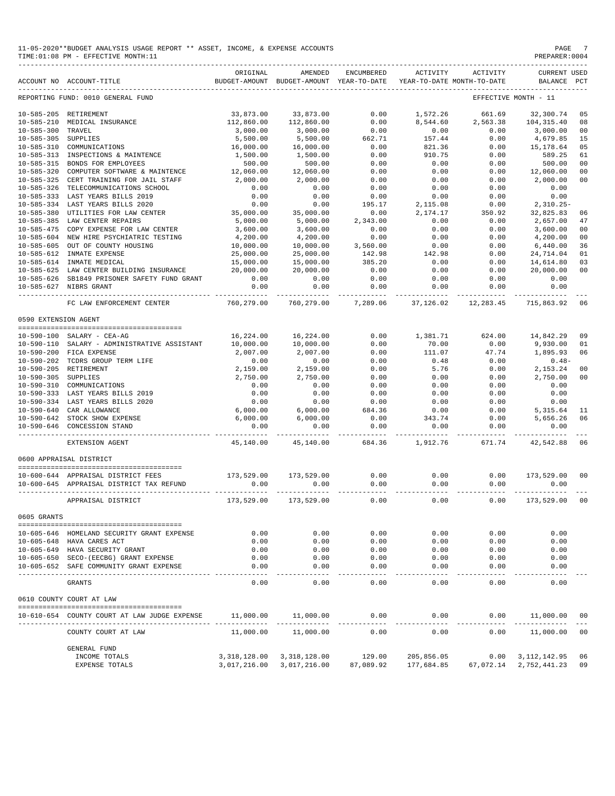|                      | ACCOUNT NO ACCOUNT-TITLE                     | ORIGINAL       | AMENDED<br>BUDGET-AMOUNT BUDGET-AMOUNT YEAR-TO-DATE | <b>ENCUMBERED</b>     | ACTIVITY             | ACTIVITY<br>YEAR-TO-DATE MONTH-TO-DATE | <b>CURRENT USED</b><br>BALANCE | PCT            |
|----------------------|----------------------------------------------|----------------|-----------------------------------------------------|-----------------------|----------------------|----------------------------------------|--------------------------------|----------------|
|                      | REPORTING FUND: 0010 GENERAL FUND            |                |                                                     |                       |                      |                                        | EFFECTIVE MONTH - 11           |                |
|                      | 10-585-205 RETIREMENT                        | 33,873.00      | 33,873.00                                           | 0.00                  | 1,572.26             | 661.69                                 | 32,300.74                      | 05             |
| $10 - 585 - 210$     | MEDICAL INSURANCE                            | 112,860.00     | 112,860.00                                          | 0.00                  | 8,544.60             | 2,563.38                               | 104, 315, 40                   | 08             |
| $10 - 585 - 300$     | TRAVEL                                       | 3,000.00       | 3,000.00                                            | 0.00                  | 0.00                 | 0.00                                   | 3,000.00                       | 00             |
| $10 - 585 - 305$     | SUPPLIES                                     | 5,500.00       | 5,500.00                                            | 662.71                | 157.44               | 0.00                                   | 4,679.85                       | 15             |
| $10 - 585 - 310$     | COMMUNICATIONS                               | 16,000.00      | 16,000.00                                           | 0.00                  | 821.36               | 0.00                                   | 15,178.64                      | 05             |
| $10 - 585 - 313$     | INSPECTIONS & MAINTENCE                      | 1,500.00       | 1,500.00                                            | 0.00                  | 910.75               | 0.00                                   | 589.25                         | 61             |
| $10 - 585 - 315$     | BONDS FOR EMPLOYEES                          | 500.00         | 500.00                                              | 0.00                  | 0.00                 | 0.00                                   | 500.00                         | 00             |
| $10 - 585 - 320$     | COMPUTER SOFTWARE & MAINTENCE                | 12,060.00      | 12,060.00                                           | 0.00                  | 0.00                 | 0.00                                   | 12,060.00                      | 00             |
| $10 - 585 - 325$     | CERT TRAINING FOR JAIL STAFF                 | 2,000.00       | 2,000.00                                            | 0.00                  | 0.00                 | 0.00                                   | 2,000.00                       | 00             |
| $10 - 585 - 326$     | TELECOMMUNICATIONS SCHOOL                    | 0.00           | 0.00                                                | 0.00                  | 0.00                 | 0.00                                   | 0.00                           |                |
| $10 - 585 - 333$     | LAST YEARS BILLS 2019                        | 0.00           | 0.00                                                | 0.00                  | 0.00                 | 0.00                                   | 0.00                           |                |
| $10 - 585 - 334$     | LAST YEARS BILLS 2020                        | 0.00           | 0.00                                                | 195.17                | 2,115.08             | 0.00                                   | $2,310.25-$                    |                |
| $10 - 585 - 380$     | UTILITIES FOR LAW CENTER                     | 35,000.00      | 35,000.00                                           | 0.00                  | 2,174.17             | 350.92                                 | 32,825.83                      | 06             |
| $10 - 585 - 385$     | LAW CENTER REPAIRS                           | 5,000.00       | 5,000.00                                            | 2,343.00              | 0.00                 | 0.00                                   | 2,657.00                       | 47             |
| $10 - 585 - 475$     | COPY EXPENSE FOR LAW CENTER                  | 3,600.00       | 3,600.00                                            | 0.00                  | 0.00                 | 0.00                                   | 3,600.00                       | 0 <sub>0</sub> |
| $10 - 585 - 604$     | NEW HIRE PSYCHIATRIC TESTING                 | 4,200.00       | 4,200.00                                            | 0.00                  | 0.00                 | 0.00                                   | 4,200.00                       | 00             |
| $10 - 585 - 605$     | OUT OF COUNTY HOUSING                        | 10,000.00      | 10,000.00                                           | 3,560.00              | 0.00                 | 0.00                                   | 6,440.00                       | 36             |
|                      | 10-585-612 INMATE EXPENSE                    | 25,000.00      | 25,000.00                                           | 142.98                | 142.98               | 0.00                                   | 24,714.04                      | 01             |
| $10 - 585 - 614$     | INMATE MEDICAL                               | 15,000.00      | 15,000.00                                           | 385.20                | 0.00                 | 0.00                                   | 14,614.80                      | 03             |
|                      | 10-585-625 LAW CENTER BUILDING INSURANCE     | 20,000.00      | 20,000.00                                           | 0.00                  | 0.00                 | 0.00                                   | 20,000.00                      | 0 <sub>0</sub> |
|                      | 10-585-626 SB1849 PRISONER SAFETY FUND GRANT | 0.00           | 0.00                                                | 0.00                  | 0.00                 | 0.00                                   | 0.00                           |                |
|                      | 10-585-627 NIBRS GRANT                       | 0.00           | 0.00                                                | 0.00                  | 0.00                 | 0.00                                   | 0.00                           |                |
|                      | FC LAW ENFORCEMENT CENTER                    | 760,279.00     | 760,279.00                                          | 7,289.06              | 37,126.02            | 12,283.45                              | 715,863.92                     | 06             |
| 0590 EXTENSION AGENT |                                              |                |                                                     |                       |                      |                                        |                                |                |
|                      |                                              |                |                                                     |                       |                      |                                        |                                |                |
|                      | 10-590-100 SALARY - CEA-AG                   | 16,224.00      | 16,224.00                                           | 0.00                  | 1,381.71             | 624.00                                 | 14,842.29                      | 09             |
|                      | 10-590-110 SALARY - ADMINISTRATIVE ASSISTANT | 10,000.00      | 10,000.00                                           | 0.00                  | 70.00                | 0.00                                   | 9,930.00                       | 01             |
|                      | 10-590-200 FICA EXPENSE                      | 2,007.00       | 2,007.00                                            | 0.00                  | 111.07               | 47.74                                  | 1,895.93                       | 06             |
| $10 - 590 - 202$     | TCDRS GROUP TERM LIFE                        | 0.00           | 0.00                                                | 0.00                  | 0.48                 | 0.00                                   | $0.48-$                        |                |
|                      | 10-590-205 RETIREMENT                        | 2,159.00       | 2,159.00                                            | 0.00                  | 5.76                 | 0.00                                   | 2,153.24                       | 00             |
| 10-590-305 SUPPLIES  |                                              | 2,750.00       | 2,750.00                                            | 0.00                  | 0.00                 | 0.00                                   | 2,750.00                       | 0 <sup>0</sup> |
|                      | 10-590-310 COMMUNICATIONS                    | 0.00           | 0.00                                                | 0.00                  | 0.00                 | 0.00                                   | 0.00                           |                |
|                      | 10-590-333 LAST YEARS BILLS 2019             | 0.00           | 0.00                                                | 0.00                  | 0.00                 | 0.00                                   | 0.00                           |                |
|                      | 10-590-334 LAST YEARS BILLS 2020             | 0.00           | 0.00                                                | 0.00                  | 0.00                 | 0.00                                   | 0.00                           |                |
| $10 - 590 - 640$     | CAR ALLOWANCE                                | 6,000.00       | 6,000.00                                            | 684.36                | 0.00                 | 0.00                                   | 5,315.64                       | 11             |
| $10 - 590 - 642$     | STOCK SHOW EXPENSE                           | 6,000.00       | 6,000.00                                            | 0.00                  | 343.74               | 0.00                                   | 5,656.26                       | 06             |
| $10 - 590 - 646$     | CONCESSION STAND                             | 0.00           | 0.00                                                | 0.00                  | 0.00                 | 0.00                                   | 0.00                           |                |
|                      | EXTENSION AGENT                              | 45,140.00      | 45,140.00                                           | 684.36                | 1,912.76             | 671.74                                 | 42,542.88                      | 06             |
|                      | 0600 APPRAISAL DISTRICT                      |                |                                                     |                       |                      |                                        |                                |                |
|                      | 10-600-644 APPRAISAL DISTRICT FEES           | 173,529.00     | 173,529.00                                          | 0.00                  | 0.00                 | 0.00                                   | 173,529.00                     | 00             |
|                      | 10-600-645 APPRAISAL DISTRICT TAX REFUND     | 0.00           | 0.00                                                | 0.00                  | 0.00                 | 0.00                                   | 0.00                           |                |
|                      | APPRAISAL DISTRICT                           | 173,529.00     | 173,529.00                                          | 0.00                  | 0.00                 | 0.00                                   | 173,529.00                     | 00             |
| 0605 GRANTS          |                                              |                |                                                     |                       |                      |                                        |                                |                |
|                      | 10-605-646 HOMELAND SECURITY GRANT EXPENSE   | 0.00           | 0.00                                                | 0.00                  | 0.00                 | 0.00                                   | 0.00                           |                |
|                      | 10-605-648 HAVA CARES ACT                    | 0.00           | 0.00                                                | 0.00                  | 0.00                 | 0.00                                   | 0.00                           |                |
|                      | 10-605-649 HAVA SECURITY GRANT               | 0.00           | 0.00                                                | 0.00                  | 0.00                 | 0.00                                   | 0.00                           |                |
|                      | 10-605-650 SECO-(EECBG) GRANT EXPENSE        | 0.00           | 0.00                                                | 0.00                  | 0.00                 | 0.00                                   | 0.00                           |                |
|                      | 10-605-652 SAFE COMMUNITY GRANT EXPENSE      | 0.00           | 0.00                                                | 0.00                  | 0.00                 | 0.00                                   | 0.00                           |                |
|                      |                                              | $- - - -$      | $- - - - -$                                         | $- - - - -$           | $---$                | -----                                  |                                |                |
|                      | GRANTS                                       | 0.00           | 0.00                                                | 0.00                  | 0.00                 | 0.00                                   | 0.00                           |                |
|                      | 0610 COUNTY COURT AT LAW                     |                |                                                     |                       |                      |                                        |                                |                |
|                      | 10-610-654 COUNTY COURT AT LAW JUDGE EXPENSE | 11,000.00      | 11,000.00<br>_____________                          | 0.00                  | 0.00                 | 0.00                                   | 11,000.00<br>______________    | 00             |
|                      | COUNTY COURT AT LAW                          | 11,000.00      | 11,000.00                                           | -------------<br>0.00 | ------------<br>0.00 | ------<br>0.00                         | 11,000.00                      | 00             |
|                      | GENERAL FUND                                 |                |                                                     |                       |                      |                                        |                                |                |
|                      | INCOME TOTALS                                | 3, 318, 128.00 | 3,318,128.00                                        | 129.00                | 205,856.05           | 0.00                                   | 3, 112, 142.95                 | 06             |
|                      | EXPENSE TOTALS                               |                | 3,017,216.00 3,017,216.00                           | 87,089.92             | 177,684.85           | 67,072.14                              | 2,752,441.23                   | 09             |
|                      |                                              |                |                                                     |                       |                      |                                        |                                |                |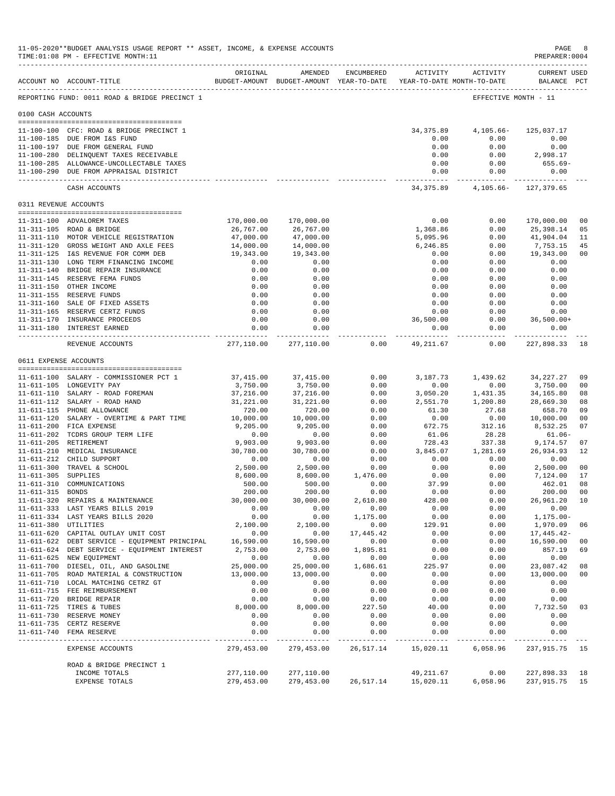|                      | 11-05-2020**BUDGET ANALYSIS USAGE REPORT ** ASSET, INCOME, & EXPENSE ACCOUNTS<br>TIME: 01:08 PM - EFFECTIVE MONTH: 11<br>---------------------------------- |                          |                                                                                |                                    |                          |                                    | $\mathop{\mathtt{PAGE}}$<br>PREPARER: 0004 | -8                   |
|----------------------|-------------------------------------------------------------------------------------------------------------------------------------------------------------|--------------------------|--------------------------------------------------------------------------------|------------------------------------|--------------------------|------------------------------------|--------------------------------------------|----------------------|
|                      | ACCOUNT NO ACCOUNT-TITLE                                                                                                                                    | ORIGINAL                 | AMENDED<br>BUDGET-AMOUNT BUDGET-AMOUNT YEAR-TO-DATE YEAR-TO-DATE MONTH-TO-DATE | ENCUMBERED                         |                          | ACTIVITY ACTIVITY                  | CURRENT USED<br>BALANCE PCT                |                      |
|                      | REPORTING FUND: 0011 ROAD & BRIDGE PRECINCT 1                                                                                                               |                          |                                                                                |                                    |                          |                                    | EFFECTIVE MONTH - 11                       |                      |
| 0100 CASH ACCOUNTS   |                                                                                                                                                             |                          |                                                                                |                                    |                          |                                    |                                            |                      |
|                      | 11-100-100 CFC: ROAD & BRIDGE PRECINCT 1                                                                                                                    |                          |                                                                                |                                    |                          | 34,375.89 4,105.66-                | 125,037.17                                 |                      |
|                      | 11-100-185 DUE FROM I&S FUND                                                                                                                                |                          |                                                                                |                                    | 0.00                     | 0.00                               | 0.00                                       |                      |
|                      | 11-100-197 DUE FROM GENERAL FUND                                                                                                                            |                          |                                                                                |                                    | 0.00                     | 0.00                               | 0.00                                       |                      |
|                      | 11-100-280 DELINQUENT TAXES RECEIVABLE<br>11-100-285 ALLOWANCE-UNCOLLECTABLE TAXES                                                                          |                          |                                                                                |                                    | 0.00<br>0.00             | 0.00<br>0.00                       | 2,998.17                                   |                      |
|                      | 11-100-290 DUE FROM APPRAISAL DISTRICT                                                                                                                      |                          |                                                                                |                                    | ------------- .          | 0.00<br>0.00<br>.                  | 655.69-<br>0.00<br>_____________           |                      |
|                      | CASH ACCOUNTS                                                                                                                                               |                          |                                                                                |                                    |                          | 34, 375.89 4, 105.66 - 127, 379.65 |                                            |                      |
|                      | 0311 REVENUE ACCOUNTS                                                                                                                                       |                          |                                                                                |                                    |                          |                                    |                                            |                      |
|                      | 11-311-100 ADVALOREM TAXES                                                                                                                                  |                          | 170,000.00 170,000.00                                                          |                                    | 0.00                     | 0.00                               | 170,000.00                                 | 0 <sub>0</sub>       |
|                      | 11-311-105 ROAD & BRIDGE                                                                                                                                    | 26,767.00                | 26,767.00                                                                      |                                    | 1,368.86                 | 0.00                               | 25,398.14                                  | 05                   |
|                      | 11-311-110 MOTOR VEHICLE REGISTRATION                                                                                                                       | 47,000.00                | 47,000.00                                                                      |                                    | 5,095.96                 | 0.00                               | 41,904.04                                  | 11                   |
|                      | 11-311-120 GROSS WEIGHT AND AXLE FEES                                                                                                                       | 14,000.00                | 14,000.00                                                                      |                                    | 6,246.85                 | 0.00                               | 7,753.15                                   | 45                   |
|                      | 11-311-125 I&S REVENUE FOR COMM DEB<br>11-311-130 LONG TERM FINANCING INCOME                                                                                | 19,343.00<br>0.00        | 19,343.00<br>0.00                                                              |                                    | 0.00<br>0.00             | 0.00                               | $0.00$ 19,343.00<br>0.00                   | 0 <sub>0</sub>       |
|                      | 11-311-140 BRIDGE REPAIR INSURANCE                                                                                                                          | 0.00                     | 0.00                                                                           |                                    | 0.00                     | 0.00                               | 0.00                                       |                      |
|                      | 11-311-145 RESERVE FEMA FUNDS                                                                                                                               | 0.00                     | 0.00                                                                           |                                    | 0.00                     | 0.00                               | 0.00                                       |                      |
|                      | 11-311-150 OTHER INCOME                                                                                                                                     | 0.00                     | 0.00                                                                           |                                    | 0.00                     | 0.00                               | 0.00                                       |                      |
|                      | 11-311-155 RESERVE FUNDS                                                                                                                                    | 0.00                     | 0.00                                                                           |                                    | 0.00                     | 0.00                               | 0.00                                       |                      |
|                      | 11-311-160 SALE OF FIXED ASSETS                                                                                                                             | 0.00                     | 0.00                                                                           |                                    | 0.00                     | 0.00                               | 0.00                                       |                      |
|                      | 11-311-165 RESERVE CERTZ FUNDS                                                                                                                              | 0.00<br>0.00             | 0.00                                                                           |                                    | 0.00<br>36,500.00        | 0.00<br>0.00                       | $0.00$<br>36,500.00+                       |                      |
|                      | 11-311-170 INSURANCE PROCEEDS<br>11-311-180 INTEREST EARNED                                                                                                 | 0.00                     | 0.00<br>0.00                                                                   |                                    |                          | 0.00<br>0.00                       | 0.00                                       |                      |
|                      | REVENUE ACCOUNTS                                                                                                                                            | --------------           | ------------<br>277,110.00 277,110.00                                          | 0.00                               | -----------<br>49,211.67 | 0.00                               | ___________________________<br>227,898.33  | 18                   |
|                      | 0611 EXPENSE ACCOUNTS                                                                                                                                       |                          |                                                                                |                                    |                          |                                    |                                            |                      |
|                      | 11-611-100 SALARY - COMMISSIONER PCT 1                                                                                                                      | 37,415.00                | 37,415.00                                                                      | 0.00                               | 3,187.73                 | 1,439.62                           | 34,227.27                                  | 09                   |
|                      | 11-611-105 LONGEVITY PAY                                                                                                                                    | 3,750.00                 | 3,750.00                                                                       | 0.00                               | 0.00                     | 0.00                               | 3,750.00                                   | 0 <sub>0</sub>       |
|                      | 11-611-110 SALARY - ROAD FOREMAN                                                                                                                            | 37,216.00                | 37,216.00                                                                      | 0.00                               | 3,050.20                 | 1,431.35                           | 34,165.80                                  | 08                   |
|                      | 11-611-112 SALARY - ROAD HAND                                                                                                                               | 31,221.00                | 31,221.00                                                                      | 0.00                               | 2,551.70                 | 1,200.80                           | 28,669.30                                  | 08                   |
|                      | 11-611-115 PHONE ALLOWANCE                                                                                                                                  | 720.00                   | 720.00                                                                         | 0.00                               | 61.30                    | 27.68                              | 658.70                                     | 09                   |
|                      | 11-611-120 SALARY - OVERTIME & PART TIME<br>11-611-200 FICA EXPENSE                                                                                         | 10,000.00<br>9,205.00    | 10,000.00                                                                      | 0.00<br>0.00                       | 0.00<br>672.75           | 0.00                               | 10,000.00                                  | 0 <sub>0</sub><br>07 |
|                      | 11-611-202 TCDRS GROUP TERM LIFE                                                                                                                            | 0.00                     | 9,205.00<br>0.00                                                               | 0.00                               | 61.06                    | 312.16<br>28.28                    | 8,532.25<br>$61.06 -$                      |                      |
|                      | 11-611-205 RETIREMENT                                                                                                                                       | 9,903.00                 | 9,903.00                                                                       | 0.00                               | 728.43                   | 337.38                             | 9,174.57                                   | 07                   |
|                      | 11-611-210 MEDICAL INSURANCE                                                                                                                                | 30,780.00                | 30,780.00                                                                      | 0.00                               | 3,845.07                 | 1,281.69                           | 26,934.93                                  | 12                   |
|                      | 11-611-212 CHILD SUPPORT                                                                                                                                    | 0.00                     | 0.00                                                                           | 0.00                               | 0.00                     | 0.00                               | 0.00                                       |                      |
|                      | 11-611-300 TRAVEL & SCHOOL                                                                                                                                  | 2,500.00                 |                                                                                | 2,500.00 0.00<br>8,600.00 1,476.00 | 0.00                     | 0.00                               | 2,500.00                                   | 0 <sup>0</sup>       |
| 11-611-305 SUPPLIES  | 11-611-310 COMMUNICATIONS                                                                                                                                   | 8,600.00<br>500.00       | 500.00                                                                         | 0.00                               | 0.00<br>37.99            | 0.00<br>0.00                       | 7,124.00<br>462.01                         | 17<br>08             |
| 11-611-315 BONDS     |                                                                                                                                                             | 200.00                   | 200.00                                                                         | 0.00                               | 0.00                     | 0.00                               | 200.00                                     | 0 <sub>0</sub>       |
|                      | 11-611-320 REPAIRS & MAINTENANCE                                                                                                                            | 30,000.00                | 30,000.00                                                                      | 2,610.80                           | 428.00                   | 0.00                               | 26,961.20                                  | 10                   |
|                      | 11-611-333 LAST YEARS BILLS 2019                                                                                                                            | 0.00                     | 0.00                                                                           | 0.00                               | 0.00                     | 0.00                               | 0.00                                       |                      |
|                      | 11-611-334 LAST YEARS BILLS 2020                                                                                                                            | 0.00                     | 0.00                                                                           | 1,175.00                           | 0.00                     | 0.00                               | $1, 175.00 -$                              |                      |
| 11-611-380 UTILITIES | 11-611-620 CAPITAL OUTLAY UNIT COST                                                                                                                         | 2,100.00                 | 2,100.00                                                                       | 0.00                               | 129.91                   | 0.00                               | 1,970.09                                   | 06                   |
|                      | 11-611-622 DEBT SERVICE - EQUIPMENT PRINCIPAL                                                                                                               | 0.00<br>16,590.00        | 0.00<br>16,590.00                                                              | 17,445.42<br>0.00                  | 0.00<br>0.00             | 0.00<br>0.00                       | 17,445.42-<br>16,590.00                    | 0 <sub>0</sub>       |
|                      | 11-611-624 DEBT SERVICE - EQUIPMENT INTEREST                                                                                                                | 2,753.00                 | 2,753.00                                                                       | 1,895.81                           | 0.00                     | 0.00                               | 857.19                                     | 69                   |
|                      | 11-611-625 NEW EQUIPMENT                                                                                                                                    | 0.00                     | 0.00                                                                           | 0.00                               | 0.00                     | 0.00                               | 0.00                                       |                      |
|                      | 11-611-700 DIESEL, OIL, AND GASOLINE                                                                                                                        | 25,000.00                | 25,000.00                                                                      | 1,686.61                           | 225.97                   | 0.00                               | 23,087.42                                  | 08                   |
|                      | 11-611-705 ROAD MATERIAL & CONSTRUCTION                                                                                                                     | 13,000.00                | 13,000.00                                                                      | 0.00                               | 0.00                     | 0.00                               | 13,000.00                                  | 0 <sub>0</sub>       |
|                      | 11-611-710 LOCAL MATCHING CETRZ GT                                                                                                                          | 0.00                     | 0.00                                                                           | 0.00                               | 0.00                     | 0.00                               | 0.00                                       |                      |
|                      | 11-611-715 FEE REIMBURSEMENT<br>11-611-720 BRIDGE REPAIR                                                                                                    | 0.00<br>0.00             | 0.00<br>0.00                                                                   | 0.00<br>0.00                       | 0.00<br>0.00             | 0.00<br>0.00                       | 0.00<br>0.00                               |                      |
|                      | 11-611-725 TIRES & TUBES                                                                                                                                    | 8,000.00                 | 8,000.00                                                                       | 227.50                             | 40.00                    | 0.00                               | 7,732.50                                   | 03                   |
|                      | 11-611-730 RESERVE MONEY                                                                                                                                    | 0.00                     | 0.00                                                                           | 0.00                               | 0.00                     | 0.00                               | 0.00                                       |                      |
|                      | 11-611-735 CERTZ RESERVE                                                                                                                                    | 0.00                     | 0.00                                                                           | 0.00                               | 0.00                     | 0.00                               | 0.00                                       |                      |
|                      | 11-611-740 FEMA RESERVE                                                                                                                                     | 0.00<br>------------     | 0.00<br>--------                                                               | 0.00<br>--------                   | 0.00<br>------           | 0.00<br>----------                 | 0.00<br>---------                          |                      |
|                      | EXPENSE ACCOUNTS                                                                                                                                            | 279,453.00               | 279,453.00                                                                     | 26,517.14                          | 15,020.11                | 6,058.96                           | 237,915.75                                 | -15                  |
|                      | ROAD & BRIDGE PRECINCT 1                                                                                                                                    |                          |                                                                                |                                    |                          |                                    |                                            |                      |
|                      | INCOME TOTALS<br>EXPENSE TOTALS                                                                                                                             | 277,110.00<br>279,453.00 | 277,110.00<br>279,453.00                                                       | 26,517.14                          | 49, 211.67<br>15,020.11  | 0.00<br>6,058.96                   | 227,898.33<br>237,915.75                   | 18<br>-15            |
|                      |                                                                                                                                                             |                          |                                                                                |                                    |                          |                                    |                                            |                      |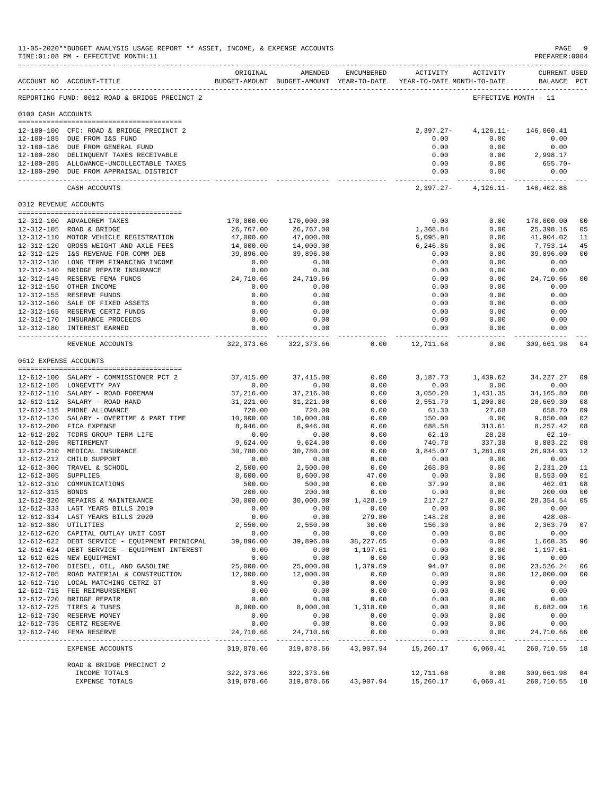|                     | 11-05-2020**BUDGET ANALYSIS USAGE REPORT ** ASSET, INCOME, & EXPENSE ACCOUNTS<br>TIME: 01:08 PM - EFFECTIVE MONTH: 11 |                                                                                 |                                       |                |                           |                                | $\mathop{\mathtt{PAGE}}$<br>PREPARER: 0004 | - 9                                                                                                                                                                                                                                                                                                                                                                                          |
|---------------------|-----------------------------------------------------------------------------------------------------------------------|---------------------------------------------------------------------------------|---------------------------------------|----------------|---------------------------|--------------------------------|--------------------------------------------|----------------------------------------------------------------------------------------------------------------------------------------------------------------------------------------------------------------------------------------------------------------------------------------------------------------------------------------------------------------------------------------------|
|                     | ACCOUNT NO ACCOUNT-TITLE                                                                                              | ORIGINAL<br>BUDGET-AMOUNT BUDGET-AMOUNT YEAR-TO-DATE YEAR-TO-DATE MONTH-TO-DATE | AMENDED                               | ENCUMBERED     |                           | ACTIVITY ACTIVITY              | <b>CURRENT USED</b><br>BALANCE PCT         |                                                                                                                                                                                                                                                                                                                                                                                              |
|                     | REPORTING FUND: 0012 ROAD & BRIDGE PRECINCT 2                                                                         |                                                                                 |                                       |                |                           |                                | EFFECTIVE MONTH - 11                       |                                                                                                                                                                                                                                                                                                                                                                                              |
| 0100 CASH ACCOUNTS  |                                                                                                                       |                                                                                 |                                       |                |                           |                                |                                            |                                                                                                                                                                                                                                                                                                                                                                                              |
|                     | 12-100-100 CFC: ROAD & BRIDGE PRECINCT 2                                                                              |                                                                                 |                                       |                | $2,397.27-$               | 4,126.11-                      | 146,060.41                                 |                                                                                                                                                                                                                                                                                                                                                                                              |
|                     | 12-100-185 DUE FROM I&S FUND                                                                                          |                                                                                 |                                       |                | 0.00                      | 0.00                           | 0.00                                       |                                                                                                                                                                                                                                                                                                                                                                                              |
|                     | 12-100-186 DUE FROM GENERAL FUND                                                                                      |                                                                                 |                                       |                | 0.00                      | 0.00                           | 0.00                                       |                                                                                                                                                                                                                                                                                                                                                                                              |
|                     | 12-100-280 DELINQUENT TAXES RECEIVABLE                                                                                |                                                                                 |                                       |                | 0.00                      | 0.00                           | 2,998.17                                   |                                                                                                                                                                                                                                                                                                                                                                                              |
|                     | 12-100-285 ALLOWANCE-UNCOLLECTABLE TAXES<br>12-100-290 DUE FROM APPRAISAL DISTRICT                                    |                                                                                 |                                       |                | 0.00<br>0.00              | 0.00<br>0.00                   | 655.70-<br>0.00                            |                                                                                                                                                                                                                                                                                                                                                                                              |
|                     | CASH ACCOUNTS                                                                                                         |                                                                                 |                                       |                | ----------------          | 2,397.27- 4,126.11- 148,402.88 | ----------- --------------                 |                                                                                                                                                                                                                                                                                                                                                                                              |
|                     | 0312 REVENUE ACCOUNTS                                                                                                 |                                                                                 |                                       |                |                           |                                |                                            |                                                                                                                                                                                                                                                                                                                                                                                              |
|                     |                                                                                                                       |                                                                                 |                                       |                |                           |                                |                                            |                                                                                                                                                                                                                                                                                                                                                                                              |
|                     | 12-312-100 ADVALOREM TAXES<br>12-312-105 ROAD & BRIDGE                                                                | 170,000.00<br>26,767.00                                                         | 170,000.00<br>26,767.00               |                | 0.00<br>1,368.84          | 0.00<br>0.00                   | 170,000.00<br>25,398.16                    | 0 <sub>0</sub><br>05                                                                                                                                                                                                                                                                                                                                                                         |
|                     | 12-312-110 MOTOR VEHICLE REGISTRATION                                                                                 | 47,000.00                                                                       | 47,000.00                             |                | 5,095.98                  | 0.00                           | 41,904.02                                  | 11                                                                                                                                                                                                                                                                                                                                                                                           |
|                     | 12-312-120 GROSS WEIGHT AND AXLE FEES                                                                                 | 14,000.00                                                                       | 14,000.00                             |                | 6,246.86                  | 0.00                           | 7,753.14                                   | 45                                                                                                                                                                                                                                                                                                                                                                                           |
|                     | 12-312-125 I&S REVENUE FOR COMM DEB                                                                                   | 39,896.00                                                                       | 39,896.00                             |                | 0.00                      | 0.00                           | 39,896.00                                  | 0 <sub>0</sub>                                                                                                                                                                                                                                                                                                                                                                               |
|                     | 12-312-130 LONG TERM FINANCING INCOME                                                                                 | 0.00                                                                            | 0.00                                  |                | 0.00                      | 0.00                           | 0.00                                       |                                                                                                                                                                                                                                                                                                                                                                                              |
|                     | 12-312-140 BRIDGE REPAIR INSURANCE                                                                                    | 0.00                                                                            | 0.00                                  |                | 0.00                      | 0.00                           | 0.00                                       |                                                                                                                                                                                                                                                                                                                                                                                              |
|                     | 12-312-145 RESERVE FEMA FUNDS                                                                                         | 24,710.66                                                                       | 24,710.66                             |                | 0.00                      | 0.00                           | 24,710.66                                  | 0 <sub>0</sub>                                                                                                                                                                                                                                                                                                                                                                               |
|                     | 12-312-150 OTHER INCOME                                                                                               | 0.00                                                                            | 0.00                                  |                | 0.00                      | 0.00                           | 0.00                                       |                                                                                                                                                                                                                                                                                                                                                                                              |
|                     | 12-312-155 RESERVE FUNDS                                                                                              | 0.00                                                                            | 0.00                                  |                | 0.00                      | 0.00                           | 0.00                                       |                                                                                                                                                                                                                                                                                                                                                                                              |
|                     | 12-312-160 SALE OF FIXED ASSETS                                                                                       | 0.00                                                                            | 0.00                                  |                | 0.00                      | 0.00                           | 0.00                                       |                                                                                                                                                                                                                                                                                                                                                                                              |
|                     | 12-312-165 RESERVE CERTZ FUNDS<br>12-312-170 INSURANCE PROCEEDS                                                       | 0.00<br>0.00                                                                    | 0.00<br>0.00                          |                | 0.00<br>0.00              | 0.00<br>0.00                   | 0.00<br>0.00                               |                                                                                                                                                                                                                                                                                                                                                                                              |
|                     | 12-312-180 INTEREST EARNED                                                                                            | 0.00                                                                            | 0.00                                  |                | 0.00                      | 0.00                           | 0.00                                       |                                                                                                                                                                                                                                                                                                                                                                                              |
|                     | REVENUE ACCOUNTS                                                                                                      | -------------                                                                   | . <b>.</b> .<br>322,373.66 322,373.66 | 0.00           | . <b>.</b><br>12,711.68   | ----------<br>0.00             | -----------<br>309,661.98                  | 04                                                                                                                                                                                                                                                                                                                                                                                           |
|                     | 0612 EXPENSE ACCOUNTS                                                                                                 |                                                                                 |                                       |                |                           |                                |                                            |                                                                                                                                                                                                                                                                                                                                                                                              |
|                     |                                                                                                                       |                                                                                 |                                       |                |                           |                                |                                            |                                                                                                                                                                                                                                                                                                                                                                                              |
|                     | 12-612-100 SALARY - COMMISSIONER PCT 2                                                                                | 37,415.00                                                                       | 37, 415.00                            | 0.00           | 3,187.73                  | 1,439.62                       | 34, 227. 27                                | 09                                                                                                                                                                                                                                                                                                                                                                                           |
|                     | 12-612-105 LONGEVITY PAY                                                                                              | 0.00                                                                            | 0.00                                  | 0.00           | 0.00                      | 0.00                           | 0.00                                       |                                                                                                                                                                                                                                                                                                                                                                                              |
|                     | 12-612-110 SALARY - ROAD FOREMAN                                                                                      | 37,216.00                                                                       | 37,216.00                             | 0.00           | 3,050.20                  | 1,431.35                       | 34,165.80                                  | 08                                                                                                                                                                                                                                                                                                                                                                                           |
|                     | 12-612-112 SALARY - ROAD HAND                                                                                         | 31,221.00                                                                       | 31,221.00                             | 0.00           | 2,551.70                  | 1,200.80                       | 28,669.30                                  | 08<br>09                                                                                                                                                                                                                                                                                                                                                                                     |
|                     | 12-612-115 PHONE ALLOWANCE<br>12-612-120 SALARY - OVERTIME & PART TIME                                                | 720.00<br>10,000.00                                                             | 720.00<br>10,000.00                   | 0.00<br>0.00   | 61.30<br>150.00           | 27.68<br>0.00                  | 658.70<br>9,850.00                         | 02                                                                                                                                                                                                                                                                                                                                                                                           |
|                     | 12-612-200 FICA EXPENSE                                                                                               | 8,946.00                                                                        | 8,946.00                              | 0.00           | 688.58                    | 313.61                         | 8,257.42                                   | 08                                                                                                                                                                                                                                                                                                                                                                                           |
|                     | 12-612-202 TCDRS GROUP TERM LIFE                                                                                      | 0.00                                                                            | 0.00                                  | 0.00           | 62.10                     | 28.28                          | $62.10 -$                                  |                                                                                                                                                                                                                                                                                                                                                                                              |
|                     | 12-612-205 RETIREMENT                                                                                                 | 9,624.00                                                                        | 9,624.00                              | 0.00           | 740.78                    | 337.38                         | 8,883.22                                   | 08                                                                                                                                                                                                                                                                                                                                                                                           |
|                     | 12-612-210 MEDICAL INSURANCE                                                                                          | 30,780.00                                                                       | 30,780.00                             | 0.00           | 3,845.07                  | 1,281.69                       | 26,934.93                                  | 12                                                                                                                                                                                                                                                                                                                                                                                           |
|                     | 12-612-212 CHILD SUPPORT                                                                                              | 0.00                                                                            | 0.00                                  | 0.00           | 0.00                      | 0.00                           | 0.00                                       |                                                                                                                                                                                                                                                                                                                                                                                              |
|                     | 12-612-300 TRAVEL & SCHOOL                                                                                            | 2,500.00                                                                        | 2,500.00                              | 0.00           | 268.80                    | 0.00                           | 2,231.20                                   | 11                                                                                                                                                                                                                                                                                                                                                                                           |
| 12-612-305 SUPPLIES |                                                                                                                       | 8,600.00                                                                        | 8,600.00                              | 47.00          | 0.00                      | 0.00                           | 8,553.00                                   | 01                                                                                                                                                                                                                                                                                                                                                                                           |
|                     | 12-612-310 COMMUNICATIONS                                                                                             | 500.00                                                                          | 500.00                                | 0.00           | 37.99                     | 0.00                           | 462.01                                     | 08                                                                                                                                                                                                                                                                                                                                                                                           |
| 12-612-315 BONDS    |                                                                                                                       | 200.00                                                                          | 200.00                                | 0.00           | 0.00                      | 0.00                           | 200.00                                     | 0 <sub>0</sub>                                                                                                                                                                                                                                                                                                                                                                               |
|                     | 12-612-320 REPAIRS & MAINTENANCE                                                                                      | 30,000.00                                                                       | 30,000.00                             | 1,428.19       | 217.27                    | 0.00                           | 28, 354. 54 05                             |                                                                                                                                                                                                                                                                                                                                                                                              |
|                     | 12-612-333 LAST YEARS BILLS 2019<br>12-612-334 LAST YEARS BILLS 2020                                                  | 0.00<br>0.00                                                                    | 0.00<br>0.00                          | 0.00<br>279.80 | 0.00<br>148.28            | 0.00<br>0.00                   | 0.00<br>$428.08 -$                         |                                                                                                                                                                                                                                                                                                                                                                                              |
|                     | 12-612-380 UTILITIES                                                                                                  | 2,550.00                                                                        | 2,550.00                              | 30.00          | 156.30                    | 0.00                           | 2,363.70                                   | 07                                                                                                                                                                                                                                                                                                                                                                                           |
|                     | 12-612-620 CAPITAL OUTLAY UNIT COST                                                                                   | 0.00                                                                            | 0.00                                  | 0.00           | 0.00                      | 0.00                           | 0.00                                       |                                                                                                                                                                                                                                                                                                                                                                                              |
|                     | 12-612-622 DEBT SERVICE - EQUIPMENT PRINICPAL                                                                         | 39,896.00                                                                       | 39,896.00                             | 38, 227.65     | 0.00                      | 0.00                           | 1,668.35                                   | 96                                                                                                                                                                                                                                                                                                                                                                                           |
|                     | 12-612-624 DEBT SERVICE - EQUIPMENT INTEREST                                                                          | 0.00                                                                            | 0.00                                  | 1,197.61       | 0.00                      | 0.00                           | $1, 197.61 -$                              |                                                                                                                                                                                                                                                                                                                                                                                              |
|                     | 12-612-625 NEW EQUIPMENT                                                                                              | 0.00                                                                            | 0.00                                  | 0.00           | 0.00                      | 0.00                           | 0.00                                       |                                                                                                                                                                                                                                                                                                                                                                                              |
|                     | 12-612-700 DIESEL, OIL, AND GASOLINE                                                                                  | 25,000.00                                                                       | 25,000.00                             | 1,379.69       | 94.07                     | 0.00                           | 23,526.24                                  | 06                                                                                                                                                                                                                                                                                                                                                                                           |
|                     | 12-612-705 ROAD MATERIAL & CONSTRUCTION                                                                               | 12,000.00                                                                       | 12,000.00                             | 0.00           | 0.00                      | 0.00                           | 12,000.00                                  | 0 <sub>0</sub>                                                                                                                                                                                                                                                                                                                                                                               |
|                     | 12-612-710 LOCAL MATCHING CETRZ GT                                                                                    | 0.00                                                                            | 0.00                                  | 0.00           | 0.00                      | 0.00                           | 0.00                                       |                                                                                                                                                                                                                                                                                                                                                                                              |
|                     | 12-612-715 FEE REIMBURSEMENT                                                                                          | 0.00                                                                            | 0.00                                  | 0.00           | 0.00                      | 0.00                           | 0.00                                       |                                                                                                                                                                                                                                                                                                                                                                                              |
|                     | 12-612-720 BRIDGE REPAIR                                                                                              | 0.00                                                                            | 0.00                                  | 0.00           | 0.00                      | 0.00                           | 0.00                                       |                                                                                                                                                                                                                                                                                                                                                                                              |
|                     | 12-612-725 TIRES & TUBES                                                                                              | 8,000.00                                                                        | 8,000.00                              | 1,318.00       | 0.00                      | 0.00                           | 6,682.00                                   | 16                                                                                                                                                                                                                                                                                                                                                                                           |
|                     | 12-612-730 RESERVE MONEY                                                                                              | 0.00<br>0.00                                                                    | 0.00<br>0.00                          | 0.00<br>0.00   | 0.00                      | 0.00                           | 0.00<br>0.00                               |                                                                                                                                                                                                                                                                                                                                                                                              |
|                     | 12-612-735 CERTZ RESERVE<br>12-612-740 FEMA RESERVE                                                                   | 24,710.66                                                                       | 24,710.66                             | 0.00           | 0.00<br>0.00              | 0.00<br>0.00                   | 24,710.66                                  | 0 <sub>0</sub>                                                                                                                                                                                                                                                                                                                                                                               |
|                     | EXPENSE ACCOUNTS                                                                                                      | 319,878.66                                                                      | 319,878.66                            | 43,907.94      | ------------<br>15,260.17 | ------------<br>6,060.41       | _______________<br>260,710.55 18           | $\frac{1}{2} \frac{1}{2} \frac{1}{2} \frac{1}{2} \frac{1}{2} \frac{1}{2} \frac{1}{2} \frac{1}{2} \frac{1}{2} \frac{1}{2} \frac{1}{2} \frac{1}{2} \frac{1}{2} \frac{1}{2} \frac{1}{2} \frac{1}{2} \frac{1}{2} \frac{1}{2} \frac{1}{2} \frac{1}{2} \frac{1}{2} \frac{1}{2} \frac{1}{2} \frac{1}{2} \frac{1}{2} \frac{1}{2} \frac{1}{2} \frac{1}{2} \frac{1}{2} \frac{1}{2} \frac{1}{2} \frac{$ |
|                     | ROAD & BRIDGE PRECINCT 2                                                                                              |                                                                                 |                                       |                |                           |                                |                                            |                                                                                                                                                                                                                                                                                                                                                                                              |
|                     | INCOME TOTALS                                                                                                         | 322, 373.66                                                                     | 322,373.66                            |                | 12,711.68                 | 0.00                           | 309,661.98                                 | 04                                                                                                                                                                                                                                                                                                                                                                                           |
|                     | EXPENSE TOTALS                                                                                                        | 319,878.66                                                                      | 319,878.66                            | 43,907.94      | 15,260.17                 | 6,060.41                       | 260,710.55                                 | 18                                                                                                                                                                                                                                                                                                                                                                                           |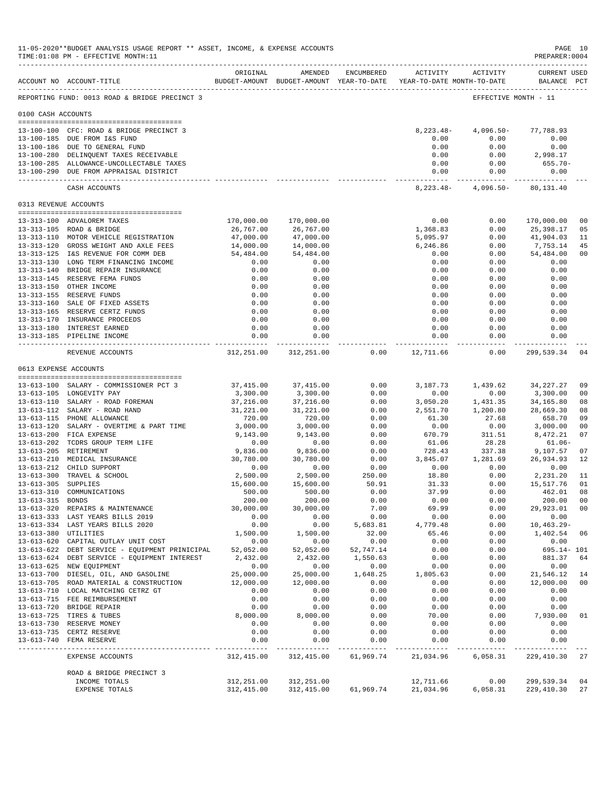|                      | 11-05-2020**BUDGET ANALYSIS USAGE REPORT ** ASSET, INCOME, & EXPENSE ACCOUNTS<br>TIME: 01:08 PM - EFFECTIVE MONTH: 11 |                       |                       |                       |                  |                                                                                                      | PAGE 10<br>PREPARER: 0004 |          |
|----------------------|-----------------------------------------------------------------------------------------------------------------------|-----------------------|-----------------------|-----------------------|------------------|------------------------------------------------------------------------------------------------------|---------------------------|----------|
|                      | ACCOUNT NO ACCOUNT-TITLE                                                                                              | ORIGINAL              | AMENDED               | ENCUMBERED            |                  | ACTIVITY ACTIVITY<br>BUDGET-AMOUNT BUDGET-AMOUNT YEAR-TO-DATE YEAR-TO-DATE MONTH-TO-DATE BALANCE PCT | <b>CURRENT USED</b>       |          |
|                      | REPORTING FUND: 0013 ROAD & BRIDGE PRECINCT 3                                                                         |                       |                       |                       |                  |                                                                                                      | EFFECTIVE MONTH - 11      |          |
| 0100 CASH ACCOUNTS   |                                                                                                                       |                       |                       |                       |                  |                                                                                                      |                           |          |
|                      | 13-100-100 CFC: ROAD & BRIDGE PRECINCT 3                                                                              |                       |                       |                       |                  | 8, 223. 48 - 4, 096. 50 - 77, 788. 93                                                                |                           |          |
|                      | 13-100-185 DUE FROM I&S FUND                                                                                          |                       |                       |                       | 0.00             | 0.00                                                                                                 | 0.00                      |          |
|                      | 13-100-186 DUE TO GENERAL FUND<br>13-100-280 DELINQUENT TAXES RECEIVABLE                                              |                       |                       |                       | 0.00<br>0.00     | 0.00                                                                                                 | 0.00<br>$0.00$ 2,998.17   |          |
|                      | 13-100-285 ALLOWANCE-UNCOLLECTABLE TAXES                                                                              |                       |                       |                       | 0.00             | 0.00                                                                                                 | $655.70 -$                |          |
|                      | 13-100-290 DUE FROM APPRAISAL DISTRICT                                                                                |                       |                       |                       |                  | 0.00<br>0.00                                                                                         | 0.00                      |          |
|                      | CASH ACCOUNTS                                                                                                         |                       |                       |                       |                  | 8, 223. 48 - 4, 096. 50 - 80, 131. 40                                                                |                           |          |
|                      | 0313 REVENUE ACCOUNTS                                                                                                 |                       |                       |                       |                  |                                                                                                      |                           |          |
|                      | 13-313-100 ADVALOREM TAXES                                                                                            | 170,000.00            | 170,000.00            |                       | 0.00             | 0.00                                                                                                 | 170,000.00                | 00       |
|                      | 13-313-105 ROAD & BRIDGE                                                                                              | 26,767.00             | 26,767.00             |                       | 1,368.83         | 0.00                                                                                                 | 25,398.17                 | 05       |
|                      | 13-313-110 MOTOR VEHICLE REGISTRATION                                                                                 | 47,000.00             | 47,000.00             |                       | 5,095.97         | 0.00                                                                                                 | 41,904.03                 | 11       |
|                      | 13-313-120 GROSS WEIGHT AND AXLE FEES                                                                                 | 14,000.00             | 14,000.00             |                       | 6,246.86         | 0.00                                                                                                 | 7,753.14                  | 45       |
|                      | 13-313-125 I&S REVENUE FOR COMM DEB<br>13-313-130 LONG TERM FINANCING INCOME                                          | 54,484.00<br>0.00     | 54,484.00<br>0.00     |                       | 0.00<br>0.00     | 0.00<br>0.00                                                                                         | 54,484.00<br>0.00         | 00       |
|                      | 13-313-140 BRIDGE REPAIR INSURANCE                                                                                    | 0.00                  | 0.00                  |                       | 0.00             | 0.00                                                                                                 | 0.00                      |          |
|                      | 13-313-145 RESERVE FEMA FUNDS                                                                                         | 0.00                  | 0.00                  |                       | 0.00             | 0.00                                                                                                 | 0.00                      |          |
|                      | 13-313-150 OTHER INCOME                                                                                               | 0.00                  | 0.00                  |                       | 0.00             | 0.00                                                                                                 | 0.00                      |          |
|                      | 13-313-155 RESERVE FUNDS                                                                                              | 0.00                  | 0.00                  |                       | 0.00             | 0.00                                                                                                 | 0.00                      |          |
|                      | 13-313-160 SALE OF FIXED ASSETS<br>13-313-165 RESERVE CERTZ FUNDS                                                     | $0.00$<br>$0.00$      | 0.00<br>0.00          |                       | 0.00<br>0.00     | 0.00<br>0.00                                                                                         | 0.00<br>0.00              |          |
|                      | 13-313-170 INSURANCE PROCEEDS                                                                                         | 0.00                  | 0.00                  |                       | 0.00             | 0.00                                                                                                 | 0.00                      |          |
|                      | 13-313-180 INTEREST EARNED                                                                                            | 0.00                  | 0.00                  |                       | 0.00             | 0.00                                                                                                 | 0.00                      |          |
|                      | 13-313-185 PIPELINE INCOME                                                                                            | 0.00                  | 0.00                  |                       | 0.00             | 0.00                                                                                                 | 0.00<br>------------      |          |
|                      | REVENUE ACCOUNTS                                                                                                      |                       | 312,251.00 312,251.00 | $0.00$ 12,711.66      |                  | 0.00                                                                                                 | 299,539.34                | 04       |
|                      | 0613 EXPENSE ACCOUNTS                                                                                                 |                       |                       |                       |                  |                                                                                                      |                           |          |
|                      | 13-613-100 SALARY - COMMISSIONER PCT 3                                                                                |                       | 37,415.00 37,415.00   | 0.00                  |                  | 3, 187.73 1, 439.62 34, 227.27                                                                       |                           | 09       |
|                      | 13-613-105 LONGEVITY PAY                                                                                              | 3,300.00              | 3,300.00              | 0.00                  |                  |                                                                                                      | 3,300.00                  | 00       |
|                      | 13-613-110 SALARY - ROAD FOREMAN                                                                                      | 37,216.00             | 37,216.00             | 0.00                  |                  | $0.00$ $0.00$<br>3,050.20 $1,431.35$                                                                 | 34,165.80                 | 08       |
|                      | 13-613-112 SALARY - ROAD HAND                                                                                         | 31,221.00             | 31,221.00             | 0.00                  | 2,551.70         | 1,200.80                                                                                             | 28,669.30                 | 08<br>09 |
|                      | 13-613-115 PHONE ALLOWANCE<br>13-613-120 SALARY - OVERTIME & PART TIME                                                | 720.00<br>3,000.00    | 720.00<br>3,000.00    | 0.00<br>0.00          | 61.30<br>0.00    | 27.68<br>0.00                                                                                        | 658.70<br>3,000.00        | 00       |
|                      | 13-613-200 FICA EXPENSE                                                                                               | 9,143.00              | 9,143.00              | 0.00                  | 670.79           | 311.51                                                                                               | 8,472.21                  | 07       |
|                      | 13-613-202 TCDRS GROUP TERM LIFE                                                                                      | 0.00                  | 0.00                  | 0.00                  | 61.06            | 28.28                                                                                                | $61.06 -$                 |          |
|                      | 13-613-205 RETIREMENT                                                                                                 | 9,836.00              | 9,836.00              | 0.00                  | 728.43           |                                                                                                      | 337.38 9,107.57           | 07       |
|                      | $30,780.00$<br>0.00<br>2,500.00<br>15,600.00<br>500.00<br>13-613-210 MEDICAL INSURANCE<br>13-613-212 CHILD SUPPORT    |                       | 30,780.00             | 0.00<br>0.00          | 3,845.07<br>0.00 | $1,281.69$ $26,934.93$<br>0.00 0.00<br>0.00 2,231.20                                                 | 26,934.93 12              |          |
|                      | 13-613-300 TRAVEL & SCHOOL                                                                                            |                       | 0.00<br>2,500.00      | 250.00                | 18.80            |                                                                                                      | 2,231.20                  | - 11     |
| 13-613-305 SUPPLIES  |                                                                                                                       |                       | 15,600.00             | 50.91                 | 31.33            | 0.00                                                                                                 | 15,517.76                 | 01       |
|                      | 13-613-310 COMMUNICATIONS                                                                                             | 500.00                | 500.00                | 0.00                  | 37.99            | 0.00                                                                                                 | 462.01                    | 08       |
| 13-613-315 BONDS     | 13-613-320 REPAIRS & MAINTENANCE                                                                                      | 200.00<br>30,000.00   | 200.00<br>30,000.00   | 0.00<br>7.00          | 0.00<br>69.99    | 0.00<br>0.00                                                                                         | 200.00 00<br>29,923.01    | 00       |
|                      | 13-613-333 LAST YEARS BILLS 2019                                                                                      | 0.00                  | 0.00                  | 0.00                  | 0.00             | 0.00                                                                                                 | 0.00                      |          |
|                      | 13-613-334 LAST YEARS BILLS 2020                                                                                      | 0.00                  | 0.00                  | 5,683.81              | 4,779.48         | 0.00                                                                                                 | $10, 463.29 -$            |          |
| 13-613-380 UTILITIES |                                                                                                                       | 1,500.00              | 1,500.00              | 32.00                 | 65.46            | 0.00                                                                                                 | 1,402.54                  | 06       |
|                      | 13-613-620 CAPITAL OUTLAY UNIT COST                                                                                   | 0.00                  | 0.00<br>52,052.00     | 0.00                  | 0.00             | 0.00                                                                                                 | 0.00                      |          |
|                      | 13-613-622 DEBT SERVICE - EQUIPMENT PRINICIPAL<br>13-613-624 DEBT SERVICE - EQUIPMENT INTEREST                        | 52,052.00<br>2,432.00 | 2,432.00              | 52,747.14<br>1,550.63 | 0.00<br>0.00     | 0.00<br>0.00                                                                                         | 695.14- 101<br>881.37     | 64       |
|                      | 13-613-625 NEW EQUIPMENT                                                                                              | 0.00                  | 0.00                  | 0.00                  | 0.00             | 0.00                                                                                                 | 0.00                      |          |
|                      | 13-613-700 DIESEL, OIL, AND GASOLINE                                                                                  | 25,000.00             | 25,000.00             | 1,648.25              | 1,805.63         | 0.00                                                                                                 | 21,546.12                 | 14       |
|                      | 13-613-705 ROAD MATERIAL & CONSTRUCTION                                                                               | 12,000.00             | 12,000.00             | 0.00                  | 0.00             | 0.00                                                                                                 | 12,000.00                 | 00       |
|                      | 13-613-710 LOCAL MATCHING CETRZ GT<br>13-613-715 FEE REIMBURSEMENT                                                    | 0.00<br>0.00          | 0.00<br>0.00          | 0.00<br>0.00          | 0.00<br>0.00     | 0.00<br>0.00                                                                                         | 0.00<br>0.00              |          |
|                      | 13-613-720 BRIDGE REPAIR                                                                                              | 0.00                  | 0.00                  | 0.00                  | 0.00             | 0.00                                                                                                 | 0.00                      |          |
|                      | 13-613-725 TIRES & TUBES                                                                                              | 8,000.00              | 8,000.00              | 0.00                  | 70.00            | 0.00                                                                                                 | 7,930.00                  | 01       |
|                      | 13-613-730 RESERVE MONEY                                                                                              | 0.00                  | 0.00                  | 0.00                  | 0.00             | 0.00                                                                                                 | 0.00                      |          |
|                      | 13-613-735 CERTZ RESERVE<br>13-613-740 FEMA RESERVE                                                                   | 0.00<br>0.00          | 0.00<br>0.00          | 0.00<br>0.00          | 0.00<br>0.00     | 0.00<br>0.00                                                                                         | 0.00<br>0.00              |          |
|                      | ------------------<br>EXPENSE ACCOUNTS                                                                                | 312,415.00            | 312,415.00            | 61,969.74             | 21,034.96        | 6,058.31                                                                                             | 229, 410.30 27            |          |
|                      |                                                                                                                       |                       |                       |                       |                  |                                                                                                      |                           |          |
|                      | ROAD & BRIDGE PRECINCT 3<br>INCOME TOTALS                                                                             | 312,251.00            | 312,251.00            |                       | 12,711.66        | 0.00                                                                                                 | 299,539.34                | 04       |
|                      | EXPENSE TOTALS                                                                                                        | 312,415.00            | 312,415.00            | 61,969.74             | 21,034.96        | 6,058.31                                                                                             | 229,410.30                | 27       |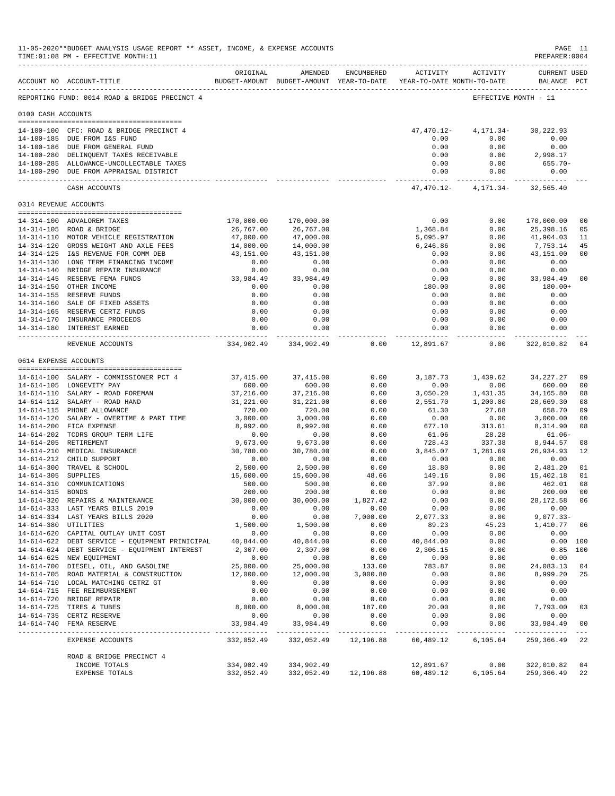|                       | 11-05-2020**BUDGET ANALYSIS USAGE REPORT ** ASSET, INCOME, & EXPENSE ACCOUNTS<br>TIME: 01:08 PM - EFFECTIVE MONTH: 11 |                       |                                                                                |                      |                      |                                            | PAGE 11<br>PREPARER: 0004                                                                                                          |                                 |
|-----------------------|-----------------------------------------------------------------------------------------------------------------------|-----------------------|--------------------------------------------------------------------------------|----------------------|----------------------|--------------------------------------------|------------------------------------------------------------------------------------------------------------------------------------|---------------------------------|
|                       | ACCOUNT NO ACCOUNT-TITLE                                                                                              | ORIGINAL              | AMENDED<br>BUDGET-AMOUNT BUDGET-AMOUNT YEAR-TO-DATE YEAR-TO-DATE MONTH-TO-DATE | ENCUMBERED           | ACTIVITY             | ACTIVITY                                   | <b>CURRENT USED</b><br>BALANCE PCT                                                                                                 |                                 |
|                       | REPORTING FUND: 0014 ROAD & BRIDGE PRECINCT 4                                                                         |                       |                                                                                |                      |                      |                                            | EFFECTIVE MONTH - 11                                                                                                               |                                 |
| 0100 CASH ACCOUNTS    |                                                                                                                       |                       |                                                                                |                      |                      |                                            |                                                                                                                                    |                                 |
|                       | 14-100-100 CFC: ROAD & BRIDGE PRECINCT 4                                                                              |                       |                                                                                |                      |                      |                                            |                                                                                                                                    |                                 |
|                       | 14-100-185 DUE FROM I&S FUND                                                                                          |                       |                                                                                |                      | 0.00                 | $47,470.12 - 4,171.34 - 30,222.93$<br>0.00 | 0.00                                                                                                                               |                                 |
|                       | 14-100-186 DUE FROM GENERAL FUND                                                                                      |                       |                                                                                |                      | 0.00                 | 0.00                                       | 0.00                                                                                                                               |                                 |
|                       | 14-100-280 DELINQUENT TAXES RECEIVABLE                                                                                |                       |                                                                                |                      | 0.00                 |                                            | $0.00$ 2,998.17                                                                                                                    |                                 |
|                       | 14-100-285 ALLOWANCE-UNCOLLECTABLE TAXES                                                                              |                       |                                                                                |                      | 0.00                 | 0.00                                       | 655.70-                                                                                                                            |                                 |
|                       | 14-100-290 DUE FROM APPRAISAL DISTRICT                                                                                |                       |                                                                                |                      |                      | 0.00<br>0.00<br>-----------                | 0.00                                                                                                                               |                                 |
|                       | CASH ACCOUNTS                                                                                                         |                       |                                                                                |                      |                      | $47,470.12 - 4,171.34 - 32,565.40$         |                                                                                                                                    |                                 |
| 0314 REVENUE ACCOUNTS |                                                                                                                       |                       |                                                                                |                      |                      |                                            |                                                                                                                                    |                                 |
|                       | 14-314-100 ADVALOREM TAXES                                                                                            | 170,000.00            | 170,000.00                                                                     |                      | 0.00                 | 0.00                                       | 170,000.00                                                                                                                         | 0 <sub>0</sub>                  |
|                       | 14-314-105 ROAD & BRIDGE                                                                                              | 26,767.00             | 26,767.00                                                                      |                      | 1,368.84             | 0.00                                       | 25,398.16                                                                                                                          | 05                              |
|                       | 14-314-110 MOTOR VEHICLE REGISTRATION                                                                                 | 47,000.00             | 47,000.00                                                                      |                      | 5,095.97             | 0.00                                       | 41,904.03                                                                                                                          | 11                              |
|                       | 14-314-120 GROSS WEIGHT AND AXLE FEES                                                                                 | 14,000.00             | 14,000.00                                                                      |                      | 6,246.86             | 0.00                                       | 7,753.14                                                                                                                           | 45                              |
|                       | 14-314-125 I&S REVENUE FOR COMM DEB                                                                                   | 43,151.00             | 43,151.00                                                                      |                      | 0.00                 | 0.00                                       | 43,151.00                                                                                                                          | 0 <sub>0</sub>                  |
|                       | 14-314-130 LONG TERM FINANCING INCOME                                                                                 | 0.00                  | 0.00                                                                           |                      | 0.00                 | 0.00                                       | 0.00                                                                                                                               |                                 |
|                       | 14-314-140 BRIDGE REPAIR INSURANCE                                                                                    | 0.00                  | 0.00                                                                           |                      | 0.00                 |                                            | $\begin{array}{ccc} 0\, . \, 0 \, 0 & 0\, . \, 0 \, 0 \\ 0 \, . \, 0 \, 0 & 3 \, 3 \, , \, 9 \, 8 \, 4 \, . \, 4 \, 9 \end{array}$ |                                 |
|                       | 14-314-145 RESERVE FEMA FUNDS                                                                                         | 33,984.49             | 33,984.49                                                                      |                      | 0.00                 |                                            |                                                                                                                                    | 0 <sup>0</sup>                  |
|                       | 14-314-150 OTHER INCOME                                                                                               | 0.00                  | 0.00                                                                           |                      | 180.00               | 0.00                                       | 180.00+                                                                                                                            |                                 |
|                       | 14-314-155 RESERVE FUNDS                                                                                              | 0.00                  | 0.00                                                                           |                      | 0.00                 | 0.00                                       | 0.00                                                                                                                               |                                 |
|                       | 14-314-160 SALE OF FIXED ASSETS                                                                                       | 0.00                  | 0.00                                                                           |                      | 0.00                 | 0.00                                       | 0.00                                                                                                                               |                                 |
|                       | 14-314-165 RESERVE CERTZ FUNDS<br>14-314-170 INSURANCE PROCEEDS                                                       | 0.00<br>0.00          | 0.00<br>0.00                                                                   |                      | 0.00<br>0.00         | 0.00<br>0.00                               | 0.00<br>0.00                                                                                                                       |                                 |
|                       | 14-314-180 INTEREST EARNED                                                                                            | 0.00                  | 0.00                                                                           |                      | 0.00                 | 0.00                                       | 0.00                                                                                                                               |                                 |
|                       |                                                                                                                       |                       | -------------                                                                  |                      | -------------        | -----------                                | ------------                                                                                                                       |                                 |
|                       | REVENUE ACCOUNTS                                                                                                      |                       | 334,902.49 334,902.49                                                          |                      | $0.00$ 12,891.67     | 0.00                                       | 322,010.82                                                                                                                         | 04                              |
|                       | 0614 EXPENSE ACCOUNTS                                                                                                 |                       |                                                                                |                      |                      |                                            |                                                                                                                                    |                                 |
|                       | 14-614-100 SALARY - COMMISSIONER PCT 4 37,415.00                                                                      |                       | 37,415.00                                                                      | 0.00                 | 3,187.73             | 1,439.62                                   | 34,227.27                                                                                                                          | 09                              |
|                       | 14-614-105 LONGEVITY PAY                                                                                              | 600.00                | 600.00                                                                         | 0.00                 | 0.00                 | 0.00                                       | 600.00                                                                                                                             | 0 <sub>0</sub>                  |
|                       | 14-614-110 SALARY - ROAD FOREMAN                                                                                      | 37,216.00             | 37,216.00                                                                      | 0.00                 | 3,050.20             | 1,431.35                                   | 34,165.80                                                                                                                          | 08                              |
|                       | 14-614-112 SALARY - ROAD HAND                                                                                         | 31,221.00             | 31,221.00                                                                      | 0.00                 | 2,551.70             | 1,200.80                                   | 28,669.30                                                                                                                          | 08                              |
|                       | 14-614-115 PHONE ALLOWANCE                                                                                            | 720.00                | 720.00                                                                         | 0.00                 | 61.30                | 27.68                                      | 658.70                                                                                                                             | 09                              |
|                       | 14-614-120 SALARY - OVERTIME & PART TIME                                                                              | 3,000.00              | 3,000.00                                                                       | 0.00                 | 0.00                 | 0.00                                       | 3,000.00                                                                                                                           | 0 <sub>0</sub>                  |
|                       | 14-614-200 FICA EXPENSE                                                                                               | 8,992.00              | 8,992.00                                                                       | 0.00                 | 677.10               | 313.61                                     | 8,314.90                                                                                                                           | 08                              |
|                       | 14-614-202 TCDRS GROUP TERM LIFE                                                                                      | 0.00                  | 0.00<br>9,673.00                                                               | 0.00                 | 61.06<br>728.43      | 28.28                                      | $61.06 -$                                                                                                                          | 08                              |
|                       | 14-614-205 RETIREMENT<br>14-614-210 MEDICAL INSURANCE                                                                 | 9,673.00<br>30,780.00 | 30,780.00                                                                      | 0.00<br>0.00         | 3,845.07             | 337.38<br>1,281.69                         | 8,944.57<br>26,934.93                                                                                                              | 12                              |
|                       | 14-614-212 CHILD SUPPORT                                                                                              | 0.00                  | 0.00                                                                           | 0.00                 | 0.00                 | 0.00                                       | 0.00                                                                                                                               |                                 |
|                       | 14-614-300 TRAVEL & SCHOOL                                                                                            | 2,500.00              | 2,500.00                                                                       | 0.00                 | 18.80                | 0.00                                       | 2,481.20                                                                                                                           | 01                              |
| 14-614-305 SUPPLIES   |                                                                                                                       | 15,600.00             | 15,600.00                                                                      | 48.66                | 149.16               | 0.00                                       | 15,402.18                                                                                                                          | 01                              |
|                       | 14-614-310 COMMUNICATIONS                                                                                             | 500.00                | 500.00                                                                         | 0.00                 | 37.99                | 0.00                                       | 462.01                                                                                                                             | 08                              |
| 14-614-315 BONDS      |                                                                                                                       | 200.00                | 200.00                                                                         | 0.00                 | 0.00                 | 0.00                                       | 200.00                                                                                                                             | 0 <sub>0</sub>                  |
|                       | 14-614-320 REPAIRS & MAINTENANCE                                                                                      | 30,000.00             | 30,000.00                                                                      | 1,827.42             | 0.00                 | 0.00                                       | 28, 172. 58 06                                                                                                                     |                                 |
|                       | 14-614-333 LAST YEARS BILLS 2019                                                                                      | 0.00                  | 0.00                                                                           | 0.00                 | 0.00                 | 0.00                                       | 0.00                                                                                                                               |                                 |
|                       | 14-614-334 LAST YEARS BILLS 2020                                                                                      | 0.00                  | 0.00                                                                           | 7,000.00             | 2,077.33             | 0.00                                       | $9,077.33-$                                                                                                                        |                                 |
| 14-614-380 UTILITIES  |                                                                                                                       | 1,500.00              | 1,500.00                                                                       | 0.00                 | 89.23                | 45.23                                      | 1,410.77 06                                                                                                                        |                                 |
|                       | 14-614-620 CAPITAL OUTLAY UNIT COST<br>14-614-622 DEBT SERVICE - EQUIPMENT PRINICIPAL 40,844.00                       | 0.00                  | 0.00<br>40,844.00                                                              | 0.00<br>0.00         | 0.00<br>40,844.00    | 0.00<br>0.00                               | 0.00                                                                                                                               | 0.00 100                        |
|                       | 14-614-624 DEBT SERVICE - EQUIPMENT INTEREST                                                                          | 2,307.00              | 2,307.00                                                                       | 0.00                 | 2,306.15             | 0.00                                       |                                                                                                                                    | $0.85$ 100                      |
|                       | 14-614-625 NEW EQUIPMENT                                                                                              | 0.00                  | 0.00                                                                           | 0.00                 | 0.00                 | 0.00                                       | 0.00                                                                                                                               |                                 |
|                       | 14-614-700 DIESEL, OIL, AND GASOLINE                                                                                  | 25,000.00             | 25,000.00                                                                      | 133.00               | 783.87               | 0.00                                       | 24,083.13                                                                                                                          | 04                              |
|                       | 14-614-705 ROAD MATERIAL & CONSTRUCTION                                                                               | 12,000.00             | 12,000.00                                                                      | 3,000.80             | 0.00                 | 0.00                                       | 8,999.20                                                                                                                           | 25                              |
|                       | 14-614-710 LOCAL MATCHING CETRZ GT                                                                                    | 0.00                  | 0.00                                                                           | 0.00                 | 0.00                 | 0.00                                       | 0.00                                                                                                                               |                                 |
|                       | 14-614-715 FEE REIMBURSEMENT                                                                                          | 0.00                  | 0.00                                                                           | 0.00                 | 0.00                 | 0.00                                       | 0.00                                                                                                                               |                                 |
|                       | 14-614-720 BRIDGE REPAIR                                                                                              | 0.00                  | 0.00                                                                           | 0.00                 | 0.00                 | 0.00                                       | 0.00                                                                                                                               |                                 |
|                       | 14-614-725 TIRES & TUBES                                                                                              | 8,000.00              | 8,000.00                                                                       | 187.00               | 20.00                | 0.00                                       | 7,793.00                                                                                                                           | 03                              |
|                       | 14-614-735 CERTZ RESERVE                                                                                              | 0.00                  | 0.00                                                                           | 0.00                 | 0.00                 | 0.00                                       | 0.00                                                                                                                               |                                 |
|                       | 14-614-740 FEMA RESERVE                                                                                               | 33,984.49             | 33,984.49                                                                      | 0.00<br>------------ | 0.00<br>------------ | 0.00                                       | 33,984.49                                                                                                                          | 0 <sub>0</sub><br>$\frac{1}{2}$ |
|                       | EXPENSE ACCOUNTS                                                                                                      |                       | 332,052.49 332,052.49 12,196.88 60,489.12 6,105.64                             |                      |                      |                                            | 259, 366. 49 22                                                                                                                    |                                 |
|                       | ROAD & BRIDGE PRECINCT 4                                                                                              |                       |                                                                                |                      |                      |                                            |                                                                                                                                    |                                 |
|                       | INCOME TOTALS                                                                                                         | 334,902.49            | 334,902.49                                                                     |                      | 12,891.67            | 0.00                                       | 322,010.82                                                                                                                         | 04                              |
|                       | EXPENSE TOTALS                                                                                                        |                       | 332,052.49 332,052.49 12,196.88 60,489.12 6,105.64                             |                      |                      |                                            | 259,366.49                                                                                                                         | 22                              |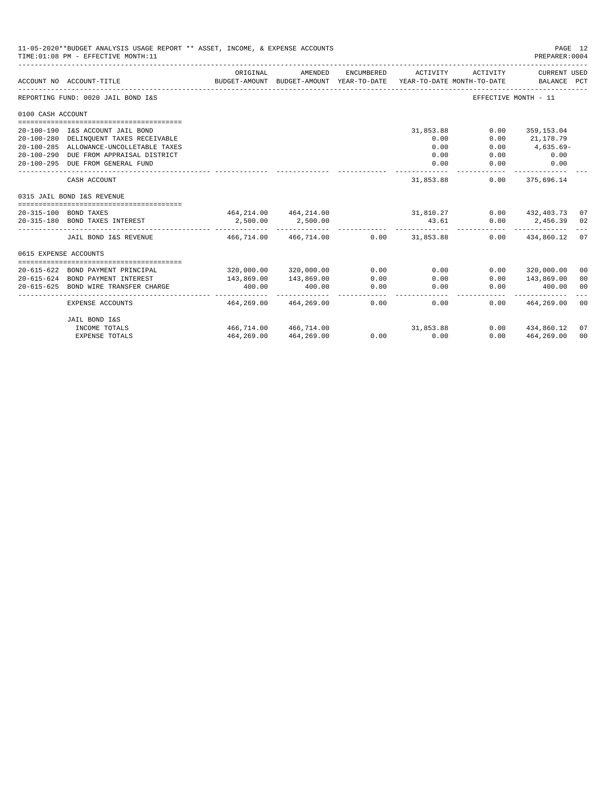| 11-05-2020**BUDGET ANALYSIS USAGE REPORT ** ASSET, INCOME, & EXPENSE ACCOUNTS<br>PAGE 12<br>TIME: 01:08 PM - EFFECTIVE MONTH: 11<br>PREPARER: 0004<br>ORIGINAL<br>AMENDED<br>ENCUMBERED<br>ACTIVITY<br>ACTIVITY<br>CURRENT USED<br>BALANCE PCT<br>BUDGET-AMOUNT BUDGET-AMOUNT YEAR-TO-DATE YEAR-TO-DATE MONTH-TO-DATE<br>ACCOUNT NO ACCOUNT-TITLE<br>REPORTING FUND: 0020 JAIL BOND I&S<br>EFFECTIVE MONTH - 11<br>0100 CASH ACCOUNT<br>20-100-190 I&S ACCOUNT JAIL BOND<br>31,853.88<br>0.00<br>359,153.04<br>0.00<br>21,178.79<br>20-100-280 DELINQUENT TAXES RECEIVABLE<br>0.00<br>$4,635.69-$<br>20-100-285 ALLOWANCE-UNCOLLETABLE TAXES<br>0.00<br>0.00<br>$20 - 100 - 290$<br>DUE FROM APPRAISAL DISTRICT<br>0.00<br>0.00<br>0.00<br>20-100-295 DUE FROM GENERAL FUND<br>0.00<br>0.00<br>0.00<br>--------------<br>-----------<br>31,853.88<br>$0.00$ 375,696.14<br>CASH ACCOUNT<br>0315 JAIL BOND I&S REVENUE<br>464, 214.00  464, 214.00  31, 810.27  0.00  432, 403.73  07<br>20-315-100 BOND TAXES<br>$0.00$ 2,456.39 02<br>2,500.00<br>20-315-180 BOND TAXES INTEREST<br>2,500.00<br>43.61<br>------------<br>466,714.00 466,714.00<br>$0.00$ 31,853.88<br>$0.00$ $434,860.12$ 07<br>JAIL BOND I&S REVENUE<br>0615 EXPENSE ACCOUNTS<br>0.00<br>320,000.00 320,000.00<br>0.00<br>$0.00$ 320,000.00<br>BOND PAYMENT PRINCIPAL<br>00<br>20-615-624 BOND PAYMENT INTEREST<br>143,869.00<br>143,869.00<br>0.00<br>0.00<br>0.00<br>143,869.00<br>0 <sup>0</sup><br>400.00<br>BOND WIRE TRANSFER CHARGE<br>400.00<br>0.00<br>0.00<br>0.00<br>400.00<br>0 <sup>0</sup><br>-----------<br>-------<br>$\frac{1}{2} \frac{1}{2} \frac{1}{2} \frac{1}{2} \frac{1}{2} \frac{1}{2} \frac{1}{2} \frac{1}{2} \frac{1}{2} \frac{1}{2} \frac{1}{2} \frac{1}{2} \frac{1}{2} \frac{1}{2} \frac{1}{2} \frac{1}{2} \frac{1}{2} \frac{1}{2} \frac{1}{2} \frac{1}{2} \frac{1}{2} \frac{1}{2} \frac{1}{2} \frac{1}{2} \frac{1}{2} \frac{1}{2} \frac{1}{2} \frac{1}{2} \frac{1}{2} \frac{1}{2} \frac{1}{2} \frac{$<br>464,269.00<br>464,269.00<br>0.00<br>0.00<br>$0.00$ $464.269.00$<br>00<br>EXPENSE ACCOUNTS |                       |            |                       |             |      |                        |    |
|--------------------------------------------------------------------------------------------------------------------------------------------------------------------------------------------------------------------------------------------------------------------------------------------------------------------------------------------------------------------------------------------------------------------------------------------------------------------------------------------------------------------------------------------------------------------------------------------------------------------------------------------------------------------------------------------------------------------------------------------------------------------------------------------------------------------------------------------------------------------------------------------------------------------------------------------------------------------------------------------------------------------------------------------------------------------------------------------------------------------------------------------------------------------------------------------------------------------------------------------------------------------------------------------------------------------------------------------------------------------------------------------------------------------------------------------------------------------------------------------------------------------------------------------------------------------------------------------------------------------------------------------------------------------------------------------------------------------------------------------------------------------------------------------------------------------------------------------------------------------------------------------------------------------------------------------------------------------------------------------------------------------------------------------------------------------------------------------------|-----------------------|------------|-----------------------|-------------|------|------------------------|----|
|                                                                                                                                                                                                                                                                                                                                                                                                                                                                                                                                                                                                                                                                                                                                                                                                                                                                                                                                                                                                                                                                                                                                                                                                                                                                                                                                                                                                                                                                                                                                                                                                                                                                                                                                                                                                                                                                                                                                                                                                                                                                                                  |                       |            |                       |             |      |                        |    |
|                                                                                                                                                                                                                                                                                                                                                                                                                                                                                                                                                                                                                                                                                                                                                                                                                                                                                                                                                                                                                                                                                                                                                                                                                                                                                                                                                                                                                                                                                                                                                                                                                                                                                                                                                                                                                                                                                                                                                                                                                                                                                                  |                       |            |                       |             |      |                        |    |
|                                                                                                                                                                                                                                                                                                                                                                                                                                                                                                                                                                                                                                                                                                                                                                                                                                                                                                                                                                                                                                                                                                                                                                                                                                                                                                                                                                                                                                                                                                                                                                                                                                                                                                                                                                                                                                                                                                                                                                                                                                                                                                  |                       |            |                       |             |      |                        |    |
|                                                                                                                                                                                                                                                                                                                                                                                                                                                                                                                                                                                                                                                                                                                                                                                                                                                                                                                                                                                                                                                                                                                                                                                                                                                                                                                                                                                                                                                                                                                                                                                                                                                                                                                                                                                                                                                                                                                                                                                                                                                                                                  |                       |            |                       |             |      |                        |    |
|                                                                                                                                                                                                                                                                                                                                                                                                                                                                                                                                                                                                                                                                                                                                                                                                                                                                                                                                                                                                                                                                                                                                                                                                                                                                                                                                                                                                                                                                                                                                                                                                                                                                                                                                                                                                                                                                                                                                                                                                                                                                                                  |                       |            |                       |             |      |                        |    |
|                                                                                                                                                                                                                                                                                                                                                                                                                                                                                                                                                                                                                                                                                                                                                                                                                                                                                                                                                                                                                                                                                                                                                                                                                                                                                                                                                                                                                                                                                                                                                                                                                                                                                                                                                                                                                                                                                                                                                                                                                                                                                                  |                       |            |                       |             |      |                        |    |
|                                                                                                                                                                                                                                                                                                                                                                                                                                                                                                                                                                                                                                                                                                                                                                                                                                                                                                                                                                                                                                                                                                                                                                                                                                                                                                                                                                                                                                                                                                                                                                                                                                                                                                                                                                                                                                                                                                                                                                                                                                                                                                  |                       |            |                       |             |      |                        |    |
|                                                                                                                                                                                                                                                                                                                                                                                                                                                                                                                                                                                                                                                                                                                                                                                                                                                                                                                                                                                                                                                                                                                                                                                                                                                                                                                                                                                                                                                                                                                                                                                                                                                                                                                                                                                                                                                                                                                                                                                                                                                                                                  |                       |            |                       |             |      |                        |    |
|                                                                                                                                                                                                                                                                                                                                                                                                                                                                                                                                                                                                                                                                                                                                                                                                                                                                                                                                                                                                                                                                                                                                                                                                                                                                                                                                                                                                                                                                                                                                                                                                                                                                                                                                                                                                                                                                                                                                                                                                                                                                                                  |                       |            |                       |             |      |                        |    |
|                                                                                                                                                                                                                                                                                                                                                                                                                                                                                                                                                                                                                                                                                                                                                                                                                                                                                                                                                                                                                                                                                                                                                                                                                                                                                                                                                                                                                                                                                                                                                                                                                                                                                                                                                                                                                                                                                                                                                                                                                                                                                                  |                       |            |                       |             |      |                        |    |
|                                                                                                                                                                                                                                                                                                                                                                                                                                                                                                                                                                                                                                                                                                                                                                                                                                                                                                                                                                                                                                                                                                                                                                                                                                                                                                                                                                                                                                                                                                                                                                                                                                                                                                                                                                                                                                                                                                                                                                                                                                                                                                  |                       |            |                       |             |      |                        |    |
|                                                                                                                                                                                                                                                                                                                                                                                                                                                                                                                                                                                                                                                                                                                                                                                                                                                                                                                                                                                                                                                                                                                                                                                                                                                                                                                                                                                                                                                                                                                                                                                                                                                                                                                                                                                                                                                                                                                                                                                                                                                                                                  |                       |            |                       |             |      |                        |    |
|                                                                                                                                                                                                                                                                                                                                                                                                                                                                                                                                                                                                                                                                                                                                                                                                                                                                                                                                                                                                                                                                                                                                                                                                                                                                                                                                                                                                                                                                                                                                                                                                                                                                                                                                                                                                                                                                                                                                                                                                                                                                                                  |                       |            |                       |             |      |                        |    |
|                                                                                                                                                                                                                                                                                                                                                                                                                                                                                                                                                                                                                                                                                                                                                                                                                                                                                                                                                                                                                                                                                                                                                                                                                                                                                                                                                                                                                                                                                                                                                                                                                                                                                                                                                                                                                                                                                                                                                                                                                                                                                                  |                       |            |                       |             |      |                        |    |
|                                                                                                                                                                                                                                                                                                                                                                                                                                                                                                                                                                                                                                                                                                                                                                                                                                                                                                                                                                                                                                                                                                                                                                                                                                                                                                                                                                                                                                                                                                                                                                                                                                                                                                                                                                                                                                                                                                                                                                                                                                                                                                  |                       |            |                       |             |      |                        |    |
|                                                                                                                                                                                                                                                                                                                                                                                                                                                                                                                                                                                                                                                                                                                                                                                                                                                                                                                                                                                                                                                                                                                                                                                                                                                                                                                                                                                                                                                                                                                                                                                                                                                                                                                                                                                                                                                                                                                                                                                                                                                                                                  |                       |            |                       |             |      |                        |    |
| $20 - 615 - 622$                                                                                                                                                                                                                                                                                                                                                                                                                                                                                                                                                                                                                                                                                                                                                                                                                                                                                                                                                                                                                                                                                                                                                                                                                                                                                                                                                                                                                                                                                                                                                                                                                                                                                                                                                                                                                                                                                                                                                                                                                                                                                 |                       |            |                       |             |      |                        |    |
|                                                                                                                                                                                                                                                                                                                                                                                                                                                                                                                                                                                                                                                                                                                                                                                                                                                                                                                                                                                                                                                                                                                                                                                                                                                                                                                                                                                                                                                                                                                                                                                                                                                                                                                                                                                                                                                                                                                                                                                                                                                                                                  |                       |            |                       |             |      |                        |    |
| $20 - 615 - 625$                                                                                                                                                                                                                                                                                                                                                                                                                                                                                                                                                                                                                                                                                                                                                                                                                                                                                                                                                                                                                                                                                                                                                                                                                                                                                                                                                                                                                                                                                                                                                                                                                                                                                                                                                                                                                                                                                                                                                                                                                                                                                 |                       |            |                       |             |      |                        |    |
|                                                                                                                                                                                                                                                                                                                                                                                                                                                                                                                                                                                                                                                                                                                                                                                                                                                                                                                                                                                                                                                                                                                                                                                                                                                                                                                                                                                                                                                                                                                                                                                                                                                                                                                                                                                                                                                                                                                                                                                                                                                                                                  |                       |            |                       |             |      |                        |    |
|                                                                                                                                                                                                                                                                                                                                                                                                                                                                                                                                                                                                                                                                                                                                                                                                                                                                                                                                                                                                                                                                                                                                                                                                                                                                                                                                                                                                                                                                                                                                                                                                                                                                                                                                                                                                                                                                                                                                                                                                                                                                                                  | JAIL BOND I&S         |            |                       |             |      |                        |    |
|                                                                                                                                                                                                                                                                                                                                                                                                                                                                                                                                                                                                                                                                                                                                                                                                                                                                                                                                                                                                                                                                                                                                                                                                                                                                                                                                                                                                                                                                                                                                                                                                                                                                                                                                                                                                                                                                                                                                                                                                                                                                                                  | INCOME TOTALS         |            | 466.714.00 466.714.00 | 31,853.88   |      | $0.00$ $434.860.12$ 07 |    |
|                                                                                                                                                                                                                                                                                                                                                                                                                                                                                                                                                                                                                                                                                                                                                                                                                                                                                                                                                                                                                                                                                                                                                                                                                                                                                                                                                                                                                                                                                                                                                                                                                                                                                                                                                                                                                                                                                                                                                                                                                                                                                                  | <b>EXPENSE TOTALS</b> | 464,269.00 | 464,269.00            | $0.00$ 0.00 | 0.00 | 464,269.00             | 00 |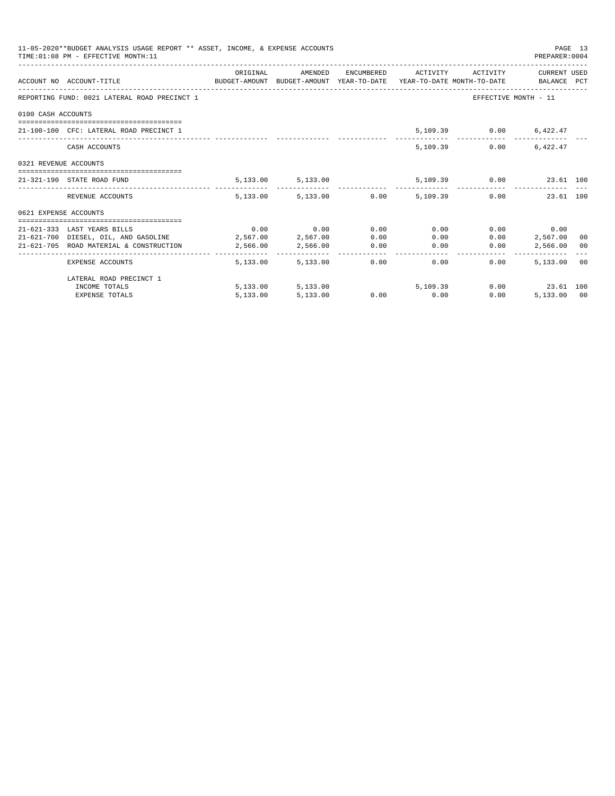| 11-05-2020**BUDGET ANALYSIS USAGE REPORT ** ASSET, INCOME, & EXPENSE ACCOUNTS<br>PAGE 13<br>TIME: 01:08 PM - EFFECTIVE MONTH: 11<br>PREPARER: 0004 |                                                                                                                  |          |                             |      |                                                            |      |                               |  |
|----------------------------------------------------------------------------------------------------------------------------------------------------|------------------------------------------------------------------------------------------------------------------|----------|-----------------------------|------|------------------------------------------------------------|------|-------------------------------|--|
|                                                                                                                                                    | ACCOUNT NO ACCOUNT-TITLE CONTROL SUDGET-AMOUNT BUDGET-AMOUNT YEAR-TO-DATE YEAR-TO-DATE MONTH-TO-DATE BALANCE PCT |          |                             |      | ORIGINAL AMENDED ENCUMBERED ACTIVITY ACTIVITY CURRENT USED |      |                               |  |
|                                                                                                                                                    | REPORTING FUND: 0021 LATERAL ROAD PRECINCT 1                                                                     |          |                             |      |                                                            |      | EFFECTIVE MONTH - 11          |  |
| 0100 CASH ACCOUNTS                                                                                                                                 |                                                                                                                  |          |                             |      |                                                            |      |                               |  |
|                                                                                                                                                    | 21-100-100 CFC: LATERAL ROAD PRECINCT 1                                                                          |          |                             |      |                                                            |      | 5,109.39 0.00 6,422.47        |  |
|                                                                                                                                                    | CASH ACCOUNTS                                                                                                    |          |                             |      | 5,109,39                                                   | 0.00 | 6.422.47                      |  |
| 0321 REVENUE ACCOUNTS                                                                                                                              |                                                                                                                  |          |                             |      |                                                            |      |                               |  |
|                                                                                                                                                    | 21-321-190 STATE ROAD FUND                                                                                       |          | 5, 133.00 5, 133.00         |      |                                                            |      | 5,109.39   0.00   23.61   100 |  |
|                                                                                                                                                    | REVENUE ACCOUNTS                                                                                                 |          |                             |      | 5,133.00 5,133.00 0.00 5,109.39 0.00 23.61 100             |      |                               |  |
| 0621 EXPENSE ACCOUNTS                                                                                                                              |                                                                                                                  |          |                             |      |                                                            |      |                               |  |
|                                                                                                                                                    |                                                                                                                  |          |                             |      |                                                            |      |                               |  |
|                                                                                                                                                    | 21-621-333 LAST YEARS BILLS                                                                                      |          | $0.00$ $0.00$ $0.00$ $0.00$ |      | 0.00                                                       |      | $0.00$ 0.00                   |  |
|                                                                                                                                                    | 21-621-700 DIESEL, OIL, AND GASOLINE 2,567.00 2,567.00                                                           |          |                             | 0.00 |                                                            | 0.00 | $0.00$ 2,567.00 00            |  |
|                                                                                                                                                    | 21-621-705 ROAD MATERIAL & CONSTRUCTION 2,566.00 2,566.00 0.00                                                   |          |                             |      | 0.00                                                       | 0.00 | 2,566.00 00                   |  |
|                                                                                                                                                    | EXPENSE ACCOUNTS                                                                                                 |          | 5,133,00 5,133,00           |      | 0.00<br>0.00                                               | 0.00 | 5,133.00 00                   |  |
|                                                                                                                                                    | LATERAL ROAD PRECINCT 1                                                                                          |          |                             |      |                                                            |      |                               |  |
|                                                                                                                                                    | INCOME TOTALS                                                                                                    |          |                             |      | 5,133.00 5,133.00 5,109.39                                 |      | $0.00$ 23.61 100              |  |
|                                                                                                                                                    | <b>EXPENSE TOTALS</b>                                                                                            | 5,133.00 | 5,133.00                    |      | $0.00$ 0.00                                                | 0.00 | 5,133.00 00                   |  |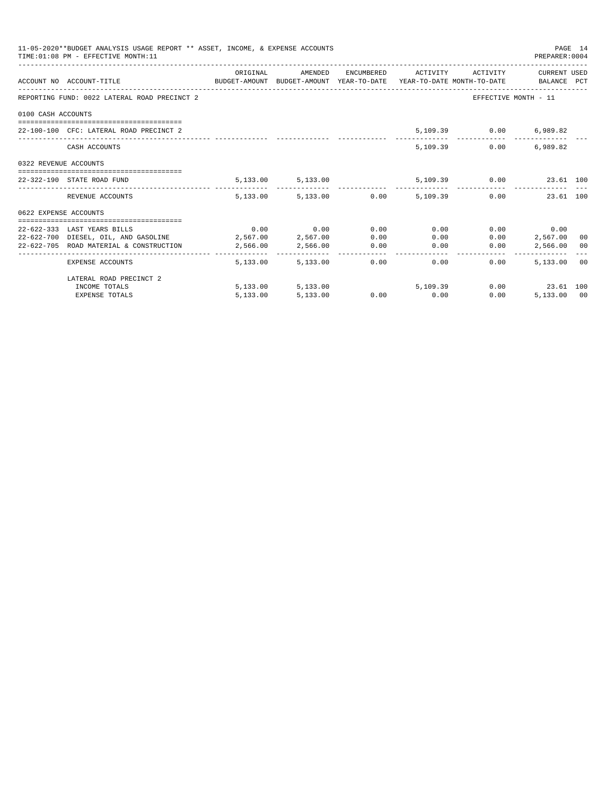|                       | 11-05-2020**BUDGET ANALYSIS USAGE REPORT ** ASSET, INCOME, & EXPENSE ACCOUNTS<br>TIME: 01:08 PM - EFFECTIVE MONTH: 11 |          |                             |      |                                                |              | PREPARER: 0004          | PAGE 14 |
|-----------------------|-----------------------------------------------------------------------------------------------------------------------|----------|-----------------------------|------|------------------------------------------------|--------------|-------------------------|---------|
|                       | ACCOUNT NO ACCOUNT-TITLE CONTROL SUDGET-AMOUNT BUDGET-AMOUNT YEAR-TO-DATE YEAR-TO-DATE MONTH-TO-DATE BALANCE PCT      | ORIGINAL | AMENDED                     |      | ENCUMBERED ACTIVITY ACTIVITY CURRENT USED      |              |                         |         |
|                       | REPORTING FUND: 0022 LATERAL ROAD PRECINCT 2                                                                          |          |                             |      |                                                |              | EFFECTIVE MONTH - 11    |         |
| 0100 CASH ACCOUNTS    |                                                                                                                       |          |                             |      |                                                |              |                         |         |
|                       | 22-100-100 CFC: LATERAL ROAD PRECINCT 2                                                                               |          |                             |      |                                                |              | 5,109.39 0.00 6,989.82  |         |
|                       | CASH ACCOUNTS                                                                                                         |          |                             |      | 5,109.39                                       | 0.00         | 6,989.82                |         |
| 0322 REVENUE ACCOUNTS |                                                                                                                       |          |                             |      |                                                |              |                         |         |
|                       | 22-322-190 STATE ROAD FUND                                                                                            |          | 5, 133.00 5, 133.00         |      |                                                |              | 5,109.39 0.00 23.61 100 |         |
|                       | REVENUE ACCOUNTS                                                                                                      |          |                             |      | 5,133.00 5,133.00 0.00 5,109.39 0.00 23.61 100 |              |                         |         |
| 0622 EXPENSE ACCOUNTS |                                                                                                                       |          |                             |      |                                                |              |                         |         |
|                       | 22-622-333 LAST YEARS BILLS                                                                                           |          | $0.00$ $0.00$ $0.00$ $0.00$ |      | 0.00                                           |              | $0.00$ 0.00             |         |
|                       | 22-622-700 DIESEL, OIL, AND GASOLINE 2,567.00 2,567.00                                                                |          |                             | 0.00 |                                                | 0.00<br>0.00 | 2,567,00 00             |         |
|                       | 22-622-705 ROAD MATERIAL & CONSTRUCTION                                                                               | 2,566.00 | 2,566.00 0.00               |      | 0.00                                           | 0.00         | 2,566.00 00             |         |
|                       | EXPENSE ACCOUNTS                                                                                                      |          | 5,133,00 5,133,00           |      | 0.00<br>0.00                                   | 0.00         | 5,133.00 00             |         |
|                       | LATERAL ROAD PRECINCT 2                                                                                               |          |                             |      |                                                |              |                         |         |
|                       | INCOME TOTALS                                                                                                         |          | 5,133.00 5,133.00           |      | 5,109,39                                       |              | $0.00$ 23.61 100        |         |
|                       | <b>EXPENSE TOTALS</b>                                                                                                 | 5,133.00 | 5,133.00                    |      | $0.00$ $0.00$                                  | 0.00         | 5,133.00 00             |         |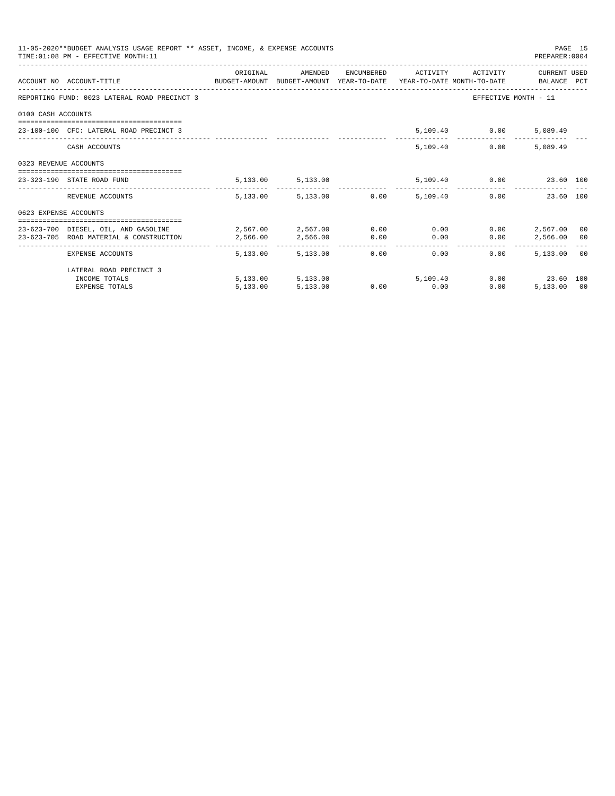| 11-05-2020**BUDGET ANALYSIS USAGE REPORT ** ASSET, INCOME, & EXPENSE ACCOUNTS<br>PAGE 15<br>TIME: 01:08 PM - EFFECTIVE MONTH: 11<br>PREPARER: 0004<br>ORIGINAL<br>ENCUMBERED ACTIVITY ACTIVITY<br>CURRENT USED<br>AMENDED<br>ACCOUNT NO ACCOUNT-TITLE COMPUTE BUDGET-AMOUNT BUDGET-AMOUNT YEAR-TO-DATE YEAR-TO-DATE MONTH-TO-DATE BALANCE PCT<br>REPORTING FUND: 0023 LATERAL ROAD PRECINCT 3<br>EFFECTIVE MONTH - 11<br>0100 CASH ACCOUNTS<br>5,109.40 0.00<br>23-100-100 CFC: LATERAL ROAD PRECINCT 3<br>5,089.49<br>5,109.40<br>0.00<br>5,089.49<br>CASH ACCOUNTS<br>0323 REVENUE ACCOUNTS<br>5,109.40   0.00   23.60   100<br>5, 133.00 5, 133.00<br>23-323-190 STATE ROAD FUND<br>5,133.00 5,133.00 0.00 5,109.40<br>$0.00$ and $0.00$<br>23.60 100<br>REVENUE ACCOUNTS<br>0623 EXPENSE ACCOUNTS<br>$2,567.00$ $2,567.00$ $0.00$ $0.00$<br>0.00<br>2,567.00<br>23-623-700 DIESEL, OIL, AND GASOLINE<br>00<br>2,566.00<br>0.00<br>0.00<br>0.00<br>2,566,00 00<br>23-623-705 ROAD MATERIAL & CONSTRUCTION 2.566.00<br>_____________________________________<br>---------------<br>-----------------------------<br>5,133.00<br>5,133,00<br>0.00<br>0.00<br>$0.00 -$<br>5,133,00 00<br>EXPENSE ACCOUNTS |          |                            |  |             |      |                |  |
|-----------------------------------------------------------------------------------------------------------------------------------------------------------------------------------------------------------------------------------------------------------------------------------------------------------------------------------------------------------------------------------------------------------------------------------------------------------------------------------------------------------------------------------------------------------------------------------------------------------------------------------------------------------------------------------------------------------------------------------------------------------------------------------------------------------------------------------------------------------------------------------------------------------------------------------------------------------------------------------------------------------------------------------------------------------------------------------------------------------------------------------------------------------------------------------------------------------|----------|----------------------------|--|-------------|------|----------------|--|
|                                                                                                                                                                                                                                                                                                                                                                                                                                                                                                                                                                                                                                                                                                                                                                                                                                                                                                                                                                                                                                                                                                                                                                                                           |          |                            |  |             |      |                |  |
|                                                                                                                                                                                                                                                                                                                                                                                                                                                                                                                                                                                                                                                                                                                                                                                                                                                                                                                                                                                                                                                                                                                                                                                                           |          |                            |  |             |      |                |  |
|                                                                                                                                                                                                                                                                                                                                                                                                                                                                                                                                                                                                                                                                                                                                                                                                                                                                                                                                                                                                                                                                                                                                                                                                           |          |                            |  |             |      |                |  |
|                                                                                                                                                                                                                                                                                                                                                                                                                                                                                                                                                                                                                                                                                                                                                                                                                                                                                                                                                                                                                                                                                                                                                                                                           |          |                            |  |             |      |                |  |
|                                                                                                                                                                                                                                                                                                                                                                                                                                                                                                                                                                                                                                                                                                                                                                                                                                                                                                                                                                                                                                                                                                                                                                                                           |          |                            |  |             |      |                |  |
|                                                                                                                                                                                                                                                                                                                                                                                                                                                                                                                                                                                                                                                                                                                                                                                                                                                                                                                                                                                                                                                                                                                                                                                                           |          |                            |  |             |      |                |  |
|                                                                                                                                                                                                                                                                                                                                                                                                                                                                                                                                                                                                                                                                                                                                                                                                                                                                                                                                                                                                                                                                                                                                                                                                           |          |                            |  |             |      |                |  |
|                                                                                                                                                                                                                                                                                                                                                                                                                                                                                                                                                                                                                                                                                                                                                                                                                                                                                                                                                                                                                                                                                                                                                                                                           |          |                            |  |             |      |                |  |
|                                                                                                                                                                                                                                                                                                                                                                                                                                                                                                                                                                                                                                                                                                                                                                                                                                                                                                                                                                                                                                                                                                                                                                                                           |          |                            |  |             |      |                |  |
|                                                                                                                                                                                                                                                                                                                                                                                                                                                                                                                                                                                                                                                                                                                                                                                                                                                                                                                                                                                                                                                                                                                                                                                                           |          |                            |  |             |      |                |  |
|                                                                                                                                                                                                                                                                                                                                                                                                                                                                                                                                                                                                                                                                                                                                                                                                                                                                                                                                                                                                                                                                                                                                                                                                           |          |                            |  |             |      |                |  |
|                                                                                                                                                                                                                                                                                                                                                                                                                                                                                                                                                                                                                                                                                                                                                                                                                                                                                                                                                                                                                                                                                                                                                                                                           |          |                            |  |             |      |                |  |
| LATERAL ROAD PRECINCT 3                                                                                                                                                                                                                                                                                                                                                                                                                                                                                                                                                                                                                                                                                                                                                                                                                                                                                                                                                                                                                                                                                                                                                                                   |          |                            |  |             |      |                |  |
| INCOME TOTALS                                                                                                                                                                                                                                                                                                                                                                                                                                                                                                                                                                                                                                                                                                                                                                                                                                                                                                                                                                                                                                                                                                                                                                                             |          | 5,133.00 5,133.00 5,109.40 |  |             |      | 0.00 23.60 100 |  |
| <b>EXPENSE TOTALS</b>                                                                                                                                                                                                                                                                                                                                                                                                                                                                                                                                                                                                                                                                                                                                                                                                                                                                                                                                                                                                                                                                                                                                                                                     | 5,133.00 | 5,133.00                   |  | $0.00$ 0.00 | 0.00 | 5,133,00 00    |  |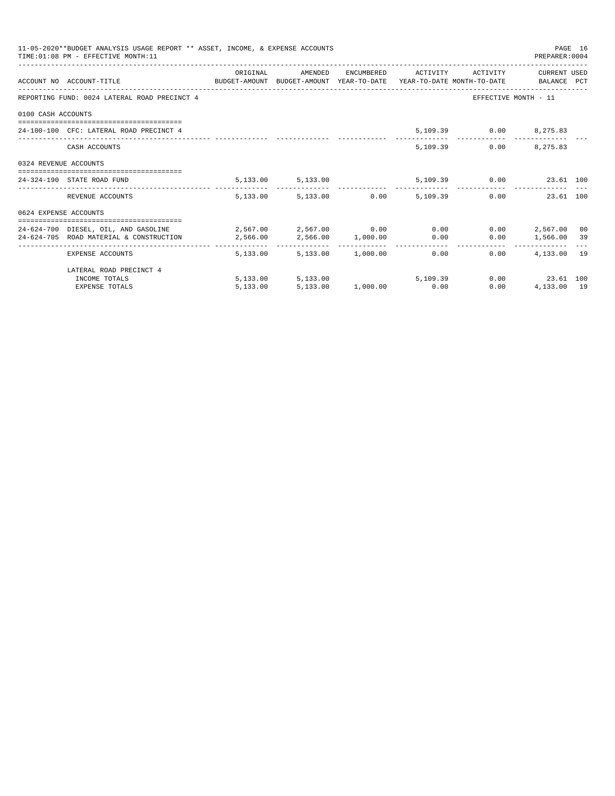| 11-05-2020**BUDGET ANALYSIS USAGE REPORT ** ASSET, INCOME, & EXPENSE ACCOUNTS<br>PAGE 16<br>TIME: 01:08 PM - EFFECTIVE MONTH: 11<br>PREPARER: 0004<br>ORIGINAL<br>AMENDED<br>ENCUMBERED ACTIVITY ACTIVITY<br>CURRENT USED<br>ACCOUNT NO ACCOUNT-TITLE COMPUTE BUDGET-AMOUNT BUDGET-AMOUNT YEAR-TO-DATE YEAR-TO-DATE MONTH-TO-DATE BALANCE PCT<br>REPORTING FUND: 0024 LATERAL ROAD PRECINCT 4<br>EFFECTIVE MONTH - 11<br>0100 CASH ACCOUNTS<br>24-100-100 CFC: LATERAL ROAD PRECINCT 4<br>5,109.39 0.00 8,275.83<br>$0.00$ 8,275.83<br>5,109.39<br>CASH ACCOUNTS<br>0324 REVENUE ACCOUNTS<br>-------------------------------------<br>5,133.00 5,133.00 5,109.39 0.00 23.61 100<br>24-324-190 STATE ROAD FUND<br>5,133.00 5,133.00 0.00 5,109.39<br>0.00<br>23.61 100<br>REVENUE ACCOUNTS<br>0624 EXPENSE ACCOUNTS<br>$24-624-700$ DIESEL, OIL, AND GASOLINE $2,567.00$ $2,567.00$ $0.00$ 0.00 0.00<br>$0.00$ 2.567.00<br>00<br>2,566.00 1,000.00 0.00<br>$0.00$ 1,566.00 39<br>24-624-705 ROAD MATERIAL & CONSTRUCTION<br>2,566.00<br>5,133.00 1,000.00 0.00<br>4,133.00 19<br>5,133,00<br>0.00<br>EXPENSE ACCOUNTS |          |                            |  |  |  |                     |  |
|----------------------------------------------------------------------------------------------------------------------------------------------------------------------------------------------------------------------------------------------------------------------------------------------------------------------------------------------------------------------------------------------------------------------------------------------------------------------------------------------------------------------------------------------------------------------------------------------------------------------------------------------------------------------------------------------------------------------------------------------------------------------------------------------------------------------------------------------------------------------------------------------------------------------------------------------------------------------------------------------------------------------------------------------------------------------------------------------------------------------|----------|----------------------------|--|--|--|---------------------|--|
|                                                                                                                                                                                                                                                                                                                                                                                                                                                                                                                                                                                                                                                                                                                                                                                                                                                                                                                                                                                                                                                                                                                      |          |                            |  |  |  |                     |  |
|                                                                                                                                                                                                                                                                                                                                                                                                                                                                                                                                                                                                                                                                                                                                                                                                                                                                                                                                                                                                                                                                                                                      |          |                            |  |  |  |                     |  |
|                                                                                                                                                                                                                                                                                                                                                                                                                                                                                                                                                                                                                                                                                                                                                                                                                                                                                                                                                                                                                                                                                                                      |          |                            |  |  |  |                     |  |
|                                                                                                                                                                                                                                                                                                                                                                                                                                                                                                                                                                                                                                                                                                                                                                                                                                                                                                                                                                                                                                                                                                                      |          |                            |  |  |  |                     |  |
|                                                                                                                                                                                                                                                                                                                                                                                                                                                                                                                                                                                                                                                                                                                                                                                                                                                                                                                                                                                                                                                                                                                      |          |                            |  |  |  |                     |  |
|                                                                                                                                                                                                                                                                                                                                                                                                                                                                                                                                                                                                                                                                                                                                                                                                                                                                                                                                                                                                                                                                                                                      |          |                            |  |  |  |                     |  |
|                                                                                                                                                                                                                                                                                                                                                                                                                                                                                                                                                                                                                                                                                                                                                                                                                                                                                                                                                                                                                                                                                                                      |          |                            |  |  |  |                     |  |
|                                                                                                                                                                                                                                                                                                                                                                                                                                                                                                                                                                                                                                                                                                                                                                                                                                                                                                                                                                                                                                                                                                                      |          |                            |  |  |  |                     |  |
|                                                                                                                                                                                                                                                                                                                                                                                                                                                                                                                                                                                                                                                                                                                                                                                                                                                                                                                                                                                                                                                                                                                      |          |                            |  |  |  |                     |  |
|                                                                                                                                                                                                                                                                                                                                                                                                                                                                                                                                                                                                                                                                                                                                                                                                                                                                                                                                                                                                                                                                                                                      |          |                            |  |  |  |                     |  |
|                                                                                                                                                                                                                                                                                                                                                                                                                                                                                                                                                                                                                                                                                                                                                                                                                                                                                                                                                                                                                                                                                                                      |          |                            |  |  |  |                     |  |
| LATERAL ROAD PRECINCT 4                                                                                                                                                                                                                                                                                                                                                                                                                                                                                                                                                                                                                                                                                                                                                                                                                                                                                                                                                                                                                                                                                              |          |                            |  |  |  |                     |  |
| INCOME TOTALS                                                                                                                                                                                                                                                                                                                                                                                                                                                                                                                                                                                                                                                                                                                                                                                                                                                                                                                                                                                                                                                                                                        |          | 5,133.00 5,133.00 5,109.39 |  |  |  | $0.00$ 23.61 100    |  |
| <b>EXPENSE TOTALS</b>                                                                                                                                                                                                                                                                                                                                                                                                                                                                                                                                                                                                                                                                                                                                                                                                                                                                                                                                                                                                                                                                                                | 5,133.00 | 5,133.00 1,000.00 0.00     |  |  |  | 0.00<br>4,133.00 19 |  |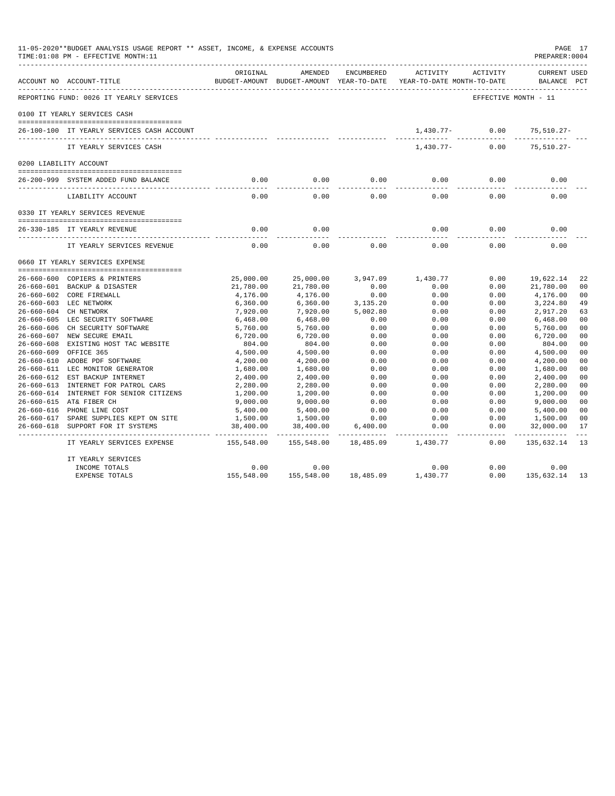|                  | 11-05-2020**BUDGET ANALYSIS USAGE REPORT ** ASSET, INCOME, & EXPENSE ACCOUNTS<br>TIME: 01:08 PM - EFFECTIVE MONTH: 11<br>------------------------ |               |                                                     |            |                                        |                      | PAGE 17<br>PREPARER: 0004   |                |
|------------------|---------------------------------------------------------------------------------------------------------------------------------------------------|---------------|-----------------------------------------------------|------------|----------------------------------------|----------------------|-----------------------------|----------------|
|                  | ACCOUNT NO ACCOUNT-TITLE                                                                                                                          | ORIGINAL      | AMENDED<br>BUDGET-AMOUNT BUDGET-AMOUNT YEAR-TO-DATE | ENCUMBERED | ACTIVITY<br>YEAR-TO-DATE MONTH-TO-DATE | ACTIVITY             | CURRENT USED<br>BALANCE PCT |                |
|                  | REPORTING FUND: 0026 IT YEARLY SERVICES                                                                                                           |               |                                                     |            |                                        | EFFECTIVE MONTH - 11 |                             |                |
|                  | 0100 IT YEARLY SERVICES CASH                                                                                                                      |               |                                                     |            |                                        |                      |                             |                |
|                  | 26-100-100 IT YEARLY SERVICES CASH ACCOUNT                                                                                                        |               |                                                     |            | 1,430.77-                              | 0.00                 | 75,510.27-                  |                |
|                  | IT YEARLY SERVICES CASH                                                                                                                           |               |                                                     |            | 1,430.77-                              | 0.00                 | $75,510.27 -$               |                |
|                  | 0200 LIABILITY ACCOUNT                                                                                                                            |               |                                                     |            |                                        |                      |                             |                |
|                  | 26-200-999 SYSTEM ADDED FUND BALANCE                                                                                                              | 0.00          | 0.00                                                | 0.00       | 0.00                                   | 0.00                 | 0.00                        |                |
|                  | LIABILITY ACCOUNT                                                                                                                                 | -----<br>0.00 | $- - - - -$<br>0.00                                 | 0.00       | 0.00                                   | 0.00                 | 0.00                        |                |
|                  | 0330 IT YEARLY SERVICES REVENUE                                                                                                                   |               |                                                     |            |                                        |                      |                             |                |
|                  | 26-330-185 IT YEARLY REVENUE                                                                                                                      | 0.00          | 0.00                                                |            | 0.00                                   | 0.00                 | 0.00                        |                |
|                  | IT YEARLY SERVICES REVENUE                                                                                                                        | 0.00          | 0.00                                                | 0.00       | 0.00                                   | 0.00                 | 0.00                        |                |
|                  | 0660 IT YEARLY SERVICES EXPENSE                                                                                                                   |               |                                                     |            |                                        |                      |                             |                |
|                  | 26-660-600 COPIERS & PRINTERS                                                                                                                     | 25,000.00     | 25,000.00                                           | 3,947.09   | 1,430.77                               | 0.00                 | 19,622.14                   | 22             |
|                  | 26-660-601 BACKUP & DISASTER                                                                                                                      | 21,780.00     | 21,780.00                                           | 0.00       | 0.00                                   | 0.00                 | 21,780.00                   | 0 <sub>0</sub> |
|                  | 26-660-602 CORE FIREWALL                                                                                                                          | 4,176.00      | 4,176.00                                            | 0.00       | 0.00                                   | 0.00                 | 4,176.00                    | 0 <sub>0</sub> |
|                  | 26-660-603 LEC NETWORK                                                                                                                            | 6,360.00      | 6,360.00                                            | 3,135.20   | 0.00                                   | 0.00                 | 3,224.80                    | 49             |
|                  | 26-660-604 CH NETWORK                                                                                                                             | 7,920.00      | 7,920.00                                            | 5,002.80   | 0.00                                   | 0.00                 | 2,917.20                    | 63             |
|                  | 26-660-605 LEC SECURITY SOFTWARE                                                                                                                  | 6,468.00      | 6,468.00                                            | 0.00       | 0.00                                   | 0.00                 | 6,468.00                    | 0 <sub>0</sub> |
|                  | 26-660-606 CH SECURITY SOFTWARE                                                                                                                   | 5,760.00      | 5,760.00                                            | 0.00       | 0.00                                   | 0.00                 | 5,760.00                    | 0 <sub>0</sub> |
|                  | 26-660-607 NEW SECURE EMAIL                                                                                                                       | 6,720.00      | 6,720.00                                            | 0.00       | 0.00                                   | 0.00                 | 6,720.00                    | 0 <sub>0</sub> |
|                  | 26-660-608 EXISTING HOST TAC WEBSITE                                                                                                              | 804.00        | 804.00                                              | 0.00       | 0.00                                   | 0.00                 | 804.00                      | 0 <sub>0</sub> |
| $26 - 660 - 609$ | OFFICE 365                                                                                                                                        | 4,500.00      | 4,500.00                                            | 0.00       | 0.00                                   | 0.00                 | 4,500.00                    | 0 <sub>0</sub> |
| 26-660-610       | ADOBE PDF SOFTWARE                                                                                                                                | 4,200.00      | 4,200.00                                            | 0.00       | 0.00                                   | 0.00                 | 4,200.00                    | 0 <sub>0</sub> |
|                  | 26-660-611 LEC MONITOR GENERATOR                                                                                                                  | 1,680.00      | 1,680.00                                            | 0.00       | 0.00                                   | 0.00                 | 1,680.00                    | 0 <sub>0</sub> |
|                  | 26-660-612 EST BACKUP INTERNET                                                                                                                    | 2,400.00      | 2,400.00                                            | 0.00       | 0.00                                   | 0.00                 | 2,400.00                    | 0 <sub>0</sub> |
|                  | 26-660-613 INTERNET FOR PATROL CARS                                                                                                               | 2,280.00      | 2,280.00                                            | 0.00       | 0.00                                   | 0.00                 | 2,280.00                    | 0 <sub>0</sub> |
|                  | 26-660-614 INTERNET FOR SENIOR CITIZENS                                                                                                           | 1,200.00      | 1,200.00                                            | 0.00       | 0.00                                   | 0.00                 | 1,200.00                    | 0 <sub>0</sub> |
|                  | 26-660-615 AT& FIBER CH                                                                                                                           | 9,000.00      | 9,000.00                                            | 0.00       | 0.00                                   | 0.00                 | 9,000.00                    | 0 <sub>0</sub> |
|                  | 26-660-616 PHONE LINE COST                                                                                                                        | 5,400.00      | 5,400.00                                            | 0.00       | 0.00                                   | 0.00                 | 5,400.00                    | 0 <sub>0</sub> |
|                  | 26-660-617 SPARE SUPPLIES KEPT ON SITE                                                                                                            | 1,500.00      | 1,500.00                                            | 0.00       | 0.00                                   | 0.00                 | 1,500.00                    | 0 <sub>0</sub> |
|                  | 26-660-618 SUPPORT FOR IT SYSTEMS                                                                                                                 | 38,400.00     | 38,400.00                                           | 6,400.00   | 0.00                                   | 0.00                 | 32,000.00                   | 17             |
|                  | IT YEARLY SERVICES EXPENSE                                                                                                                        | 155,548.00    | 155,548.00                                          | 18,485.09  | 1,430.77                               | 0.00                 | 135,632.14                  | -13            |
|                  | IT YEARLY SERVICES                                                                                                                                |               |                                                     |            |                                        |                      |                             |                |
|                  | INCOME TOTALS                                                                                                                                     | 0.00          | 0.00                                                |            | 0.00                                   | 0.00                 | 0.00                        |                |
|                  | <b>EXPENSE TOTALS</b>                                                                                                                             | 155,548.00    | 155,548.00                                          | 18,485.09  | 1,430.77                               | 0.00                 | 135,632.14                  | 13             |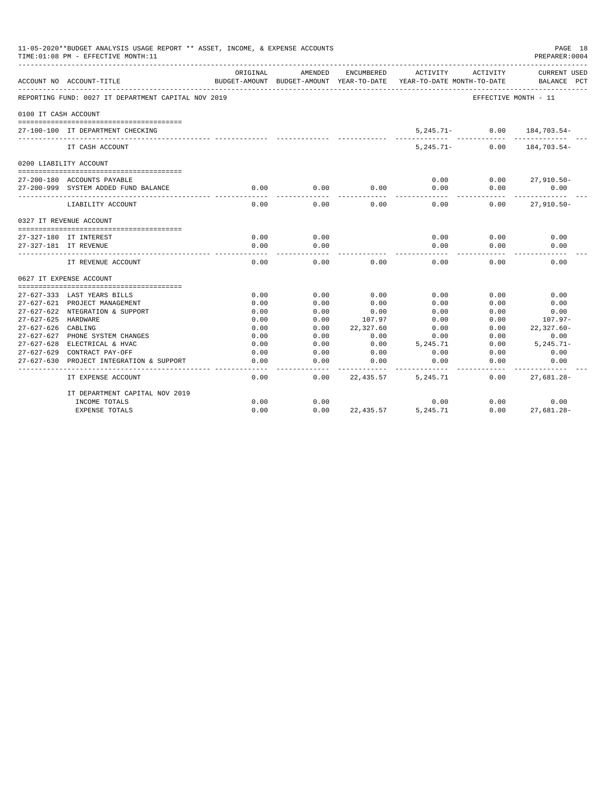|                      | 11-05-2020**BUDGET ANALYSIS USAGE REPORT ** ASSET, INCOME, & EXPENSE ACCOUNTS<br>TIME: 01:08 PM - EFFECTIVE MONTH: 11 |              |                                                     |              |                                        |                      | PAGE 18<br>PREPARER: 0004             |
|----------------------|-----------------------------------------------------------------------------------------------------------------------|--------------|-----------------------------------------------------|--------------|----------------------------------------|----------------------|---------------------------------------|
|                      | ACCOUNT NO ACCOUNT-TITLE                                                                                              | ORIGINAL     | AMENDED<br>BUDGET-AMOUNT BUDGET-AMOUNT YEAR-TO-DATE | ENCUMBERED   | ACTIVITY<br>YEAR-TO-DATE MONTH-TO-DATE | ACTIVITY             | <b>CURRENT USED</b><br>BALANCE<br>PCT |
|                      | REPORTING FUND: 0027 IT DEPARTMENT CAPITAL NOV 2019                                                                   |              |                                                     |              |                                        | EFFECTIVE MONTH - 11 |                                       |
| 0100 IT CASH ACCOUNT |                                                                                                                       |              |                                                     |              |                                        |                      |                                       |
|                      | 27-100-100 IT DEPARTMENT CHECKING                                                                                     |              |                                                     |              | $5,245.71-$                            | 0.00                 | 184,703.54-                           |
|                      | IT CASH ACCOUNT                                                                                                       |              |                                                     |              | $5.245.71 -$                           | 0.00                 | 184,703.54-                           |
|                      | 0200 LIABILITY ACCOUNT                                                                                                |              |                                                     |              |                                        |                      |                                       |
|                      |                                                                                                                       |              |                                                     |              |                                        |                      |                                       |
|                      | 27-200-180 ACCOUNTS PAYABLE                                                                                           |              |                                                     |              | 0.00                                   | 0.00                 | $27,910.50 -$                         |
|                      | 27-200-999 SYSTEM ADDED FUND BALANCE                                                                                  | 0.00         | 0.00                                                | 0.00         | 0.00                                   | 0.00                 | 0.00                                  |
|                      | LIABILITY ACCOUNT                                                                                                     | 0.00         | 0.00                                                | 0.00         | 0.00                                   | 0.00                 | $27,910.50 -$                         |
|                      | 0327 IT REVENUE ACCOUNT                                                                                               |              |                                                     |              |                                        |                      |                                       |
|                      |                                                                                                                       |              |                                                     |              |                                        |                      |                                       |
|                      | 27-327-180 IT INTEREST                                                                                                | 0.00         | 0.00                                                |              | 0.00                                   | 0.00                 | 0.00                                  |
|                      | 27-327-181 IT REVENUE                                                                                                 | 0.00         | 0.00                                                |              | 0.00                                   | 0.00                 | 0.00                                  |
|                      | IT REVENUE ACCOUNT                                                                                                    | 0.00         | 0.00                                                | 0.00         | 0.00                                   | 0.00                 | 0.00                                  |
|                      | 0627 IT EXPENSE ACCOUNT                                                                                               |              |                                                     |              |                                        |                      |                                       |
|                      |                                                                                                                       |              |                                                     |              |                                        |                      |                                       |
|                      | 27-627-333 LAST YEARS BILLS                                                                                           | 0.00         | 0.00                                                | 0.00         | 0.00                                   | 0.00                 | 0.00                                  |
|                      | 27-627-621 PROJECT MANAGEMENT                                                                                         | 0.00         | 0.00                                                | 0.00         | 0.00                                   | 0.00                 | 0.00                                  |
|                      | 27-627-622 NTEGRATION & SUPPORT                                                                                       | 0.00         | 0.00                                                | 0.00         | 0.00                                   | 0.00                 | 0.00                                  |
| 27-627-625 HARDWARE  |                                                                                                                       | 0.00         | 0.00                                                | 107.97       | 0.00                                   | 0.00                 | $107.97 -$                            |
| $27 - 627 - 626$     | CABLING                                                                                                               | 0.00         | 0.00                                                | 22,327.60    | 0.00                                   | 0.00                 | $22,327.60-$                          |
| 27-627-627           | PHONE SYSTEM CHANGES<br>27-627-628 ELECTRICAL & HVAC                                                                  | 0.00<br>0.00 | 0.00<br>0.00                                        | 0.00<br>0.00 | 0.00<br>5,245.71                       | 0.00<br>0.00         | 0.00<br>$5, 245.71 -$                 |
|                      | 27-627-629 CONTRACT PAY-OFF                                                                                           | 0.00         | 0.00                                                | 0.00         | 0.00                                   | 0.00                 | 0.00                                  |
| $27 - 627 - 630$     | PROJECT INTEGRATION & SUPPORT                                                                                         | 0.00         | 0.00                                                | 0.00         | 0.00                                   | 0.00                 | 0.00                                  |
|                      |                                                                                                                       |              |                                                     |              |                                        |                      |                                       |
|                      | IT EXPENSE ACCOUNT                                                                                                    | 0.00         | 0.00                                                | 22,435.57    | 5,245.71                               | 0.00                 | $27,681.28 -$                         |
|                      | IT DEPARTMENT CAPITAL NOV 2019                                                                                        |              |                                                     |              |                                        |                      |                                       |
|                      | INCOME TOTALS                                                                                                         | 0.00         | 0.00                                                |              | 0.00                                   | 0.00                 | 0.00                                  |
|                      | <b>EXPENSE TOTALS</b>                                                                                                 | 0.00         | 0.00                                                | 22, 435.57   | 5, 245, 71                             | 0.00                 | $27.681.28 -$                         |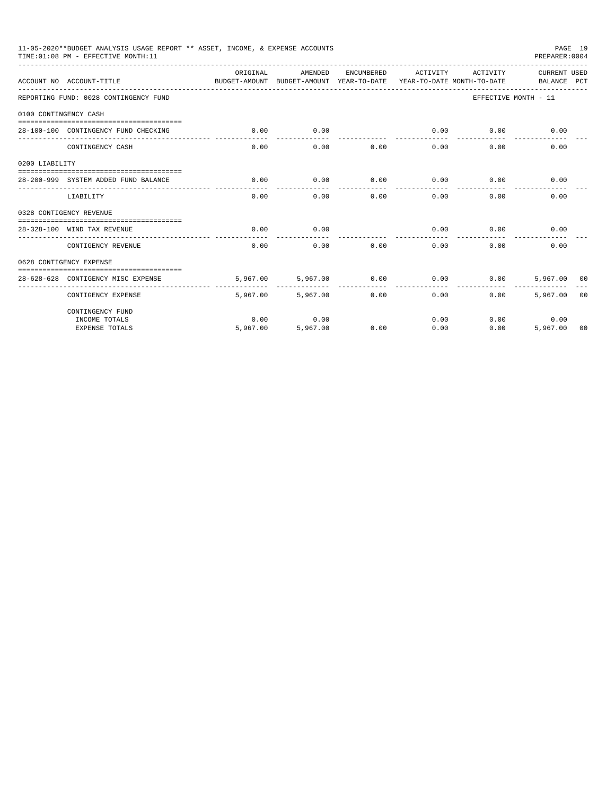|                       | 11-05-2020**BUDGET ANALYSIS USAGE REPORT ** ASSET, INCOME, & EXPENSE ACCOUNTS<br>TIME: 01:08 PM - EFFECTIVE MONTH: 11 |          |                                                                                |                 |                                                                                                                                                                                                                                                                                                                                                                                              |                   |                                                                                                                                                                                        |  |
|-----------------------|-----------------------------------------------------------------------------------------------------------------------|----------|--------------------------------------------------------------------------------|-----------------|----------------------------------------------------------------------------------------------------------------------------------------------------------------------------------------------------------------------------------------------------------------------------------------------------------------------------------------------------------------------------------------------|-------------------|----------------------------------------------------------------------------------------------------------------------------------------------------------------------------------------|--|
|                       | ACCOUNT NO ACCOUNT-TITLE                                                                                              | ORIGINAL | AMENDED<br>BUDGET-AMOUNT BUDGET-AMOUNT YEAR-TO-DATE YEAR-TO-DATE MONTH-TO-DATE | ENCUMBERED      |                                                                                                                                                                                                                                                                                                                                                                                              | ACTIVITY ACTIVITY |                                                                                                                                                                                        |  |
|                       | REPORTING FUND: 0028 CONTINGENCY FUND                                                                                 |          |                                                                                |                 |                                                                                                                                                                                                                                                                                                                                                                                              |                   |                                                                                                                                                                                        |  |
| 0100 CONTINGENCY CASH |                                                                                                                       |          |                                                                                |                 |                                                                                                                                                                                                                                                                                                                                                                                              |                   |                                                                                                                                                                                        |  |
|                       | 28-100-100 CONTINGENCY FUND CHECKING                                                                                  | 0.00     | 0.00                                                                           |                 | 0.00                                                                                                                                                                                                                                                                                                                                                                                         | 0.00              |                                                                                                                                                                                        |  |
|                       |                                                                                                                       |          | .                                                                              | _______________ | $\frac{1}{2} \frac{1}{2} \frac{1}{2} \frac{1}{2} \frac{1}{2} \frac{1}{2} \frac{1}{2} \frac{1}{2} \frac{1}{2} \frac{1}{2} \frac{1}{2} \frac{1}{2} \frac{1}{2} \frac{1}{2} \frac{1}{2} \frac{1}{2} \frac{1}{2} \frac{1}{2} \frac{1}{2} \frac{1}{2} \frac{1}{2} \frac{1}{2} \frac{1}{2} \frac{1}{2} \frac{1}{2} \frac{1}{2} \frac{1}{2} \frac{1}{2} \frac{1}{2} \frac{1}{2} \frac{1}{2} \frac{$ |                   | PAGE 19<br>PREPARER: 0004<br>CURRENT USED<br>BALANCE PCT<br>EFFECTIVE MONTH - 11<br>0.00<br>0.00<br>0.00<br>0.00<br>0.00<br>0.00<br>0.00<br>5,967,00 00<br>5,967,00 00<br>0.00<br>0.00 |  |
|                       | CONTINGENCY CASH                                                                                                      | 0.00     | 0.00                                                                           | 0.00            | 0.00                                                                                                                                                                                                                                                                                                                                                                                         | 0.00              |                                                                                                                                                                                        |  |
| 0200 LIABILITY        |                                                                                                                       |          |                                                                                |                 |                                                                                                                                                                                                                                                                                                                                                                                              |                   |                                                                                                                                                                                        |  |
|                       | 28-200-999 SYSTEM ADDED FUND BALANCE                                                                                  | 0.00     | 0.00                                                                           | 0.00            | 0.00                                                                                                                                                                                                                                                                                                                                                                                         | 0.00              |                                                                                                                                                                                        |  |
|                       |                                                                                                                       |          |                                                                                |                 |                                                                                                                                                                                                                                                                                                                                                                                              |                   |                                                                                                                                                                                        |  |
|                       | LIABILITY                                                                                                             | 0.00     | 0.00                                                                           | 0.00            | 0.00                                                                                                                                                                                                                                                                                                                                                                                         | 0.00              |                                                                                                                                                                                        |  |
|                       | 0328 CONTIGENCY REVENUE                                                                                               |          |                                                                                |                 |                                                                                                                                                                                                                                                                                                                                                                                              |                   |                                                                                                                                                                                        |  |
|                       |                                                                                                                       |          |                                                                                |                 |                                                                                                                                                                                                                                                                                                                                                                                              |                   |                                                                                                                                                                                        |  |
|                       | 28-328-100 WIND TAX REVENUE                                                                                           | 0.00     | 0.00                                                                           |                 | 0.00                                                                                                                                                                                                                                                                                                                                                                                         | 0.00              | 5,967.00 00                                                                                                                                                                            |  |
|                       | CONTIGENCY REVENUE                                                                                                    | 0.00     | 0.00                                                                           | 0.00            | 0.00                                                                                                                                                                                                                                                                                                                                                                                         | 0.00              |                                                                                                                                                                                        |  |
|                       | 0628 CONTIGENCY EXPENSE                                                                                               |          |                                                                                |                 |                                                                                                                                                                                                                                                                                                                                                                                              |                   |                                                                                                                                                                                        |  |
|                       |                                                                                                                       |          |                                                                                |                 |                                                                                                                                                                                                                                                                                                                                                                                              |                   |                                                                                                                                                                                        |  |
|                       | 28-628-628 CONTIGENCY MISC EXPENSE                                                                                    | 5,967.00 | 5,967,00                                                                       | 0.00            | 0.00                                                                                                                                                                                                                                                                                                                                                                                         |                   |                                                                                                                                                                                        |  |
|                       | CONTIGENCY EXPENSE                                                                                                    | 5,967,00 | 5,967.00                                                                       | 0.00            | 0.00                                                                                                                                                                                                                                                                                                                                                                                         | 0.00              |                                                                                                                                                                                        |  |
|                       | CONTINGENCY FUND                                                                                                      |          |                                                                                |                 |                                                                                                                                                                                                                                                                                                                                                                                              |                   |                                                                                                                                                                                        |  |
|                       | INCOME TOTALS                                                                                                         | 0.00     | 0.00                                                                           |                 | 0.00                                                                                                                                                                                                                                                                                                                                                                                         |                   |                                                                                                                                                                                        |  |
|                       | <b>EXPENSE TOTALS</b>                                                                                                 | 5,967,00 | 5,967.00                                                                       | 0.00            | 0.00                                                                                                                                                                                                                                                                                                                                                                                         | 0.00              |                                                                                                                                                                                        |  |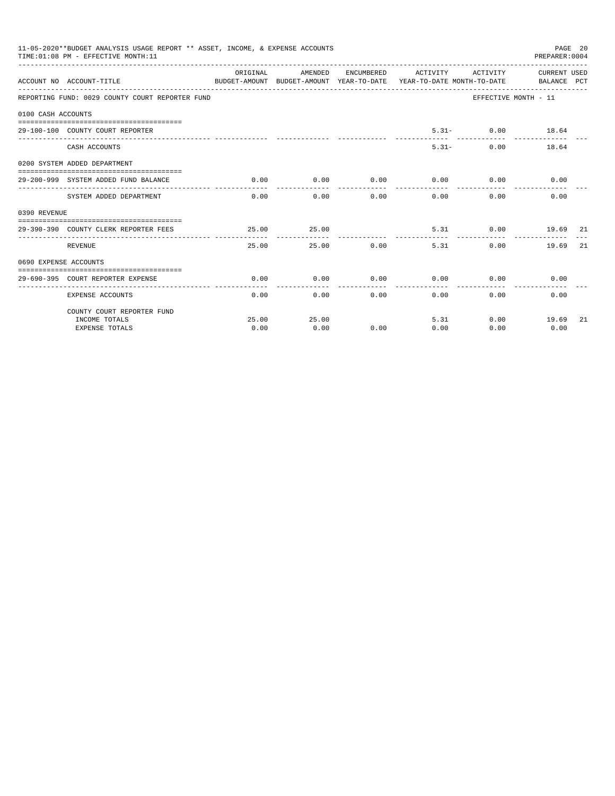|                       | 11-05-2020**BUDGET ANALYSIS USAGE REPORT ** ASSET, INCOME, & EXPENSE ACCOUNTS<br>TIME: 01:08 PM - EFFECTIVE MONTH: 11 |               |                               |               |                                                                                                                                          |                      | PAGE 20<br>PREPARER:0004  |     |
|-----------------------|-----------------------------------------------------------------------------------------------------------------------|---------------|-------------------------------|---------------|------------------------------------------------------------------------------------------------------------------------------------------|----------------------|---------------------------|-----|
|                       | ACCOUNT NO ACCOUNT-TITLE                                                                                              | ORIGINAL      |                               |               | AMENDED ENCUMBERED ACTIVITY ACTIVITY CURRENT_USED<br>BUDGET-AMOUNT BUDGET-AMOUNT YEAR-TO-DATE YEAR-TO-DATE MONTH-TO-DATE     BALANCE PCT |                      |                           |     |
|                       | REPORTING FUND: 0029 COUNTY COURT REPORTER FUND                                                                       |               |                               |               |                                                                                                                                          | EFFECTIVE MONTH - 11 |                           |     |
| 0100 CASH ACCOUNTS    |                                                                                                                       |               |                               |               |                                                                                                                                          |                      |                           |     |
|                       | 29-100-100 COUNTY COURT REPORTER                                                                                      |               |                               |               |                                                                                                                                          | $5.31 - 0.00$ 18.64  |                           |     |
|                       | CASH ACCOUNTS                                                                                                         |               |                               |               |                                                                                                                                          | $5.31 -$<br>0.00     | 18.64                     |     |
|                       | 0200 SYSTEM ADDED DEPARTMENT                                                                                          |               |                               |               |                                                                                                                                          |                      |                           |     |
|                       | 29-200-999 SYSTEM ADDED FUND BALANCE                                                                                  | 0.00          | 0.00                          |               | $0.00$ $0.00$ $0.00$ $0.00$                                                                                                              |                      | 0.00                      |     |
|                       | SYSTEM ADDED DEPARTMENT                                                                                               |               | --------------<br>$0.00$ 0.00 | ------------  | -------------<br>0.00<br>0.00                                                                                                            | -----------<br>0.00  | 0.00                      |     |
|                       |                                                                                                                       |               |                               |               |                                                                                                                                          |                      |                           |     |
| 0390 REVENUE          | 29-390-390 COUNTY CLERK REPORTER FEES                                                                                 | 25.00         | 25.00                         |               |                                                                                                                                          | 5.31 0.00 19.69 21   |                           |     |
|                       | <b>REVENUE</b>                                                                                                        | 25.00         |                               | 25.00 0.00    | 5.31                                                                                                                                     | 0.00                 | 19.69                     | -21 |
| 0690 EXPENSE ACCOUNTS |                                                                                                                       |               |                               |               |                                                                                                                                          |                      |                           |     |
|                       | 29-690-395 COURT REPORTER EXPENSE                                                                                     | 0.00          | 0.00                          | 0.00          | 0.00                                                                                                                                     |                      | $0.00$ and $0.00$<br>0.00 |     |
|                       | <b>EXPENSE ACCOUNTS</b>                                                                                               | 0.00          |                               | $0.00$ $0.00$ | 0.00                                                                                                                                     |                      | 0.00<br>0.00              |     |
|                       | COUNTY COURT REPORTER FUND                                                                                            |               |                               |               |                                                                                                                                          |                      |                           |     |
|                       | INCOME TOTALS<br><b>EXPENSE TOTALS</b>                                                                                | 25.00<br>0.00 | 25.00<br>0.00                 | 0.00          | 5.31<br>0.00                                                                                                                             | 0.00                 | $0.00$ 19.69<br>0.00      | 21  |
|                       |                                                                                                                       |               |                               |               |                                                                                                                                          |                      |                           |     |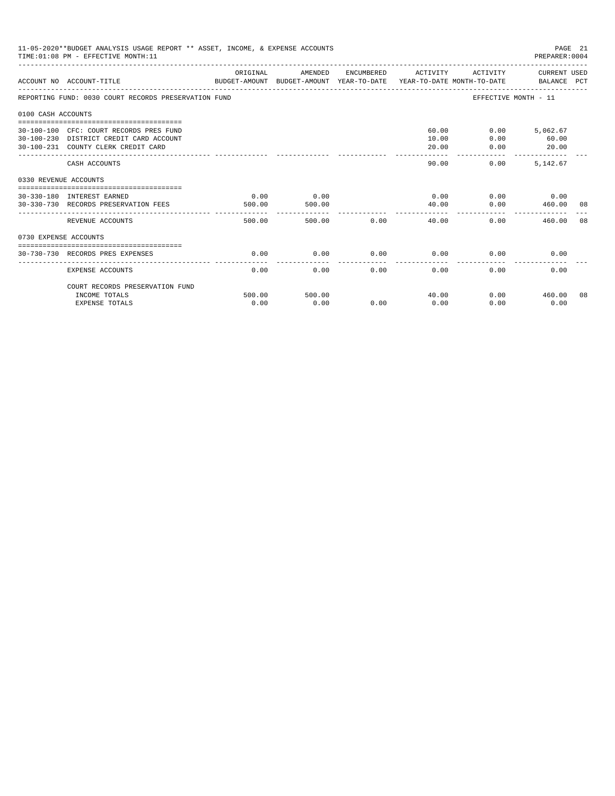| 11-05-2020**BUDGET ANALYSIS USAGE REPORT ** ASSET, INCOME, & EXPENSE ACCOUNTS<br>PAGE 21<br>TIME: 01:08 PM - EFFECTIVE MONTH: 11<br>PREPARER:0004 |                                                                                                                           |                |                |      |                         |                                           |                            |    |  |
|---------------------------------------------------------------------------------------------------------------------------------------------------|---------------------------------------------------------------------------------------------------------------------------|----------------|----------------|------|-------------------------|-------------------------------------------|----------------------------|----|--|
|                                                                                                                                                   | ACCOUNT NO ACCOUNT-TITLE COMPUTE SUDGET-AMOUNT BUDGET-AMOUNT VEAR-TO-DATE VEAR-TO-DATE MONTH-TO-DATE BALANCE PCT          | ORIGINAL       | AMENDED        |      | ENCUMBERED ACTIVITY     |                                           | ACTIVITY CURRENT USED      |    |  |
|                                                                                                                                                   | REPORTING FUND: 0030 COURT RECORDS PRESERVATION FUND                                                                      |                |                |      |                         | EFFECTIVE MONTH - 11                      |                            |    |  |
| 0100 CASH ACCOUNTS                                                                                                                                |                                                                                                                           |                |                |      |                         |                                           |                            |    |  |
|                                                                                                                                                   | 30-100-100 CFC: COURT RECORDS PRES FUND<br>30-100-230 DISTRICT CREDIT CARD ACCOUNT<br>30-100-231 COUNTY CLERK CREDIT CARD |                |                |      | 60.00<br>10.00<br>20.00 | 0.00<br>0.00<br>0.00                      | 5,062.67<br>60.00<br>20.00 |    |  |
|                                                                                                                                                   | CASH ACCOUNTS                                                                                                             |                |                |      | -------<br>90.00        | -------------<br>0.00                     | -------------<br>5.142.67  |    |  |
| 0330 REVENUE ACCOUNTS                                                                                                                             |                                                                                                                           |                |                |      |                         |                                           |                            |    |  |
|                                                                                                                                                   | 30-330-180 INTEREST EARNED<br>30-330-730 RECORDS PRESERVATION FEES                                                        | 0.00<br>500.00 | 0.00<br>500.00 |      | 0.00<br>40.00           | 0.00                                      | $0.00$ 0.00<br>460.00      | 08 |  |
|                                                                                                                                                   | REVENUE ACCOUNTS                                                                                                          | 500.00         | 500.00         | 0.00 | -----------<br>40.00    | -----------------------------<br>$0.00 -$ | 460.00                     | 08 |  |
| 0730 EXPENSE ACCOUNTS                                                                                                                             |                                                                                                                           |                |                |      |                         |                                           |                            |    |  |
|                                                                                                                                                   | 30-730-730 RECORDS PRES EXPENSES                                                                                          | 0.00           | 0.00           | 0.00 | 0.00                    | 0.00                                      | 0.00                       |    |  |
|                                                                                                                                                   | <b>EXPENSE ACCOUNTS</b>                                                                                                   | 0.00           | 0.00           | 0.00 | 0.00                    | 0.00                                      | 0.00                       |    |  |
|                                                                                                                                                   | COURT RECORDS PRESERVATION FUND                                                                                           |                |                |      |                         |                                           |                            |    |  |
|                                                                                                                                                   | INCOME TOTALS<br><b>EXPENSE TOTALS</b>                                                                                    | 500.00<br>0.00 | 500.00<br>0.00 | 0.00 | 40.00<br>0.00           | 0.00                                      | $0.00$ 460.00<br>0.00      | 08 |  |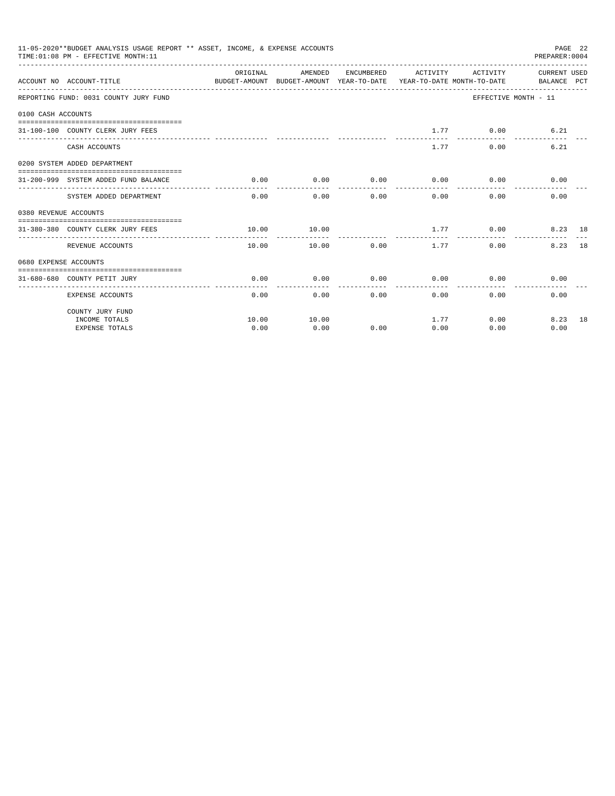|                       | 11-05-2020**BUDGET ANALYSIS USAGE REPORT ** ASSET, INCOME, & EXPENSE ACCOUNTS<br>TIME: 01:08 PM - EFFECTIVE MONTH: 11 |               |               |                     |               |                                            | PREPARER:0004        | PAGE 22 |
|-----------------------|-----------------------------------------------------------------------------------------------------------------------|---------------|---------------|---------------------|---------------|--------------------------------------------|----------------------|---------|
|                       | BUDGET-AMOUNT BUDGET-AMOUNT YEAR-TO-DATE YEAR-TO-DATE MONTH-TO-DATE     BALANCE PCT<br>ACCOUNT NO ACCOUNT-TITLE       |               |               |                     |               |                                            |                      |         |
|                       | REPORTING FUND: 0031 COUNTY JURY FUND                                                                                 |               |               |                     |               |                                            | EFFECTIVE MONTH - 11 |         |
| 0100 CASH ACCOUNTS    |                                                                                                                       |               |               |                     |               |                                            |                      |         |
|                       | 31-100-100 COUNTY CLERK JURY FEES                                                                                     |               |               |                     |               | $1.77$ 0.00                                | 6.21                 |         |
|                       | CASH ACCOUNTS                                                                                                         |               |               |                     |               | 1.77<br>0.00                               | 6.21                 |         |
|                       | 0200 SYSTEM ADDED DEPARTMENT                                                                                          |               |               |                     |               |                                            |                      |         |
|                       | 31-200-999 SYSTEM ADDED FUND BALANCE                                                                                  | 0.00          | 0.00          | ------------        | ------------- | $0.00$ $0.00$ $0.00$ $0.00$<br>----------- | 0.00                 |         |
|                       | SYSTEM ADDED DEPARTMENT                                                                                               |               | $0.00$ $0.00$ |                     | 0.00          | 0.00<br>0.00                               | 0.00                 |         |
| 0380 REVENUE ACCOUNTS |                                                                                                                       |               |               |                     |               |                                            |                      |         |
|                       | 31-380-380 COUNTY CLERK JURY FEES                                                                                     | 10.00         | 10.00         |                     | ------------- | $1.77$ 0.00                                | 8.23 18              |         |
|                       | REVENUE ACCOUNTS                                                                                                      | 10.00         |               | $10.00$ 0.00 $1.77$ |               | 0.00                                       | 8.23 18              |         |
| 0680 EXPENSE ACCOUNTS |                                                                                                                       |               |               |                     |               |                                            |                      |         |
|                       | 31-680-680 COUNTY PETIT JURY                                                                                          | 0.00          | 0.00          | 0.00                | 0.00          | 0.00                                       | 0.00                 |         |
|                       | <b>EXPENSE ACCOUNTS</b>                                                                                               | 0.00          |               | 0.00                | 0.00          | 0.00                                       | 0.00<br>0.00         |         |
|                       | COUNTY JURY FUND                                                                                                      |               |               |                     |               |                                            |                      |         |
|                       | INCOME TOTALS<br><b>EXPENSE TOTALS</b>                                                                                | 10.00<br>0.00 | 10.00<br>0.00 | 0.00                | 0.00          | 1.77<br>0.00<br>0.00                       | 8.23 18<br>0.00      |         |
|                       |                                                                                                                       |               |               |                     |               |                                            |                      |         |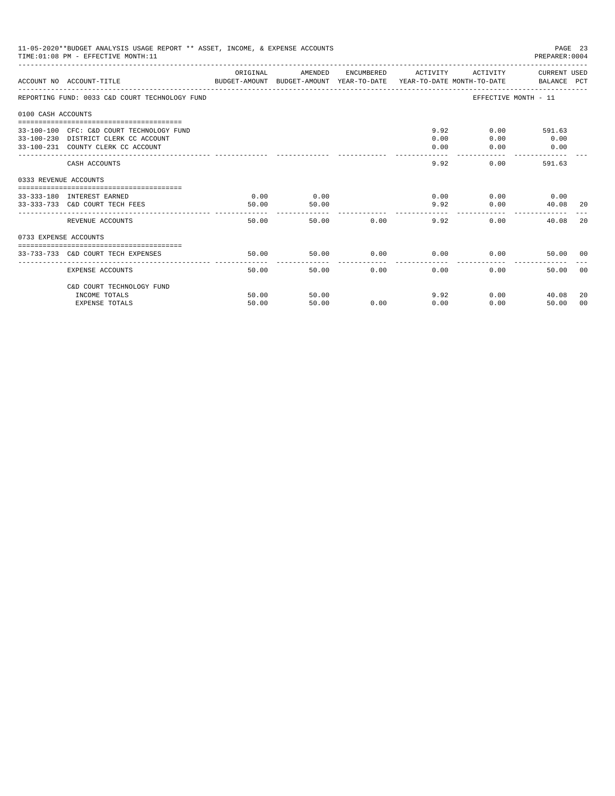|                       | 11-05-2020**BUDGET ANALYSIS USAGE REPORT ** ASSET, INCOME, & EXPENSE ACCOUNTS<br>PAGE 23<br>TIME: 01:08 PM - EFFECTIVE MONTH: 11<br>PREPARER: 0004<br>-------------------- |                |                               |               |                                     |              |                               |                      |  |  |
|-----------------------|----------------------------------------------------------------------------------------------------------------------------------------------------------------------------|----------------|-------------------------------|---------------|-------------------------------------|--------------|-------------------------------|----------------------|--|--|
|                       | ACCOUNT NO ACCOUNT-TITLE<br>BUDGET-AMOUNT BUDGET-AMOUNT YEAR-TO-DATE  YEAR-TO-DATE MONTH-TO-DATE      BALANCE PCT                                                          | ORIGINAL       | AMENDED                       |               | ENCUMBERED ACTIVITY                 |              | ACTIVITY CURRENT USED         |                      |  |  |
|                       | REPORTING FUND: 0033 C&D COURT TECHNOLOGY FUND                                                                                                                             |                |                               |               |                                     |              | EFFECTIVE MONTH - 11          |                      |  |  |
| 0100 CASH ACCOUNTS    |                                                                                                                                                                            |                |                               |               |                                     |              |                               |                      |  |  |
|                       | 33-100-100 CFC: C&D COURT TECHNOLOGY FUND<br>33-100-230 DISTRICT CLERK CC ACCOUNT<br>33-100-231 COUNTY CLERK CC ACCOUNT                                                    |                |                               |               | 9.92<br>0.00<br>0.00<br>$- - - - -$ | 0.00<br>0.00 | $0.00$ 591.63<br>0.00<br>0.00 |                      |  |  |
|                       | CASH ACCOUNTS                                                                                                                                                              |                |                               |               | 9.92                                |              | 0.00<br>591.63                |                      |  |  |
| 0333 REVENUE ACCOUNTS |                                                                                                                                                                            |                |                               |               |                                     |              |                               |                      |  |  |
|                       | 33-333-180 INTEREST EARNED<br>33-333-733 C&D COURT TECH FEES                                                                                                               | 0.00<br>50.00  | 0.00<br>50.00<br>------------ |               |                                     | 0.00<br>9.92 | $0.00$ 0.00<br>0.00<br>40.08  | -20                  |  |  |
|                       | REVENUE ACCOUNTS                                                                                                                                                           | 50.00          |                               | 50.00 0.00    | 9.92                                |              | 0.00<br>40.08                 | 2.0                  |  |  |
| 0733 EXPENSE ACCOUNTS |                                                                                                                                                                            |                |                               |               |                                     |              |                               |                      |  |  |
|                       | 33-733-733 C&D COURT TECH EXPENSES                                                                                                                                         | 50.00          | 50.00                         |               | $0.00$ 0.00                         |              | 0.00<br>50.00 00              |                      |  |  |
|                       | EXPENSE ACCOUNTS                                                                                                                                                           | 50.00          |                               | 0.00<br>50.00 | 0.00                                | 0.00         | 50.00                         | - 0.0                |  |  |
|                       | C&D COURT TECHNOLOGY FUND                                                                                                                                                  |                |                               |               |                                     |              |                               |                      |  |  |
|                       | INCOME TOTALS                                                                                                                                                              | 50.00<br>50.00 | 50.00<br>50.00                | 0.00          | 0.00                                | 9.92         | $0.00$ and $0.00$<br>40.08    | 20<br>0 <sup>0</sup> |  |  |
|                       | <b>EXPENSE TOTALS</b>                                                                                                                                                      |                |                               |               |                                     | 0.00         | 50.00                         |                      |  |  |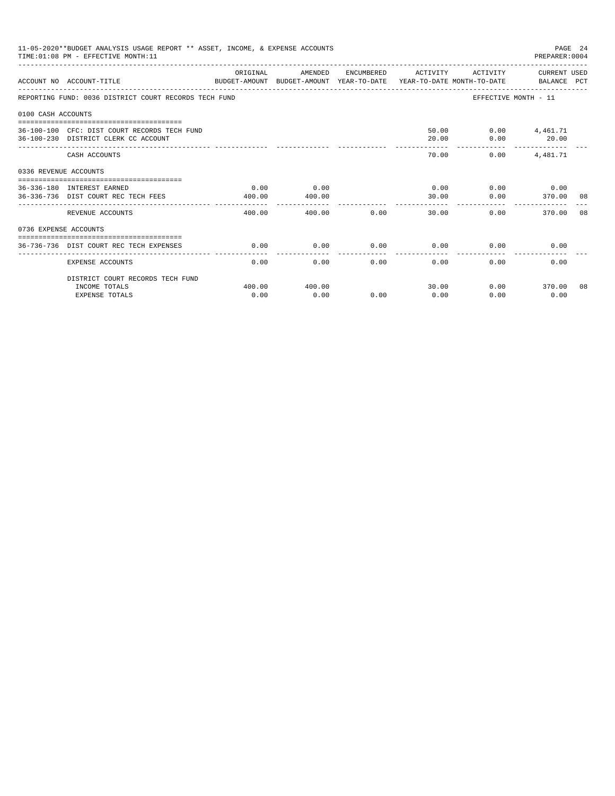| 11-05-2020**BUDGET ANALYSIS USAGE REPORT ** ASSET, INCOME, & EXPENSE ACCOUNTS<br>PAGE 24<br>PREPARER: 0004<br>TIME: 01:08 PM - EFFECTIVE MONTH: 11 |                                                                                                                   |                    |                |      |                     |               |                                            |  |
|----------------------------------------------------------------------------------------------------------------------------------------------------|-------------------------------------------------------------------------------------------------------------------|--------------------|----------------|------|---------------------|---------------|--------------------------------------------|--|
|                                                                                                                                                    | ACCOUNT NO ACCOUNT-TITLE<br>BUDGET-AMOUNT BUDGET-AMOUNT YEAR-TO-DATE  YEAR-TO-DATE MONTH-TO-DATE      BALANCE PCT | ORIGINAL           | AMENDED        |      | ENCUMBERED ACTIVITY |               | ACTIVITY CURRENT USED                      |  |
|                                                                                                                                                    | REPORTING FUND: 0036 DISTRICT COURT RECORDS TECH FUND                                                             |                    |                |      |                     |               | EFFECTIVE MONTH - 11                       |  |
| 0100 CASH ACCOUNTS                                                                                                                                 |                                                                                                                   |                    |                |      |                     |               |                                            |  |
|                                                                                                                                                    | 36-100-100 CFC: DIST COURT RECORDS TECH FUND<br>36-100-230 DISTRICT CLERK CC ACCOUNT                              |                    |                |      | 20.00               | 50.00<br>0.00 | $0.00$ 4,461.71<br>20.00<br>-------------- |  |
|                                                                                                                                                    | CASH ACCOUNTS                                                                                                     |                    |                |      | 70.00               | 0.00          | 4,481.71                                   |  |
| 0336 REVENUE ACCOUNTS                                                                                                                              |                                                                                                                   |                    |                |      |                     |               |                                            |  |
|                                                                                                                                                    | 36-336-180 INTEREST EARNED<br>36-336-736 DIST COURT REC TECH FEES                                                 | 0.00<br>400.00     | 0.00<br>400.00 |      | 30.00               | 0.00<br>0.00  | $0.00$ 0.00<br>370.00 08                   |  |
|                                                                                                                                                    | ------------------------<br>REVENUE ACCOUNTS                                                                      | --------<br>400.00 | 400.00         | 0.00 | 30.00               | 0.00          | 370.00 08                                  |  |
| 0736 EXPENSE ACCOUNTS                                                                                                                              |                                                                                                                   |                    |                |      |                     |               |                                            |  |
|                                                                                                                                                    | 36-736-736 DIST COURT REC TECH EXPENSES                                                                           | 0.00               | 0.00           | 0.00 | 0.00                | 0.00          | 0.00                                       |  |
|                                                                                                                                                    | EXPENSE ACCOUNTS                                                                                                  | 0.00               | 0.00           | 0.00 | 0.00                | 0.00          | 0.00                                       |  |
|                                                                                                                                                    | DISTRICT COURT RECORDS TECH FUND                                                                                  |                    |                |      |                     |               |                                            |  |
|                                                                                                                                                    | INCOME TOTALS<br><b>EXPENSE TOTALS</b>                                                                            | 400.00<br>0.00     | 400.00<br>0.00 | 0.00 | 30.00<br>0.00       | 0.00          | $0.00$ 370.00 08<br>0.00                   |  |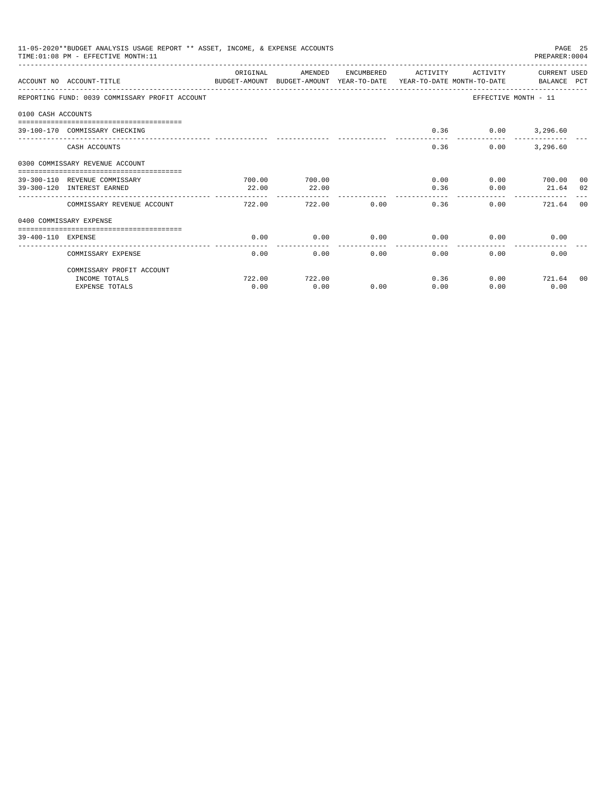|                    | 11-05-2020**BUDGET ANALYSIS USAGE REPORT ** ASSET, INCOME, & EXPENSE ACCOUNTS<br>TIME: 01:08 PM - EFFECTIVE MONTH: 11 |           |         |            |                 |          | PREPARER: 0004       | PAGE 25 |
|--------------------|-----------------------------------------------------------------------------------------------------------------------|-----------|---------|------------|-----------------|----------|----------------------|---------|
|                    | ACCOUNT NO ACCOUNT-TITLE<br>BUDGET-AMOUNT BUDGET-AMOUNT YEAR-TO-DATE YEAR-TO-DATE MONTH-TO-DATE BALANCE PCT           | OR TGTNAL | AMENDED | ENCUMBERED | ACTIVITY        | ACTIVITY | CURRENT USED         |         |
|                    | REPORTING FUND: 0039 COMMISSARY PROFIT ACCOUNT                                                                        |           |         |            |                 |          | EFFECTIVE MONTH - 11 |         |
| 0100 CASH ACCOUNTS |                                                                                                                       |           |         |            |                 |          |                      |         |
|                    | 39-100-170 COMMISSARY CHECKING                                                                                        |           |         |            | 0.36            | 0.00     | 3,296.60             |         |
|                    | CASH ACCOUNTS                                                                                                         |           |         |            | 0.36            | 0.00     | 3,296.60             |         |
|                    | 0300 COMMISSARY REVENUE ACCOUNT                                                                                       |           |         |            |                 |          |                      |         |
|                    | 39-300-110 REVENUE COMMISSARY                                                                                         | 700.00    | 700.00  |            | 0.00            |          | $0.00$ 700.00 00     |         |
|                    | 39-300-120 INTEREST EARNED                                                                                            | 22.00     | 22.00   |            | 0.36            | 0.00     | 21.64 02             |         |
|                    | COMMISSARY REVENUE ACCOUNT                                                                                            | 722.00    | 722.00  | 0.00       | 0.36            | 0.00     | 721.64 00            |         |
|                    | 0400 COMMISSARY EXPENSE                                                                                               |           |         |            |                 |          |                      |         |
| 39-400-110 EXPENSE | -------------------------------------                                                                                 | 0.00      | 0.00    | 0.00       | 0.00            | 0.00     | 0.00                 |         |
|                    | COMMISSARY EXPENSE                                                                                                    | 0.00      | 0.00    | 0.00       | -------<br>0.00 | 0.00     | 0.00                 |         |
|                    | COMMISSARY PROFIT ACCOUNT                                                                                             |           |         |            |                 |          |                      |         |
|                    | INCOME TOTALS                                                                                                         | 722.00    | 722.00  |            | 0.36            |          | $0.00$ 721.64 00     |         |
|                    | <b>EXPENSE TOTALS</b>                                                                                                 | 0.00      | 0.00    | 0.00       | 0.00            | 0.00     | 0.00                 |         |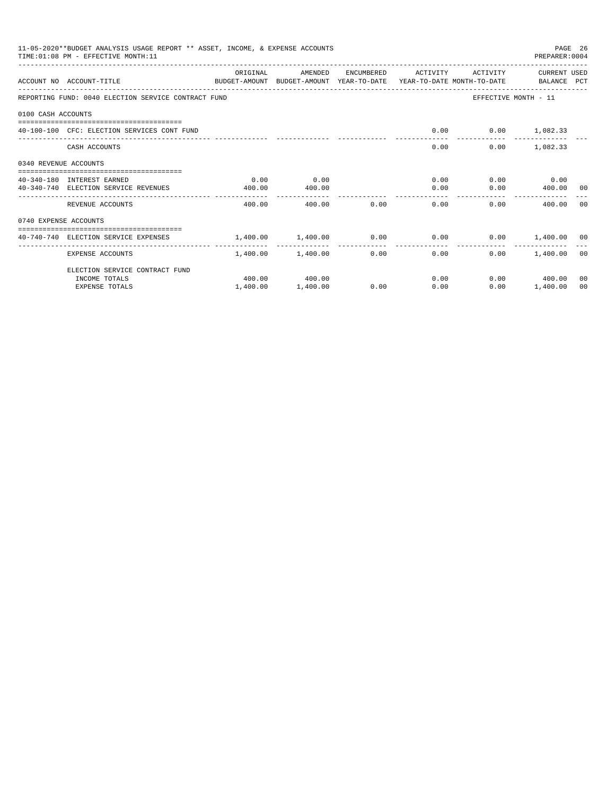|                       | 11-05-2020**BUDGET ANALYSIS USAGE REPORT ** ASSET, INCOME, & EXPENSE ACCOUNTS<br>TIME: 01:08 PM - EFFECTIVE MONTH: 11 |                            |                                       |                |                                   |                               | PREPARER: 0004        | PAGE 26 |
|-----------------------|-----------------------------------------------------------------------------------------------------------------------|----------------------------|---------------------------------------|----------------|-----------------------------------|-------------------------------|-----------------------|---------|
|                       | ACCOUNT NO ACCOUNT-TITLE<br>BUDGET-AMOUNT BUDGET-AMOUNT YEAR-TO-DATE YEAR-TO-DATE MONTH-TO-DATE BALANCE PCT           | ORIGINAL                   | AMENDED                               |                | ENCUMBERED ACTIVITY               |                               | ACTIVITY CURRENT USED |         |
|                       | REPORTING FUND: 0040 ELECTION SERVICE CONTRACT FUND                                                                   |                            |                                       |                |                                   |                               | EFFECTIVE MONTH - 11  |         |
| 0100 CASH ACCOUNTS    |                                                                                                                       |                            |                                       |                |                                   |                               |                       |         |
|                       | 40-100-100 CFC: ELECTION SERVICES CONT FUND                                                                           |                            |                                       |                | 0.00                              | $0.00$ 1,082.33               |                       |         |
|                       | CASH ACCOUNTS                                                                                                         |                            |                                       |                | 0.00                              |                               | $0.00$ 1,082.33       |         |
| 0340 REVENUE ACCOUNTS |                                                                                                                       |                            |                                       |                |                                   |                               |                       |         |
|                       | 40-340-180 INTEREST EARNED                                                                                            | 0.00                       | 0.00                                  |                |                                   | 0.00                          | $0.00$ 0.00           |         |
|                       | 40-340-740 ELECTION SERVICE REVENUES                                                                                  | 400.00                     | 400.00                                |                | 0.00                              |                               | $0.00$ 400.00 00      |         |
|                       | REVENUE ACCOUNTS                                                                                                      | 400.00                     |                                       | 0.00<br>400.00 | 0.00                              |                               | 0.00<br>400.00 00     |         |
| 0740 EXPENSE ACCOUNTS |                                                                                                                       |                            |                                       |                |                                   |                               |                       |         |
|                       | 40-740-740 ELECTION SERVICE EXPENSES                                                                                  | $1,400.00$ $1,400.00$ 0.00 |                                       |                |                                   | $0.00$ $0.00$ $1,400.00$ $00$ |                       |         |
|                       | EXPENSE ACCOUNTS                                                                                                      |                            | ------------<br>$1.400.00$ $1.400.00$ |                | ------------<br>$0.00$ and $0.00$ | 0.00<br>0.00                  | 1,400.00 00           |         |
|                       | ELECTION SERVICE CONTRACT FUND                                                                                        |                            |                                       |                |                                   |                               |                       |         |
|                       | INCOME TOTALS                                                                                                         |                            | 400.00 400.00                         |                |                                   | 0.00                          | $0.00$ 400.00         | 00      |
|                       | <b>EXPENSE TOTALS</b>                                                                                                 | 1,400.00                   | 1,400.00                              | 0.00           | 0.00                              | 0.00                          | 1,400.00              | 00      |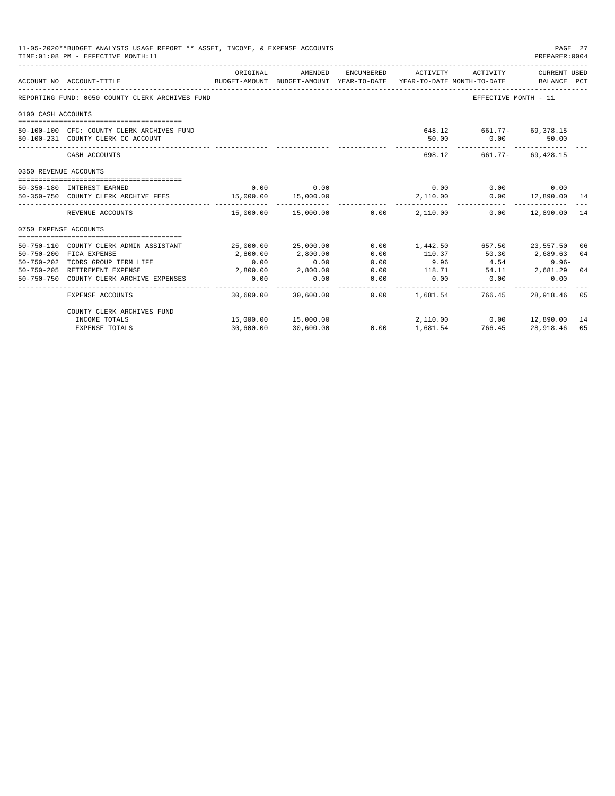|                       | 11-05-2020**BUDGET ANALYSIS USAGE REPORT ** ASSET, INCOME, & EXPENSE ACCOUNTS<br>PAGE 27<br>TIME: 01:08 PM - EFFECTIVE MONTH: 11<br>PREPARER: 0004 |                  |                      |                 |                                                                                            |                                                  |                             |                |  |
|-----------------------|----------------------------------------------------------------------------------------------------------------------------------------------------|------------------|----------------------|-----------------|--------------------------------------------------------------------------------------------|--------------------------------------------------|-----------------------------|----------------|--|
|                       | ACCOUNT NO ACCOUNT-TITLE                                                                                                                           | ORIGINAL         | AMENDED              |                 | ENCUMBERED ACTIVITY<br>BUDGET-AMOUNT BUDGET-AMOUNT YEAR-TO-DATE YEAR-TO-DATE MONTH-TO-DATE | ACTIVITY                                         | CURRENT USED<br>BALANCE PCT |                |  |
|                       | REPORTING FUND: 0050 COUNTY CLERK ARCHIVES FUND                                                                                                    |                  |                      |                 |                                                                                            | EFFECTIVE MONTH - 11                             |                             |                |  |
| 0100 CASH ACCOUNTS    |                                                                                                                                                    |                  |                      |                 |                                                                                            |                                                  |                             |                |  |
|                       | 50-100-100 CFC: COUNTY CLERK ARCHIVES FUND<br>50-100-231 COUNTY CLERK CC ACCOUNT                                                                   |                  |                      |                 | 50.00                                                                                      | 648.12 661.77- 69,378.15<br>0.00<br>------------ | 50.00                       |                |  |
|                       | CASH ACCOUNTS                                                                                                                                      |                  |                      |                 |                                                                                            | 698.12 661.77- 69.428.15                         |                             |                |  |
| 0350 REVENUE ACCOUNTS |                                                                                                                                                    |                  |                      |                 |                                                                                            |                                                  |                             |                |  |
|                       | 50-350-180 INTEREST EARNED                                                                                                                         | 0.00             | 0.00                 |                 | 0.00                                                                                       |                                                  | $0.00$ 0.00                 |                |  |
|                       | 50-350-750 COUNTY CLERK ARCHIVE FEES 15,000.00                                                                                                     |                  | 15,000.00            |                 | 2,110.00                                                                                   |                                                  | $0.00$ 12,890.00 14         |                |  |
|                       | REVENUE ACCOUNTS                                                                                                                                   |                  | ______________       |                 | ------------<br>$15.000.00$ $15.000.00$ $0.00$ $2.110.00$                                  |                                                  | $0.00$ 12,890.00            | 14             |  |
| 0750 EXPENSE ACCOUNTS |                                                                                                                                                    |                  |                      |                 |                                                                                            |                                                  |                             |                |  |
|                       | 50-750-110 COUNTY CLERK ADMIN ASSISTANT                                                                                                            |                  | 25,000.00 25,000.00  | 0.00            | 1,442.50 657.50 23,557.50                                                                  |                                                  |                             | 06             |  |
| $50 - 750 - 200$      | FICA EXPENSE                                                                                                                                       | 2,800.00         | 2,800.00             | 0.00            | 110.37                                                                                     | 50.30 2,689.63                                   |                             | 04             |  |
| 50-750-202            | TCDRS GROUP TERM LIFE<br>50-750-205 RETIREMENT EXPENSE                                                                                             | 0.00             | 0.00<br>2,800.00     | 0.00            | 9.96                                                                                       | 4.54                                             | $9.96 -$                    | 0 <sub>4</sub> |  |
|                       | 50-750-750 COUNTY CLERK ARCHIVE EXPENSES                                                                                                           | 2,800.00<br>0.00 | 0.00                 | 0.00<br>0.00    | 118.71<br>0.00                                                                             | 0.00                                             | 54.11 2,681.29<br>0.00      |                |  |
|                       | <b>EXPENSE ACCOUNTS</b>                                                                                                                            |                  | 30.600.00 30.600.00  | -------<br>0.00 | 1,681.54                                                                                   | 766.45                                           | 28,918.46                   | 05             |  |
|                       | COUNTY CLERK ARCHIVES FUND                                                                                                                         |                  |                      |                 |                                                                                            |                                                  |                             |                |  |
|                       | INCOME TOTALS                                                                                                                                      |                  | 15,000.00  15,000.00 |                 |                                                                                            | 2,110.00   0.00   12,890.00   14                 |                             |                |  |
|                       | <b>EXPENSE TOTALS</b>                                                                                                                              | 30,600.00        | 30,600.00            | 0.00            | 1,681.54                                                                                   | 766.45                                           | 28,918.46                   | 05             |  |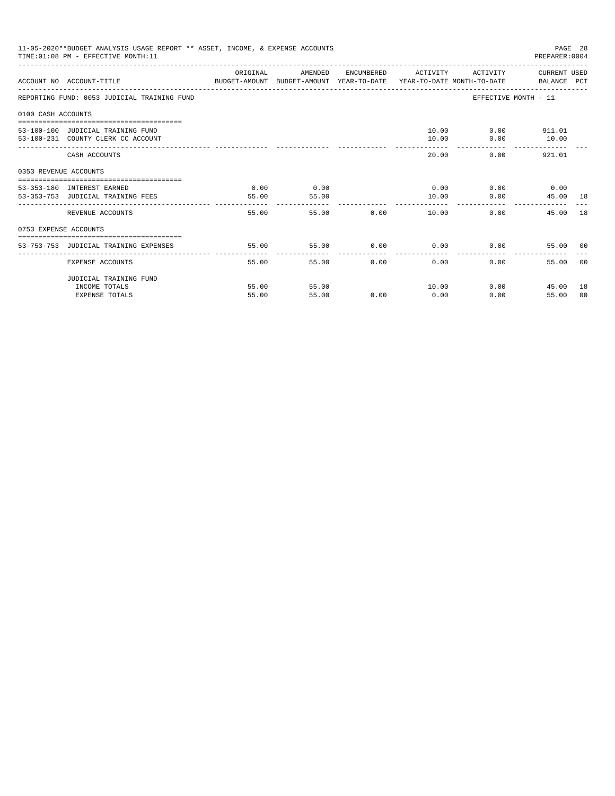|                       | 11-05-2020**BUDGET ANALYSIS USAGE REPORT ** ASSET, INCOME, & EXPENSE ACCOUNTS<br>TIME: 01:08 PM - EFFECTIVE MONTH: 11 |          |         |       |                             |          | PREPARER: 0004        | PAGE 28 |
|-----------------------|-----------------------------------------------------------------------------------------------------------------------|----------|---------|-------|-----------------------------|----------|-----------------------|---------|
|                       | ACCOUNT NO ACCOUNT-TITLE CONTROL SUDGET-AMOUNT BUDGET-AMOUNT YEAR-TO-DATE YEAR-TO-DATE MONTH-TO-DATE BALANCE PCT      | ORIGINAL | AMENDED |       | ENCUMBERED ACTIVITY         |          | ACTIVITY CURRENT USED |         |
|                       | REPORTING FUND: 0053 JUDICIAL TRAINING FUND                                                                           |          |         |       |                             |          | EFFECTIVE MONTH - 11  |         |
| 0100 CASH ACCOUNTS    |                                                                                                                       |          |         |       |                             |          |                       |         |
|                       |                                                                                                                       |          |         |       |                             |          |                       |         |
|                       | 53-100-100 JUDICIAL TRAINING FUND                                                                                     |          |         |       |                             |          | 10.00 0.00 911.01     |         |
|                       | 53-100-231 COUNTY CLERK CC ACCOUNT                                                                                    |          |         |       | 10.00                       | 0.00     | 10.00                 |         |
|                       | CASH ACCOUNTS                                                                                                         |          |         |       | 20.00                       |          | 0.00<br>921.01        |         |
| 0353 REVENUE ACCOUNTS |                                                                                                                       |          |         |       |                             |          |                       |         |
|                       | 53-353-180 INTEREST EARNED                                                                                            | 0.00     | 0.00    |       | $0.00$ $0.00$ $0.00$ $0.00$ |          |                       |         |
|                       | 53-353-753 JUDICIAL TRAINING FEES                                                                                     | 55.00    | 55.00   |       | 10.00                       |          | 0.00<br>45.00 18      |         |
|                       |                                                                                                                       | -------  |         |       |                             |          |                       |         |
|                       | REVENUE ACCOUNTS                                                                                                      | 55.00    |         | 55.00 | 0.00                        | 10.00    | 45.00 18<br>0.00      |         |
| 0753 EXPENSE ACCOUNTS |                                                                                                                       |          |         |       |                             |          |                       |         |
|                       |                                                                                                                       |          |         |       |                             |          |                       |         |
|                       | 53-753-753 JUDICIAL TRAINING EXPENSES                                                                                 | 55.00    | 55.00   |       | $0.00$ $0.00$ $0.00$ $0.00$ |          | 55.00 00              |         |
|                       | EXPENSE ACCOUNTS                                                                                                      | 55.00    | 55.00   | 0.00  | 0.00                        | $0.00 -$ | 55.00                 | - 0.0   |
|                       | JUDICIAL TRAINING FUND                                                                                                |          |         |       |                             |          |                       |         |
|                       | INCOME TOTALS                                                                                                         | 55.00    | 55.00   |       | 10.00                       |          | 0.00<br>45.00         | 18      |
|                       | <b>EXPENSE TOTALS</b>                                                                                                 | 55.00    | 55.00   | 0.00  | 0.00                        | 0.00     | 55.00                 | 00      |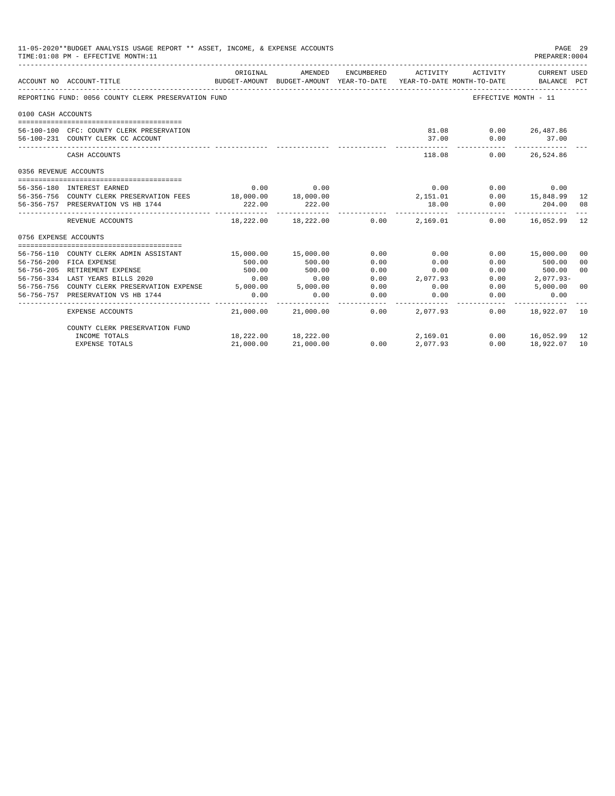| 11-05-2020**BUDGET ANALYSIS USAGE REPORT ** ASSET, INCOME, & EXPENSE ACCOUNTS<br>PAGE 29<br>TIME: 01:08 PM - EFFECTIVE MONTH: 11<br>PREPARER: 0004 |                                                                |           |                                                                                                                   |            |                     |                               |                                             |                |
|----------------------------------------------------------------------------------------------------------------------------------------------------|----------------------------------------------------------------|-----------|-------------------------------------------------------------------------------------------------------------------|------------|---------------------|-------------------------------|---------------------------------------------|----------------|
|                                                                                                                                                    | ACCOUNT NO ACCOUNT-TITLE                                       | ORIGINAL  | AMENDED<br>BUDGET-AMOUNT BUDGET-AMOUNT YEAR-TO-DATE YEAR-TO-DATE MONTH-TO-DATE<br>------------------------------- | ENCUMBERED | ACTIVITY            | ACTIVITY                      | CURRENT USED<br>BALANCE PCT                 |                |
|                                                                                                                                                    | REPORTING FUND: 0056 COUNTY CLERK PRESERVATION FUND            |           |                                                                                                                   |            |                     |                               | EFFECTIVE MONTH - 11                        |                |
| 0100 CASH ACCOUNTS                                                                                                                                 |                                                                |           |                                                                                                                   |            |                     |                               |                                             |                |
|                                                                                                                                                    |                                                                |           |                                                                                                                   |            |                     |                               |                                             |                |
|                                                                                                                                                    | 56-100-100 CFC: COUNTY CLERK PRESERVATION                      |           |                                                                                                                   |            |                     | 81.08                         | $0.00$ 26,487.86                            |                |
|                                                                                                                                                    | 56-100-231 COUNTY CLERK CC ACCOUNT                             |           |                                                                                                                   |            | 37.00<br>---------- | 0.00<br>. _ _ _ _ _ _ _ _ _ _ | 37.00<br>-------------                      |                |
|                                                                                                                                                    | CASH ACCOUNTS                                                  |           |                                                                                                                   |            |                     | 118.08                        | $0.00$ 26,524.86                            |                |
| 0356 REVENUE ACCOUNTS                                                                                                                              |                                                                |           |                                                                                                                   |            |                     |                               |                                             |                |
|                                                                                                                                                    |                                                                |           |                                                                                                                   |            |                     |                               |                                             |                |
|                                                                                                                                                    | 56-356-180 INTEREST EARNED                                     | 0.00      | 0.00                                                                                                              |            |                     | 0.00                          | $0.00$ $0.00$<br>0.00 $15,848.99$           |                |
|                                                                                                                                                    | 56-356-756 COUNTY CLERK PRESERVATION FEES 18,000.00 18,000.00  |           |                                                                                                                   |            |                     | $2,151.01$<br>$18.00$         |                                             | 12             |
|                                                                                                                                                    | 56-356-757 PRESERVATION VS HB 1744                             | 222.00    | 222.00                                                                                                            |            | ----------          | 0.00                          | 204.00 08<br>______________________________ |                |
|                                                                                                                                                    | REVENUE ACCOUNTS                                               |           | $18,222.00$ $18,222.00$ $0.00$ $2,169.01$                                                                         |            |                     |                               | $0.00$ 16,052.99 12                         |                |
| 0756 EXPENSE ACCOUNTS                                                                                                                              |                                                                |           |                                                                                                                   |            |                     |                               |                                             |                |
|                                                                                                                                                    |                                                                |           |                                                                                                                   |            |                     |                               |                                             |                |
|                                                                                                                                                    | 56-756-110 COUNTY CLERK ADMIN ASSISTANT                        |           | 15,000.00 15,000.00                                                                                               | 0.00       | 0.00                |                               | 0.00 15,000.00                              | 00             |
|                                                                                                                                                    | 56-756-200 FICA EXPENSE                                        | 500.00    | 500.00                                                                                                            | 0.00       | 0.00                | 0.00                          | 500.00                                      | 00             |
|                                                                                                                                                    | 56-756-205 RETIREMENT EXPENSE                                  | 500.00    | 500.00                                                                                                            | 0.00       | 0.00                | 0.00                          | 500.00                                      | 0 <sup>0</sup> |
|                                                                                                                                                    | 56-756-334 LAST YEARS BILLS 2020                               | 0.00      | 0.00                                                                                                              | 0.00       | 2,077.93            | 0.00                          | $2,077.93-$                                 |                |
|                                                                                                                                                    | 56-756-756 COUNTY CLERK PRESERVATION EXPENSE 5,000.00 5,000.00 |           |                                                                                                                   | 0.00       | 0.00                | 0.00                          | 5,000.00 00                                 |                |
|                                                                                                                                                    | 56-756-757 PRESERVATION VS HB 1744                             | 0.00      | 0.00                                                                                                              | 0.00       | 0.00                | 0.00                          | 0.00                                        |                |
|                                                                                                                                                    | EXPENSE ACCOUNTS                                               |           | 21.000.00 21.000.00 0.00                                                                                          |            | 2,077.93            | 0.00                          | 18,922.07                                   | 10             |
|                                                                                                                                                    | COUNTY CLERK PRESERVATION FUND                                 |           |                                                                                                                   |            |                     |                               |                                             |                |
|                                                                                                                                                    | INCOME TOTALS                                                  |           | 18,222.00 18,222.00                                                                                               |            | 2,169.01            |                               | $0.00$ 16,052.99                            | 12             |
|                                                                                                                                                    | <b>EXPENSE TOTALS</b>                                          | 21,000.00 | 21,000.00                                                                                                         | 0.00       | 2.077.93            | 0.00                          | 18,922.07                                   | 10             |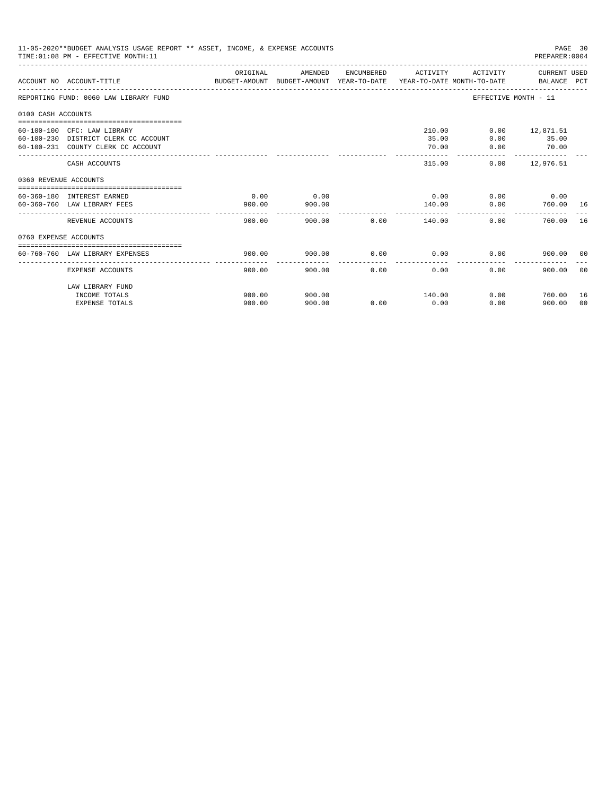| ORIGINAL<br>AMENDED<br>ENCUMBERED ACTIVITY<br>ACTIVITY CURRENT USED<br>BUDGET-AMOUNT BUDGET-AMOUNT YEAR-TO-DATE  YEAR-TO-DATE MONTH-TO-DATE      BALANCE PCT<br>ACCOUNT NO ACCOUNT-TITLE<br>REPORTING FUND: 0060 LAW LIBRARY FUND<br>EFFECTIVE MONTH - 11<br>0100 CASH ACCOUNTS<br>==================================<br>60-100-100 CFC: LAW LIBRARY<br>210.00<br>$0.00$ 12,871.51<br>60-100-230 DISTRICT CLERK CC ACCOUNT<br>35.00<br>$0.00$ 35.00<br>70.00<br>60-100-231 COUNTY CLERK CC ACCOUNT<br>0.00<br>70.00<br>--------------<br>-------------<br>315.00<br>$0.00$ 12,976.51<br>CASH ACCOUNTS<br>0360 REVENUE ACCOUNTS<br>0.00<br>0.00<br>$0.00$ 0.00<br>0.00<br>60-360-180 INTEREST EARNED<br>$0.00$ 760.00 16<br>60-360-760 LAW LIBRARY FEES<br>900.00<br>900.00<br>140.00<br>---------------<br>900.00 0.00<br>0.00<br>760.00<br>REVENUE ACCOUNTS<br>900.00<br>140.00<br>0760 EXPENSE ACCOUNTS<br>0.00<br>$0.00$ 0.00<br>60-760-760 LAW LIBRARY EXPENSES<br>900.00<br>900.00<br>900.00 00<br>0.00<br>0.00<br>0.00<br>EXPENSE ACCOUNTS<br>900.00<br>900.00<br>900.00<br>LAW LIBRARY FUND<br>INCOME TOTALS<br>900.00<br>900.00<br>140.00<br>$0.00$ 760.00 | 11-05-2020**BUDGET ANALYSIS USAGE REPORT ** ASSET, INCOME, & EXPENSE ACCOUNTS<br>PAGE 30<br>TIME: 01:08 PM - EFFECTIVE MONTH: 11<br>PREPARER: 0004 |  |  |  |  |  |  |  |          |  |
|--------------------------------------------------------------------------------------------------------------------------------------------------------------------------------------------------------------------------------------------------------------------------------------------------------------------------------------------------------------------------------------------------------------------------------------------------------------------------------------------------------------------------------------------------------------------------------------------------------------------------------------------------------------------------------------------------------------------------------------------------------------------------------------------------------------------------------------------------------------------------------------------------------------------------------------------------------------------------------------------------------------------------------------------------------------------------------------------------------------------------------------------------------------------|----------------------------------------------------------------------------------------------------------------------------------------------------|--|--|--|--|--|--|--|----------|--|
|                                                                                                                                                                                                                                                                                                                                                                                                                                                                                                                                                                                                                                                                                                                                                                                                                                                                                                                                                                                                                                                                                                                                                                    |                                                                                                                                                    |  |  |  |  |  |  |  |          |  |
|                                                                                                                                                                                                                                                                                                                                                                                                                                                                                                                                                                                                                                                                                                                                                                                                                                                                                                                                                                                                                                                                                                                                                                    |                                                                                                                                                    |  |  |  |  |  |  |  |          |  |
|                                                                                                                                                                                                                                                                                                                                                                                                                                                                                                                                                                                                                                                                                                                                                                                                                                                                                                                                                                                                                                                                                                                                                                    |                                                                                                                                                    |  |  |  |  |  |  |  |          |  |
|                                                                                                                                                                                                                                                                                                                                                                                                                                                                                                                                                                                                                                                                                                                                                                                                                                                                                                                                                                                                                                                                                                                                                                    |                                                                                                                                                    |  |  |  |  |  |  |  |          |  |
|                                                                                                                                                                                                                                                                                                                                                                                                                                                                                                                                                                                                                                                                                                                                                                                                                                                                                                                                                                                                                                                                                                                                                                    |                                                                                                                                                    |  |  |  |  |  |  |  |          |  |
|                                                                                                                                                                                                                                                                                                                                                                                                                                                                                                                                                                                                                                                                                                                                                                                                                                                                                                                                                                                                                                                                                                                                                                    |                                                                                                                                                    |  |  |  |  |  |  |  |          |  |
|                                                                                                                                                                                                                                                                                                                                                                                                                                                                                                                                                                                                                                                                                                                                                                                                                                                                                                                                                                                                                                                                                                                                                                    |                                                                                                                                                    |  |  |  |  |  |  |  |          |  |
|                                                                                                                                                                                                                                                                                                                                                                                                                                                                                                                                                                                                                                                                                                                                                                                                                                                                                                                                                                                                                                                                                                                                                                    |                                                                                                                                                    |  |  |  |  |  |  |  | 16       |  |
|                                                                                                                                                                                                                                                                                                                                                                                                                                                                                                                                                                                                                                                                                                                                                                                                                                                                                                                                                                                                                                                                                                                                                                    |                                                                                                                                                    |  |  |  |  |  |  |  |          |  |
|                                                                                                                                                                                                                                                                                                                                                                                                                                                                                                                                                                                                                                                                                                                                                                                                                                                                                                                                                                                                                                                                                                                                                                    |                                                                                                                                                    |  |  |  |  |  |  |  |          |  |
|                                                                                                                                                                                                                                                                                                                                                                                                                                                                                                                                                                                                                                                                                                                                                                                                                                                                                                                                                                                                                                                                                                                                                                    |                                                                                                                                                    |  |  |  |  |  |  |  | - 0.0    |  |
| 900.00<br>900.00<br>0.00<br>0.00<br><b>EXPENSE TOTALS</b><br>0.00<br>900.00                                                                                                                                                                                                                                                                                                                                                                                                                                                                                                                                                                                                                                                                                                                                                                                                                                                                                                                                                                                                                                                                                        |                                                                                                                                                    |  |  |  |  |  |  |  | 16<br>00 |  |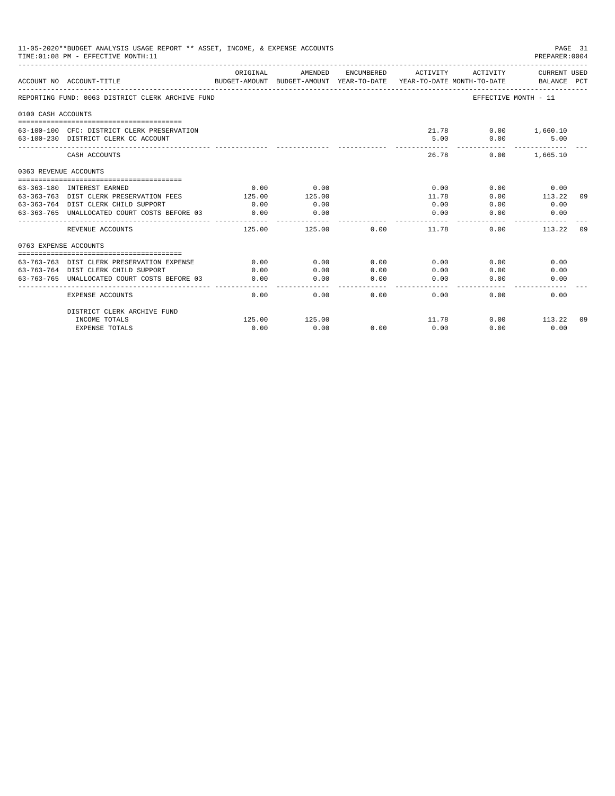|                       | 11-05-2020**BUDGET ANALYSIS USAGE REPORT ** ASSET, INCOME, & EXPENSE ACCOUNTS<br>TIME: 01:08 PM - EFFECTIVE MONTH: 11 |          |                                                     |                                                                                                                                                                                                                                                                                                                                                                                                      |                                        |                             | PAGE 31<br>PREPARER: 0004   |       |
|-----------------------|-----------------------------------------------------------------------------------------------------------------------|----------|-----------------------------------------------------|------------------------------------------------------------------------------------------------------------------------------------------------------------------------------------------------------------------------------------------------------------------------------------------------------------------------------------------------------------------------------------------------------|----------------------------------------|-----------------------------|-----------------------------|-------|
|                       | ACCOUNT NO ACCOUNT-TITLE                                                                                              | ORIGINAL | AMENDED<br>BUDGET-AMOUNT BUDGET-AMOUNT YEAR-TO-DATE | ENCUMBERED                                                                                                                                                                                                                                                                                                                                                                                           | ACTIVITY<br>YEAR-TO-DATE MONTH-TO-DATE | ACTIVITY                    | CURRENT USED<br>BALANCE PCT |       |
|                       | REPORTING FUND: 0063 DISTRICT CLERK ARCHIVE FUND                                                                      |          |                                                     |                                                                                                                                                                                                                                                                                                                                                                                                      |                                        |                             | EFFECTIVE MONTH - 11        |       |
| 0100 CASH ACCOUNTS    |                                                                                                                       |          |                                                     |                                                                                                                                                                                                                                                                                                                                                                                                      |                                        |                             |                             |       |
|                       | 63-100-100 CFC: DISTRICT CLERK PRESERVATION<br>63-100-230 DISTRICT CLERK CC ACCOUNT                                   |          |                                                     |                                                                                                                                                                                                                                                                                                                                                                                                      | 5.00                                   | 21.78 0.00 1,660.10<br>0.00 | 5.00                        |       |
|                       | CASH ACCOUNTS                                                                                                         |          |                                                     |                                                                                                                                                                                                                                                                                                                                                                                                      | 26.78                                  | 0.00                        | 1,665.10                    |       |
| 0363 REVENUE ACCOUNTS |                                                                                                                       |          |                                                     |                                                                                                                                                                                                                                                                                                                                                                                                      |                                        |                             |                             |       |
|                       |                                                                                                                       |          |                                                     |                                                                                                                                                                                                                                                                                                                                                                                                      |                                        |                             |                             |       |
|                       | 63-363-180 INTEREST EARNED                                                                                            | 0.00     | 0.00                                                |                                                                                                                                                                                                                                                                                                                                                                                                      | 0.00                                   | 0.00                        | 0.00                        |       |
|                       | 63-363-763 DIST CLERK PRESERVATION FEES                                                                               | 125.00   | 125.00                                              |                                                                                                                                                                                                                                                                                                                                                                                                      | 11.78                                  | 0.00                        | 113.22                      | 09    |
|                       | 63-363-764 DIST CLERK CHILD SUPPORT                                                                                   | 0.00     | 0.00                                                |                                                                                                                                                                                                                                                                                                                                                                                                      | 0.00                                   | 0.00                        | 0.00                        |       |
|                       | 63-363-765 UNALLOCATED COURT COSTS BEFORE 03                                                                          | 0.00     | 0.00<br>----------                                  |                                                                                                                                                                                                                                                                                                                                                                                                      | 0.00<br>-------                        | 0.00                        | 0.00                        |       |
|                       | REVENUE ACCOUNTS                                                                                                      | 125.00   | 125.00                                              | 0.00                                                                                                                                                                                                                                                                                                                                                                                                 | 11.78                                  | 0.00                        | 113.22                      | . 0.9 |
| 0763 EXPENSE ACCOUNTS |                                                                                                                       |          |                                                     |                                                                                                                                                                                                                                                                                                                                                                                                      |                                        |                             |                             |       |
|                       |                                                                                                                       |          |                                                     |                                                                                                                                                                                                                                                                                                                                                                                                      |                                        |                             |                             |       |
|                       | 63-763-763 DIST CLERK PRESERVATION EXPENSE                                                                            | 0.00     | 0.00                                                | 0.00                                                                                                                                                                                                                                                                                                                                                                                                 | 0.00                                   | 0.00                        | 0.00                        |       |
|                       | 63-763-764 DIST CLERK CHILD SUPPORT                                                                                   | 0.00     | 0.00                                                | 0.00                                                                                                                                                                                                                                                                                                                                                                                                 | 0.00                                   | 0.00                        | 0.00                        |       |
|                       | 63-763-765 UNALLOCATED COURT COSTS BEFORE 03                                                                          | 0.00     | 0.00<br>----------                                  | 0.00<br>$\frac{1}{2} \frac{1}{2} \frac{1}{2} \frac{1}{2} \frac{1}{2} \frac{1}{2} \frac{1}{2} \frac{1}{2} \frac{1}{2} \frac{1}{2} \frac{1}{2} \frac{1}{2} \frac{1}{2} \frac{1}{2} \frac{1}{2} \frac{1}{2} \frac{1}{2} \frac{1}{2} \frac{1}{2} \frac{1}{2} \frac{1}{2} \frac{1}{2} \frac{1}{2} \frac{1}{2} \frac{1}{2} \frac{1}{2} \frac{1}{2} \frac{1}{2} \frac{1}{2} \frac{1}{2} \frac{1}{2} \frac{$ | 0.00<br>-------                        | 0.00                        | 0.00                        |       |
|                       | <b>EXPENSE ACCOUNTS</b>                                                                                               | 0.00     | 0.00                                                | 0.00                                                                                                                                                                                                                                                                                                                                                                                                 | 0.00                                   | 0.00                        | 0.00                        |       |
|                       | DISTRICT CLERK ARCHIVE FUND                                                                                           |          |                                                     |                                                                                                                                                                                                                                                                                                                                                                                                      |                                        |                             |                             |       |
|                       | INCOME TOTALS                                                                                                         | 125.00   | 125.00                                              |                                                                                                                                                                                                                                                                                                                                                                                                      | 11.78                                  |                             | $0.00$ 113.22               | 09    |
|                       | <b>EXPENSE TOTALS</b>                                                                                                 | 0.00     | 0.00                                                | 0.00                                                                                                                                                                                                                                                                                                                                                                                                 | 0.00                                   | 0.00                        | 0.00                        |       |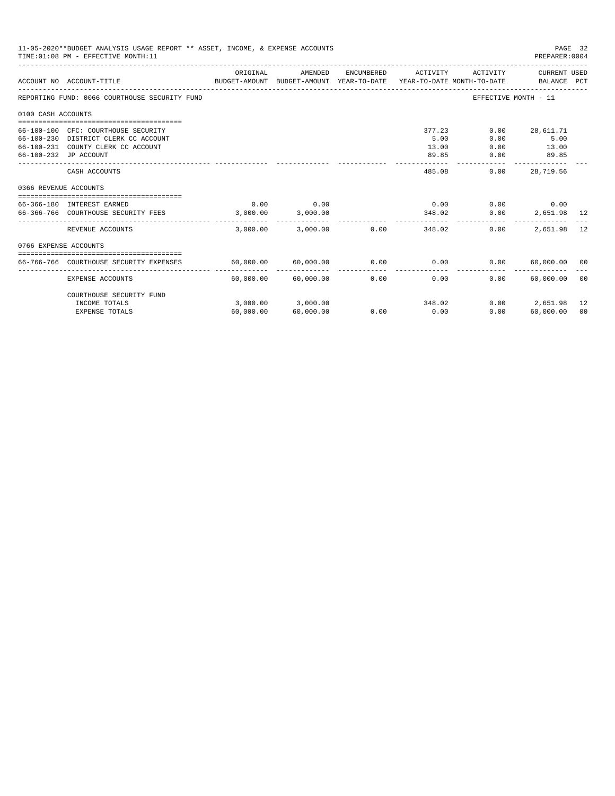|                       | 11-05-2020**BUDGET ANALYSIS USAGE REPORT ** ASSET, INCOME, & EXPENSE ACCOUNTS<br>PAGE 32<br>TIME: 01:08 PM - EFFECTIVE MONTH: 11<br>PREPARER: 0004 |           |                                           |                      |                                  |                              |                                     |          |  |
|-----------------------|----------------------------------------------------------------------------------------------------------------------------------------------------|-----------|-------------------------------------------|----------------------|----------------------------------|------------------------------|-------------------------------------|----------|--|
|                       | BUDGET-AMOUNT BUDGET-AMOUNT YEAR-TO-DATE YEAR-TO-DATE_MONTH-TO-DATE ________________________________<br>ACCOUNT NO ACCOUNT-TITLE                   | ORIGINAL  | AMENDED                                   | ENCUMBERED           | ACTIVITY                         | ACTIVITY                     | CURRENT USED                        |          |  |
|                       | REPORTING FUND: 0066 COURTHOUSE SECURITY FUND                                                                                                      |           |                                           |                      |                                  |                              | EFFECTIVE MONTH - 11                |          |  |
| 0100 CASH ACCOUNTS    |                                                                                                                                                    |           |                                           |                      |                                  |                              |                                     |          |  |
|                       | 66-100-100 CFC: COURTHOUSE SECURITY<br>66-100-230 DISTRICT CLERK CC ACCOUNT<br>66-100-231 COUNTY CLERK CC ACCOUNT<br>66-100-232 JP ACCOUNT         |           |                                           |                      | 377.23<br>5.00<br>13.00<br>89.85 | 0.00<br>0.00<br>0.00<br>0.00 | 28,611.71<br>5.00<br>13.00<br>89.85 |          |  |
|                       | CASH ACCOUNTS                                                                                                                                      |           |                                           |                      | 485.08                           | 0.00                         | -----------<br>28,719.56            |          |  |
| 0366 REVENUE ACCOUNTS |                                                                                                                                                    |           |                                           |                      |                                  |                              |                                     |          |  |
|                       | 66-366-180 INTEREST EARNED<br>66-366-766 COURTHOUSE SECURITY FEES 3,000.00                                                                         | 0.00      | 0.00<br>3,000.00                          |                      | 0.00<br>348.02                   | $0.00$ 0.00<br>0.00          | 2,651.98 12                         |          |  |
|                       | REVENUE ACCOUNTS                                                                                                                                   | 3.000.00  | 3,000.00                                  |                      | $0.00$ and $0.00$<br>348.02      | 0.00                         | 2,651.98                            | 12       |  |
| 0766 EXPENSE ACCOUNTS |                                                                                                                                                    |           |                                           |                      |                                  |                              |                                     |          |  |
|                       | 66-766-766 COURTHOUSE SECURITY EXPENSES                                                                                                            |           | 60,000.00 60,000.00                       |                      | $0.00$ 0.00                      | 0.00                         | 60,000,00 00                        |          |  |
|                       | EXPENSE ACCOUNTS                                                                                                                                   |           | --------------<br>$60,000.00$ $60,000.00$ | ------------<br>0.00 | ------------<br>0.00             | $0.00 -$                     | -------------<br>60,000.00          | - 00     |  |
|                       | COURTHOUSE SECURITY FUND                                                                                                                           |           |                                           |                      |                                  |                              |                                     |          |  |
|                       | INCOME TOTALS<br><b>EXPENSE TOTALS</b>                                                                                                             | 60,000.00 | 3,000.00 3,000.00<br>60,000.00            | 0.00                 | 348.02<br>0.00                   | 0.00                         | $0.00$ 2.651.98<br>60,000.00        | 12<br>00 |  |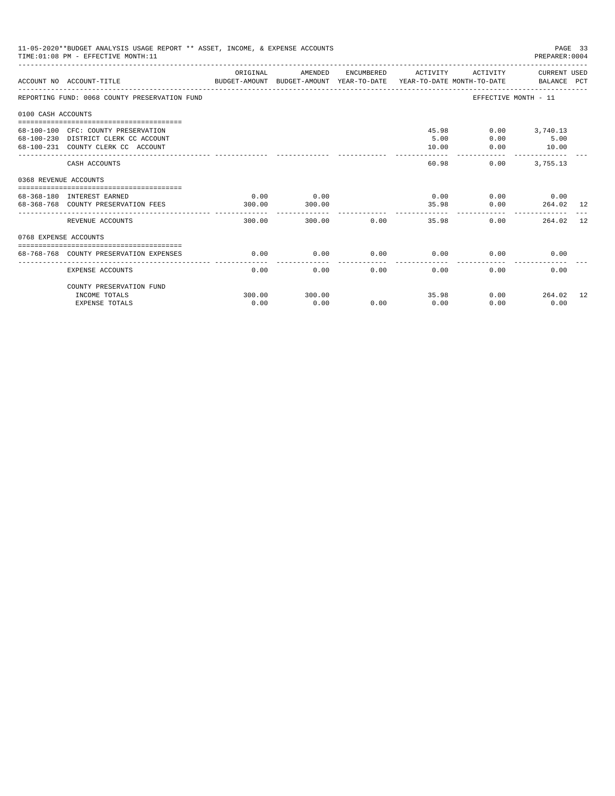|                       | 11-05-2020**BUDGET ANALYSIS USAGE REPORT ** ASSET, INCOME, & EXPENSE ACCOUNTS<br>TIME: 01:08 PM - EFFECTIVE MONTH: 11 |                |                |                           |                             |                       | PAGE 33<br>PREPARER: 0004                       |     |
|-----------------------|-----------------------------------------------------------------------------------------------------------------------|----------------|----------------|---------------------------|-----------------------------|-----------------------|-------------------------------------------------|-----|
|                       | ACCOUNT NO ACCOUNT-TITLE COMPUTER THE BUDGET-AMOUNT BUDGET-AMOUNT YEAR-TO-DATE YEAR-TO-DATE MONTH-TO-DATE BALANCE PCT | ORIGINAL       | AMENDED        |                           | ENCUMBERED ACTIVITY         |                       | ACTIVITY CURRENT USED                           |     |
|                       | REPORTING FUND: 0068 COUNTY PRESERVATION FUND                                                                         |                |                |                           |                             |                       | EFFECTIVE MONTH - 11                            |     |
| 0100 CASH ACCOUNTS    |                                                                                                                       |                |                |                           |                             |                       |                                                 |     |
|                       | 68-100-100 CFC: COUNTY PRESERVATION<br>68-100-230 DISTRICT CLERK CC ACCOUNT<br>68-100-231 COUNTY CLERK CC ACCOUNT     |                |                |                           | 5.00<br>10.00               | 45.98<br>0.00<br>0.00 | $0.00$ 3,740.13<br>5.00<br>10.00                |     |
|                       | CASH ACCOUNTS                                                                                                         |                |                |                           | 60.98                       | 0.00                  | 3,755.13                                        |     |
| 0368 REVENUE ACCOUNTS |                                                                                                                       |                |                |                           |                             |                       |                                                 |     |
|                       | 68-368-180 INTEREST EARNED<br>68-368-768 COUNTY PRESERVATION FEES                                                     | 0.00<br>300.00 | 0.00<br>300.00 |                           |                             | 35.98                 | $0.00$ $0.00$ $0.00$ $0.00$<br>$0.00$ 264.02 12 |     |
|                       | REVENUE ACCOUNTS                                                                                                      | 300.00         |                | 300.00 0.00               |                             | 35.98                 | 0.00<br>264.02                                  | -12 |
| 0768 EXPENSE ACCOUNTS |                                                                                                                       |                |                |                           |                             |                       |                                                 |     |
|                       | 68-768-768 COUNTY PRESERVATION EXPENSES                                                                               | 0.00           | 0.00           |                           | $0.00$ $0.00$ $0.00$ $0.00$ |                       | 0.00                                            |     |
|                       | EXPENSE ACCOUNTS                                                                                                      | 0.00           |                | $0.00$ and $0.00$<br>0.00 | 0.00                        | 0.00                  | 0.00                                            |     |
|                       | COUNTY PRESERVATION FUND<br>INCOME TOTALS                                                                             | 300.00         | 300.00         |                           |                             | 35.98                 | $0.00$ 264.02 12                                |     |
|                       | <b>EXPENSE TOTALS</b>                                                                                                 | 0.00           | 0.00           | 0.00                      | 0.00                        | 0.00                  | 0.00                                            |     |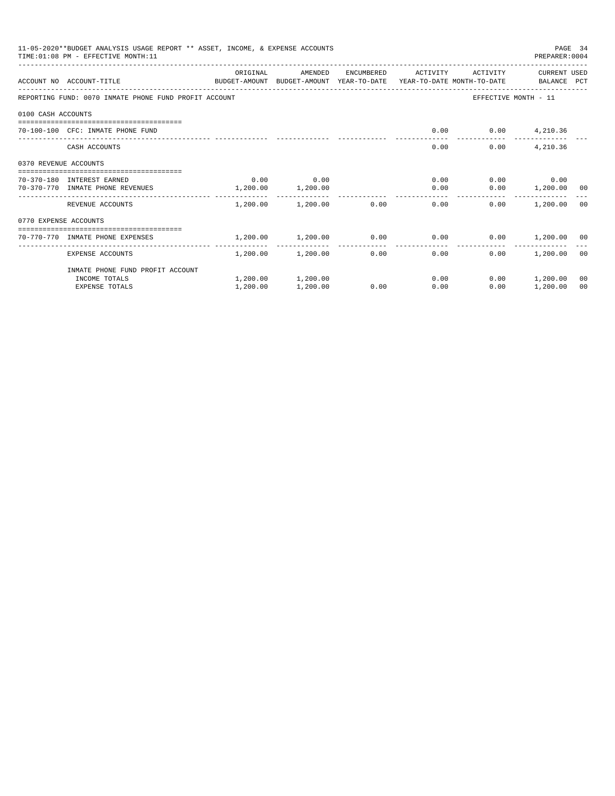|                       | 11-05-2020**BUDGET ANALYSIS USAGE REPORT ** ASSET, INCOME, & EXPENSE ACCOUNTS<br>TIME: 01:08 PM - EFFECTIVE MONTH: 11 |           |                        |              |                                                            |                          | PREPARER: 0004     | PAGE 34 |
|-----------------------|-----------------------------------------------------------------------------------------------------------------------|-----------|------------------------|--------------|------------------------------------------------------------|--------------------------|--------------------|---------|
|                       |                                                                                                                       | ORIGINAL  | AMENDED                |              | ENCUMBERED ACTIVITY                                        | ACTIVITY                 | CURRENT USED       |         |
|                       | ACCOUNT NO ACCOUNT-TITLE<br>BUDGET-AMOUNT BUDGET-AMOUNT YEAR-TO-DATE YEAR-TO-DATE MONTH-TO-DATE BALANCE PCT           |           |                        |              |                                                            |                          |                    |         |
|                       | REPORTING FUND: 0070 INMATE PHONE FUND PROFIT ACCOUNT                                                                 |           |                        |              |                                                            | EFFECTIVE MONTH - 11     |                    |         |
| 0100 CASH ACCOUNTS    |                                                                                                                       |           |                        |              |                                                            |                          |                    |         |
|                       | 70-100-100 CFC: INMATE PHONE FUND                                                                                     |           |                        |              |                                                            | $0.00$ $0.00$ $4,210.36$ |                    |         |
|                       | CASH ACCOUNTS                                                                                                         |           |                        |              | 0.00                                                       | 0.00                     | 4,210.36           |         |
| 0370 REVENUE ACCOUNTS |                                                                                                                       |           |                        |              |                                                            |                          |                    |         |
|                       | 70-370-180 INTEREST EARNED                                                                                            | 0.00      | 0.00                   |              | $0.00$ and $0.00$                                          |                          | $0.00$ 0.00        |         |
|                       | 70-370-770 INMATE PHONE REVENUES                                                                                      | 1, 200.00 | 1,200.00               |              | 0.00                                                       |                          | $0.00$ 1,200.00 00 |         |
|                       | REVENUE ACCOUNTS                                                                                                      |           | 1,200.00 1,200.00 0.00 |              | 0.00                                                       | 0.00                     | 1,200.00 00        |         |
| 0770 EXPENSE ACCOUNTS |                                                                                                                       |           |                        |              |                                                            |                          |                    |         |
|                       | ----------------------------------<br>70-770-770 INMATE PHONE EXPENSES                                                |           |                        |              | $1,200.00$ $1,200.00$ $0.00$ $0.00$ $0.00$ $1,200.00$ $00$ |                          |                    |         |
|                       | EXPENSE ACCOUNTS                                                                                                      |           | $1,200.00$ $1,200.00$  | ------------ | 0.00<br>0.00                                               | 0.00                     | 1,200.00 00        |         |
|                       | INMATE PHONE FUND PROFIT ACCOUNT                                                                                      |           |                        |              |                                                            |                          |                    |         |
|                       | INCOME TOTALS                                                                                                         |           | 1,200.00 1,200.00      |              | 0.00                                                       |                          | $0.00$ 1,200.00    | 00      |
|                       | <b>EXPENSE TOTALS</b>                                                                                                 | 1,200.00  | 1,200.00               | 0.00         | 0.00                                                       | 0.00                     | 1,200.00           | 00      |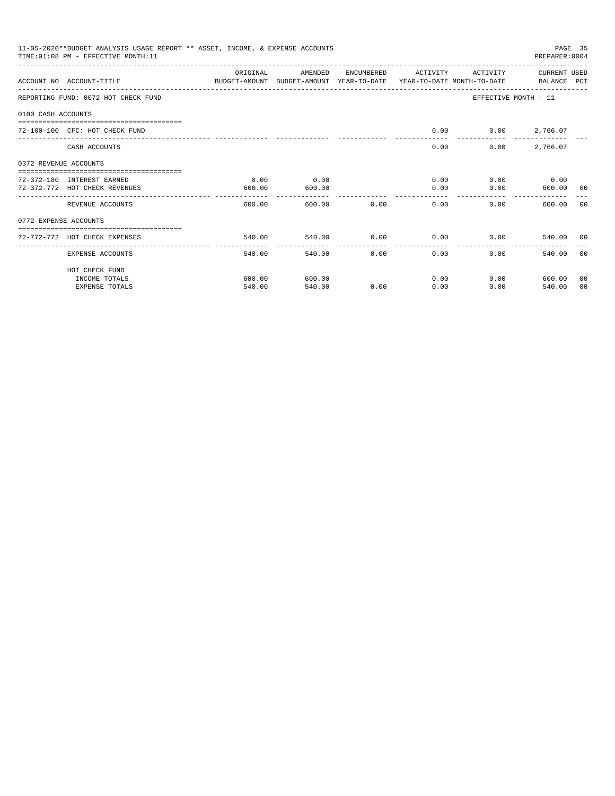|                       | 11-05-2020**BUDGET ANALYSIS USAGE REPORT ** ASSET, INCOME, & EXPENSE ACCOUNTS<br>TIME: 01:08 PM - EFFECTIVE MONTH: 11 |          |                                                                                            |            |          |          | PREPARER: 0004                           | PAGE 35 |
|-----------------------|-----------------------------------------------------------------------------------------------------------------------|----------|--------------------------------------------------------------------------------------------|------------|----------|----------|------------------------------------------|---------|
|                       | ACCOUNT NO ACCOUNT-TITLE                                                                                              | ORIGINAL | AMENDED<br>BUDGET-AMOUNT BUDGET-AMOUNT YEAR-TO-DATE YEAR-TO-DATE MONTH-TO-DATE BALANCE PCT | ENCUMBERED | ACTIVITY | ACTIVITY | CURRENT USED                             |         |
|                       | REPORTING FUND: 0072 HOT CHECK FUND                                                                                   |          |                                                                                            |            |          |          | EFFECTIVE MONTH - 11                     |         |
| 0100 CASH ACCOUNTS    |                                                                                                                       |          |                                                                                            |            |          |          |                                          |         |
|                       | 72-100-100 CFC: HOT CHECK FUND                                                                                        |          |                                                                                            |            | 0.00     |          | $0.00$ 2,766.07                          |         |
|                       | CASH ACCOUNTS                                                                                                         |          |                                                                                            |            | 0.00     | 0.00     | 2,766.07                                 |         |
| 0372 REVENUE ACCOUNTS |                                                                                                                       |          |                                                                                            |            |          |          |                                          |         |
|                       | 72-372-180 INTEREST EARNED                                                                                            | 0.00     | 0.00                                                                                       |            | 0.00     |          | $0.00$ 0.00                              |         |
|                       | 72-372-772 HOT CHECK REVENUES                                                                                         | 600.00   | 600.00                                                                                     |            | 0.00     | 0.00     | 600.00                                   | 00      |
|                       | REVENUE ACCOUNTS                                                                                                      | 600.00   | -------------<br>600.00                                                                    | 0.00       | 0.00     | 0.00     | ------------------------------<br>600.00 | 00      |
| 0772 EXPENSE ACCOUNTS |                                                                                                                       |          |                                                                                            |            |          |          |                                          |         |
|                       | -------------------------------<br>72-772-772 HOT CHECK EXPENSES                                                      | 540.00   | 540.00                                                                                     | 0.00       | 0.00     |          | $0.00$ 540.00 00                         |         |
|                       | EXPENSE ACCOUNTS                                                                                                      | 540.00   | 540.00                                                                                     | 0.00       | 0.00     | 0.00     | 540.00 00                                |         |
|                       | HOT CHECK FUND                                                                                                        |          |                                                                                            |            |          |          |                                          |         |
|                       | INCOME TOTALS                                                                                                         | 600.00   | 600.00                                                                                     |            | 0.00     |          | 0.00<br>600.00                           | 00      |
|                       | <b>EXPENSE TOTALS</b>                                                                                                 | 540.00   | 540.00                                                                                     | 0.00       | 0.00     | 0.00     | 540.00                                   | 00      |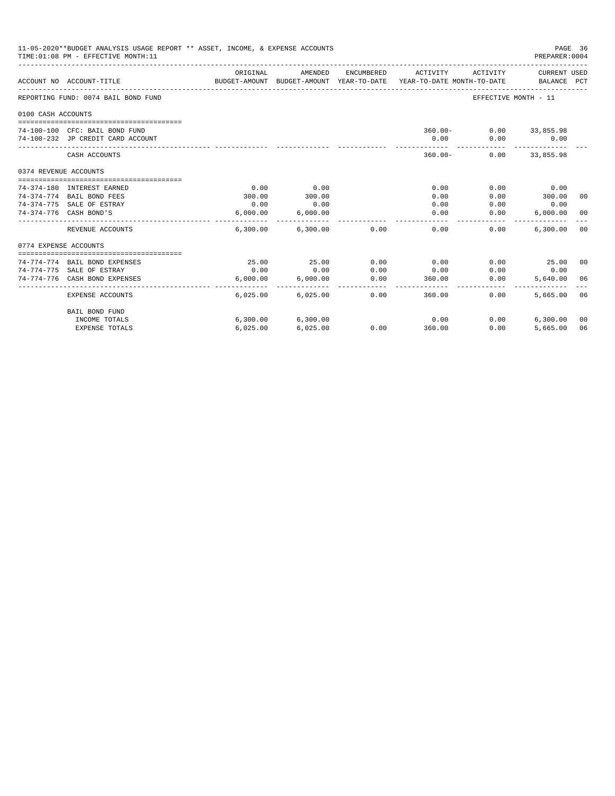|                       | 11-05-2020**BUDGET ANALYSIS USAGE REPORT ** ASSET, INCOME, & EXPENSE ACCOUNTS<br>TIME: 01:08 PM - EFFECTIVE MONTH: 11 |                            |                            |                 |                                                                                 |                        | PAGE 36<br>PREPARER: 0004      |    |
|-----------------------|-----------------------------------------------------------------------------------------------------------------------|----------------------------|----------------------------|-----------------|---------------------------------------------------------------------------------|------------------------|--------------------------------|----|
|                       | ACCOUNT NO ACCOUNT-TITLE                                                                                              | ORIGINAL                   | AMENDED                    | ENCUMBERED      | ACTIVITY<br>BUDGET-AMOUNT BUDGET-AMOUNT YEAR-TO-DATE YEAR-TO-DATE MONTH-TO-DATE | ACTIVITY               | CURRENT USED<br>BALANCE PCT    |    |
|                       | REPORTING FUND: 0074 BAIL BOND FUND                                                                                   |                            |                            |                 |                                                                                 | EFFECTIVE MONTH - 11   |                                |    |
| 0100 CASH ACCOUNTS    |                                                                                                                       |                            |                            |                 |                                                                                 |                        |                                |    |
|                       |                                                                                                                       |                            |                            |                 |                                                                                 |                        |                                |    |
|                       | 74-100-100 CFC: BAIL BOND FUND                                                                                        |                            |                            |                 |                                                                                 | 360.00- 0.00 33,855.98 |                                |    |
|                       | 74-100-232 JP CREDIT CARD ACCOUNT                                                                                     |                            |                            |                 | 0.00                                                                            | 0.00                   | 0.00                           |    |
|                       | CASH ACCOUNTS                                                                                                         |                            |                            |                 | $360.00 -$                                                                      |                        | $0.00$ 33,855.98               |    |
| 0374 REVENUE ACCOUNTS |                                                                                                                       |                            |                            |                 |                                                                                 |                        |                                |    |
|                       |                                                                                                                       |                            |                            |                 |                                                                                 |                        |                                |    |
|                       | 74-374-180 INTEREST EARNED                                                                                            | 0.00                       | 0.00                       |                 | 0.00                                                                            | 0.00                   | 0.00                           |    |
|                       | 74-374-774 BAIL BOND FEES                                                                                             | 300.00                     | 300.00                     |                 | 0.00                                                                            | 0.00                   | 300.00                         | 00 |
|                       | 74-374-775 SALE OF ESTRAY                                                                                             | 0.00                       | 0.00                       |                 | 0.00                                                                            | 0.00                   | 0.00                           |    |
|                       | 74-374-776 CASH BOND'S                                                                                                | 6.000.00                   | 6.000.00<br>-------------  |                 | 0.00<br>-----------                                                             | 0.00<br>----------     | $6,000.00$ 00<br>------------- |    |
|                       | REVENUE ACCOUNTS                                                                                                      |                            | 6,300.00 6,300.00 0.00     |                 | 0.00                                                                            | 0.00                   | 6,300,00                       | 00 |
| 0774 EXPENSE ACCOUNTS |                                                                                                                       |                            |                            |                 |                                                                                 |                        |                                |    |
|                       |                                                                                                                       |                            |                            |                 |                                                                                 |                        |                                |    |
|                       | 74-774-774 BAIL BOND EXPENSES                                                                                         | 25.00                      | 25.00                      | 0.00            | 0.00                                                                            | 0.00                   | 25.00 00                       |    |
|                       | 74-774-775 SALE OF ESTRAY                                                                                             | 0.00                       | 0.00                       | 0.00            | 0.00                                                                            | 0.00                   | 0.00                           |    |
|                       | 74-774-776 CASH BOND EXPENSES                                                                                         | 6.000.00<br>______________ | 6,000.00<br>-------------- | 0.00<br>------- | 360.00                                                                          | 0.00                   | 5,640,00 06                    |    |
|                       | EXPENSE ACCOUNTS                                                                                                      |                            | 6,025.00 6,025.00          | 0.00            | 360.00                                                                          | 0.00                   | 5,665,00 06                    |    |
|                       | BAIL BOND FUND                                                                                                        |                            |                            |                 |                                                                                 |                        |                                |    |
|                       | INCOME TOTALS                                                                                                         |                            | 6,300.00 6,300.00          |                 | 0.00                                                                            | 0.00                   | $6,300.00$ 00                  |    |
|                       | <b>EXPENSE TOTALS</b>                                                                                                 | 6,025.00                   | 6,025.00                   |                 | 0.00<br>360.00                                                                  | 0.00                   | 5,665.00                       | 06 |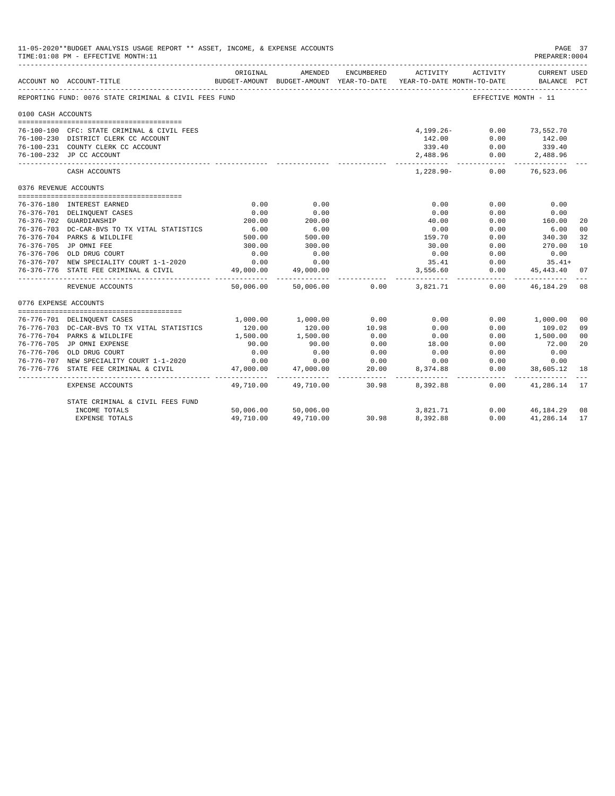|                       | 11-05-2020**BUDGET ANALYSIS USAGE REPORT ** ASSET, INCOME, & EXPENSE ACCOUNTS<br>PAGE 37<br>TIME: 01:08 PM - EFFECTIVE MONTH: 11<br>PREPARER: 0004<br>ENCUMBERED<br>ORIGINAL<br>AMENDED<br>ACTIVITY<br>ACTIVITY<br>CURRENT USED<br>BUDGET-AMOUNT BUDGET-AMOUNT YEAR-TO-DATE YEAR-TO-DATE MONTH-TO-DATE<br>ACCOUNT NO ACCOUNT-TITLE<br>BALANCE PCT<br>REPORTING FUND: 0076 STATE CRIMINAL & CIVIL FEES FUND<br>EFFECTIVE MONTH - 11 |                    |                          |                   |                                |                 |                             |                |
|-----------------------|------------------------------------------------------------------------------------------------------------------------------------------------------------------------------------------------------------------------------------------------------------------------------------------------------------------------------------------------------------------------------------------------------------------------------------|--------------------|--------------------------|-------------------|--------------------------------|-----------------|-----------------------------|----------------|
|                       |                                                                                                                                                                                                                                                                                                                                                                                                                                    |                    |                          |                   |                                |                 |                             |                |
|                       |                                                                                                                                                                                                                                                                                                                                                                                                                                    |                    |                          |                   |                                |                 |                             |                |
| 0100 CASH ACCOUNTS    |                                                                                                                                                                                                                                                                                                                                                                                                                                    |                    |                          |                   |                                |                 |                             |                |
|                       | 76-100-100 CFC: STATE CRIMINAL & CIVIL FEES                                                                                                                                                                                                                                                                                                                                                                                        |                    |                          |                   | $4,199.26-$                    | 0.00            | 73,552.70                   |                |
|                       | 76-100-230 DISTRICT CLERK CC ACCOUNT                                                                                                                                                                                                                                                                                                                                                                                               |                    |                          |                   | 142.00 0.00                    |                 | 142.00                      |                |
|                       | 76-100-231 COUNTY CLERK CC ACCOUNT                                                                                                                                                                                                                                                                                                                                                                                                 |                    |                          |                   |                                |                 | 339.40                      |                |
|                       | 76-100-232 JP CC ACCOUNT                                                                                                                                                                                                                                                                                                                                                                                                           |                    |                          |                   | $339.40$ 0.00<br>2,488.96 0.00 |                 | $0.00$ 2,488.96             |                |
|                       | CASH ACCOUNTS                                                                                                                                                                                                                                                                                                                                                                                                                      |                    |                          |                   | $1.228.90 -$                   | 0.00            | --------------<br>76,523.06 |                |
| 0376 REVENUE ACCOUNTS |                                                                                                                                                                                                                                                                                                                                                                                                                                    |                    |                          |                   |                                |                 |                             |                |
|                       |                                                                                                                                                                                                                                                                                                                                                                                                                                    |                    |                          |                   |                                |                 |                             |                |
|                       | 76-376-180 INTEREST EARNED                                                                                                                                                                                                                                                                                                                                                                                                         | 0.00               | 0.00                     |                   | 0.00                           | 0.00            | 0.00                        |                |
|                       | 76-376-701 DELINQUENT CASES                                                                                                                                                                                                                                                                                                                                                                                                        | 0.00               | 0.00                     |                   | 0.00                           | 0.00            | 0.00<br>160.00              |                |
|                       | 76-376-702 GUARDIANSHIP                                                                                                                                                                                                                                                                                                                                                                                                            | 200.00             | 200.00<br>$500$<br>500   |                   | 40.00                          | 0.00            |                             | 20             |
|                       | 76-376-703 DC-CAR-BVS TO TX VITAL STATISTICS                                                                                                                                                                                                                                                                                                                                                                                       | $6.00$<br>500.00   |                          |                   | 0.00                           | 0.00            | 6.00<br>340.30              | 0 <sup>0</sup> |
|                       | 76-376-704 PARKS & WILDLIFE                                                                                                                                                                                                                                                                                                                                                                                                        |                    |                          |                   | 159.70                         | 0.00            |                             | 32             |
|                       | 76-376-705 JP OMNI FEE                                                                                                                                                                                                                                                                                                                                                                                                             | 300.00<br>0.00     | 300.00<br>0.00           |                   | 30.00                          | 0.00            | 270.00                      | 10             |
|                       | 76-376-706 OLD DRUG COURT                                                                                                                                                                                                                                                                                                                                                                                                          | 0.00               | 0.00                     |                   | 0.00<br>35.41                  | 0.00            | 0.00                        |                |
|                       | 76-376-707 NEW SPECIALITY COURT 1-1-2020                                                                                                                                                                                                                                                                                                                                                                                           |                    |                          |                   |                                | 0.00<br>0.00    | $35.41+$                    | 07             |
|                       | 76-376-776 STATE FEE CRIMINAL & CIVIL                                                                                                                                                                                                                                                                                                                                                                                              | 49,000.00          | 49,000.00                |                   | 3,556.60                       |                 | 45, 443.40                  |                |
|                       | REVENUE ACCOUNTS                                                                                                                                                                                                                                                                                                                                                                                                                   | 50,006.00          | 50,006.00                | 0.00              | 3,821,71                       |                 | $0.00$ $46.184.29$          | 08             |
| 0776 EXPENSE ACCOUNTS |                                                                                                                                                                                                                                                                                                                                                                                                                                    |                    |                          |                   |                                |                 |                             |                |
|                       |                                                                                                                                                                                                                                                                                                                                                                                                                                    |                    |                          |                   | 0.00                           |                 |                             |                |
|                       | 76-776-701 DELINOUENT CASES                                                                                                                                                                                                                                                                                                                                                                                                        | 1,000.00           | 1,000.00                 | 0.00              |                                | 0.00            | 1,000.00                    | 00             |
|                       | 76-776-703 DC-CAR-BVS TO TX VITAL STATISTICS<br>76-776-704 PARKS & WILDLIFE                                                                                                                                                                                                                                                                                                                                                        | 120.00<br>1,500.00 | 120.00<br>1,500.00       | 10.98<br>0.00     | 0.00<br>0.00                   | 0.00<br>0.00    | 109.02<br>1,500.00          | 09<br>00       |
|                       | 76-776-705 JP OMNI EXPENSE                                                                                                                                                                                                                                                                                                                                                                                                         | 90.00              | 90.00                    | 0.00              | 18.00                          | 0.00            | 72.00                       | 20             |
|                       | 76-776-706 OLD DRUG COURT                                                                                                                                                                                                                                                                                                                                                                                                          | 0.00               | 0.00                     | 0.00              | 0.00                           | 0.00            | 0.00                        |                |
|                       | 76-776-707 NEW SPECIALITY COURT 1-1-2020                                                                                                                                                                                                                                                                                                                                                                                           | 0.00               | 0.00                     | 0.00              | 0.00                           | 0.00            | 0.00                        |                |
|                       | 76-776-776 STATE FEE CRIMINAL & CIVIL                                                                                                                                                                                                                                                                                                                                                                                              | 47,000.00          | 47,000.00                | 20.00             | 8,374.88                       | 0.00            | 38,605.12                   | 18             |
|                       | EXPENSE ACCOUNTS                                                                                                                                                                                                                                                                                                                                                                                                                   | 49,710.00          | -----------<br>49,710.00 | ________<br>30.98 | . <u>.</u><br>8,392.88         | -------<br>0.00 | -----------<br>41,286.14    | 17             |
|                       | STATE CRIMINAL & CIVIL FEES FUND                                                                                                                                                                                                                                                                                                                                                                                                   |                    |                          |                   |                                |                 |                             |                |
|                       | INCOME TOTALS                                                                                                                                                                                                                                                                                                                                                                                                                      | 50,006.00          | 50,006.00                |                   | 3,821.71                       |                 | $0.00$ $46,184.29$          | 08             |
|                       | <b>EXPENSE TOTALS</b>                                                                                                                                                                                                                                                                                                                                                                                                              | 49,710.00          | 49,710.00                | 30.98             | 8,392.88                       | 0.00            | 41,286.14                   | 17             |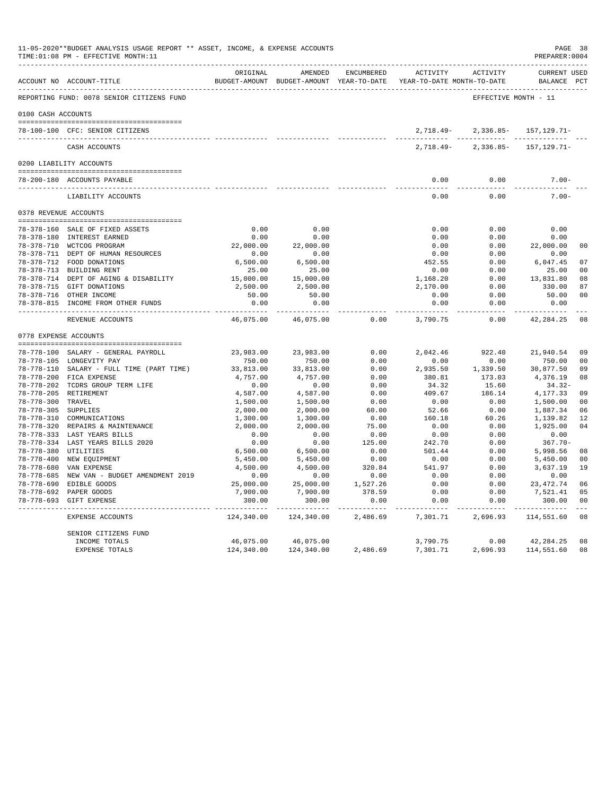|                     | ACCOUNT NO ACCOUNT-TITLE                                                      | ORIGINAL   | AMENDED             | ENCUMBERED | BUDGET-AMOUNT BUDGET-AMOUNT YEAR-TO-DATE YEAR-TO-DATE MONTH-TO-DATE | ACTIVITY ACTIVITY                          | <b>CURRENT USED</b><br>BALANCE PCT |                |
|---------------------|-------------------------------------------------------------------------------|------------|---------------------|------------|---------------------------------------------------------------------|--------------------------------------------|------------------------------------|----------------|
|                     | REPORTING FUND: 0078 SENIOR CITIZENS FUND                                     |            |                     |            |                                                                     | EFFECTIVE MONTH - 11                       |                                    |                |
| 0100 CASH ACCOUNTS  |                                                                               |            |                     |            |                                                                     |                                            |                                    |                |
|                     | 78-100-100 CFC: SENIOR CITIZENS                                               |            |                     |            | 2,718.49-                                                           | 2,336.85-                                  | 157,129.71-                        |                |
|                     | CASH ACCOUNTS                                                                 |            |                     |            | $2,718.49-$                                                         | ------------ --------------<br>$2,336.85-$ | 157, 129. 71-                      |                |
|                     |                                                                               |            |                     |            |                                                                     |                                            |                                    |                |
|                     | 0200 LIABILITY ACCOUNTS                                                       |            |                     |            |                                                                     |                                            |                                    |                |
|                     | 78-200-180 ACCOUNTS PAYABLE<br>--------------------------------               |            |                     |            | 0.00<br>$- - - -$                                                   | 0.00<br>-----                              | $7.00 -$<br>$- - - - -$            |                |
|                     | LIABILITY ACCOUNTS                                                            |            |                     |            | 0.00                                                                | 0.00                                       | $7.00 -$                           |                |
|                     | 0378 REVENUE ACCOUNTS                                                         |            |                     |            |                                                                     |                                            |                                    |                |
|                     |                                                                               | 0.00       | 0.00                |            | 0.00                                                                | 0.00                                       | 0.00                               |                |
|                     | 78-378-160 SALE OF FIXED ASSETS<br>78-378-180 INTEREST EARNED                 | 0.00       | 0.00                |            | 0.00                                                                | 0.00                                       | 0.00                               |                |
|                     | 78-378-710 WCTCOG PROGRAM                                                     | 22,000.00  | 22,000.00           |            | 0.00                                                                | 0.00                                       | 22,000.00                          | 0 <sup>0</sup> |
|                     | 78-378-711 DEPT OF HUMAN RESOURCES                                            | 0.00       | 0.00                |            | 0.00                                                                | 0.00                                       | 0.00                               |                |
|                     | 78-378-712 FOOD DONATIONS                                                     | 6,500.00   | 6,500.00            |            | 452.55                                                              | 0.00                                       | 6,047.45                           | 07             |
|                     | 78-378-713 BUILDING RENT                                                      | 25.00      | 25.00               |            | 0.00                                                                | 0.00                                       | 25.00                              | n n            |
|                     | 78-378-714 DEPT OF AGING & DISABILITY                                         | 15,000.00  | 15,000.00           |            | 1,168.20                                                            | 0.00                                       | 13,831.80                          | 08             |
|                     | 78-378-715 GIFT DONATIONS                                                     | 2,500.00   | 2,500.00            |            | 2,170.00                                                            | 0.00                                       | 330.00                             | 87             |
|                     | 78-378-716 OTHER INCOME                                                       | 50.00      | 50.00               |            | 0.00                                                                | 0.00                                       | 50.00                              | 0 <sub>0</sub> |
|                     | 78-378-815 INCOME FROM OTHER FUNDS                                            | 0.00       | 0.00<br>$- - - - -$ |            | 0.00<br>$- - - - -$                                                 | 0.00<br>$- - - -$                          | 0.00                               |                |
|                     | REVENUE ACCOUNTS                                                              | 46,075.00  | 46,075.00           | 0.00       | 3,790.75                                                            | 0.00                                       | 42, 284. 25                        | 08             |
|                     | 0778 EXPENSE ACCOUNTS                                                         |            |                     |            |                                                                     |                                            |                                    |                |
|                     | --------------------------------------<br>78-778-100 SALARY - GENERAL PAYROLL | 23,983.00  | 23,983.00           | 0.00       | 2,042.46                                                            | 922.40                                     | 21,940.54                          | 09             |
|                     | 78-778-105 LONGEVITY PAY                                                      | 750.00     | 750.00              | 0.00       | 0.00                                                                | 0.00                                       | 750.00                             | 0 <sup>0</sup> |
|                     | 78-778-110 SALARY - FULL TIME (PART TIME)                                     | 33,813.00  | 33,813.00           | 0.00       | 2,935.50                                                            | 1,339.50                                   | 30,877.50                          | 09             |
|                     | 78-778-200 FICA EXPENSE                                                       | 4,757.00   | 4,757.00            | 0.00       | 380.81                                                              | 173.03                                     | 4,376.19                           | 08             |
|                     | 78-778-202 TCDRS GROUP TERM LIFE                                              | 0.00       | 0.00                | 0.00       | 34.32                                                               | 15.60                                      | $34.32-$                           |                |
|                     | 78-778-205 RETIREMENT                                                         | 4,587.00   | 4,587.00            | 0.00       | 409.67                                                              | 186.14                                     | 4,177.33                           | 09             |
| 78-778-300 TRAVEL   |                                                                               | 1,500.00   | 1,500.00            | 0.00       | 0.00                                                                | 0.00                                       | 1,500.00                           | 0 <sup>0</sup> |
| 78-778-305 SUPPLIES |                                                                               | 2,000.00   | 2,000.00            | 60.00      | 52.66                                                               | 0.00                                       | 1,887.34                           | 06             |
|                     | 78-778-310 COMMUNICATIONS                                                     | 1,300.00   | 1,300.00            | 0.00       | 160.18                                                              | 60.26                                      | 1,139.82                           | 12             |
|                     | 78-778-320 REPAIRS & MAINTENANCE                                              | 2,000.00   | 2,000.00            | 75.00      | 0.00                                                                | 0.00                                       | 1,925.00                           | 04             |
|                     | 78-778-333 LAST YEARS BILLS                                                   | 0.00       | 0.00                | 0.00       | 0.00                                                                | 0.00                                       | 0.00                               |                |
|                     | 78-778-334 LAST YEARS BILLS 2020                                              | 0.00       | 0.00                | 125.00     | 242.70                                                              | 0.00                                       | $367.70 -$                         |                |
|                     | 78-778-380 UTILITIES                                                          | 6,500.00   | 6,500.00            | 0.00       | 501.44                                                              | 0.00                                       | 5,998.56                           | 08             |
|                     | 78-778-400 NEW EQUIPMENT                                                      | 5,450.00   | 5,450.00            | 0.00       | 0.00                                                                | 0.00                                       | 5,450.00                           | 0 <sup>0</sup> |
|                     | 78-778-680 VAN EXPENSE                                                        | 4,500.00   | 4,500.00            | 320.84     | 541.97                                                              | 0.00                                       | 3,637.19                           | 19             |
|                     | 78-778-685 NEW VAN - BUDGET AMENDMENT 2019                                    | 0.00       | 0.00                | 0.00       | 0.00                                                                | 0.00                                       | 0.00                               |                |
|                     | 78-778-690 EDIBLE GOODS                                                       | 25,000.00  | 25,000.00           | 1,527.26   | 0.00                                                                | 0.00                                       | 23,472.74                          | 06             |
|                     | 78-778-692 PAPER GOODS                                                        | 7,900.00   | 7,900.00            | 378.59     | 0.00                                                                | 0.00                                       | 7,521.41                           | 05             |
|                     | 78-778-693 GIFT EXPENSE                                                       | 300.00     | 300.00              | 0.00       | 0.00<br>-------                                                     | 0.00                                       | 300.00                             | 0 <sub>0</sub> |
|                     | EXPENSE ACCOUNTS                                                              | 124,340.00 | 124,340.00          | 2,486.69   | 7,301.71                                                            | 2,696.93                                   | 114,551.60                         | 08             |
|                     | SENIOR CITIZENS FUND                                                          |            |                     |            |                                                                     |                                            |                                    |                |
|                     | INCOME TOTALS                                                                 | 46,075.00  | 46,075.00           |            | 3,790.75                                                            | 0.00                                       | 42,284.25                          | 08             |
|                     | EXPENSE TOTALS                                                                | 124,340.00 | 124,340.00          | 2,486.69   | 7,301.71                                                            | 2,696.93                                   | 114,551.60                         | 08             |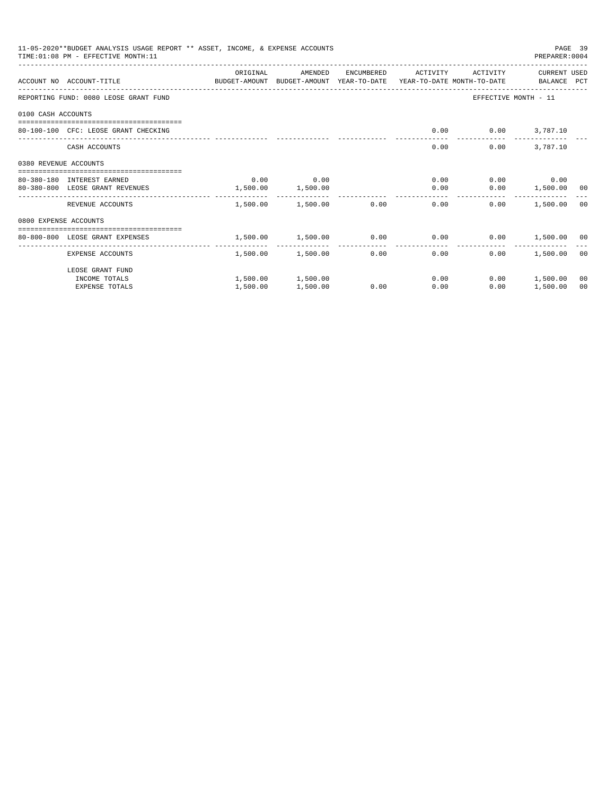|                       | 11-05-2020**BUDGET ANALYSIS USAGE REPORT ** ASSET, INCOME, & EXPENSE ACCOUNTS<br>TIME: 01:08 PM - EFFECTIVE MONTH: 11 |          |                        |              |                                                             |                          | PAGE 39<br>PREPARER: 0004 |    |
|-----------------------|-----------------------------------------------------------------------------------------------------------------------|----------|------------------------|--------------|-------------------------------------------------------------|--------------------------|---------------------------|----|
|                       |                                                                                                                       | ORIGINAL | AMENDED                | ENCUMBERED   | ACTIVITY                                                    | ACTIVITY                 | CURRENT USED              |    |
|                       | ACCOUNT NO ACCOUNT-TITLE COMPUTE BUDGET-AMOUNT BUDGET-AMOUNT YEAR-TO-DATE YEAR-TO-DATE MONTH-TO-DATE BALANCE PCT      |          |                        |              |                                                             |                          |                           |    |
|                       | REPORTING FUND: 0080 LEOSE GRANT FUND                                                                                 |          |                        |              |                                                             | EFFECTIVE MONTH - 11     |                           |    |
| 0100 CASH ACCOUNTS    |                                                                                                                       |          |                        |              |                                                             |                          |                           |    |
|                       | 80-100-100 CFC: LEOSE GRANT CHECKING                                                                                  |          |                        |              |                                                             | $0.00$ $0.00$ $3,787.10$ |                           |    |
|                       | CASH ACCOUNTS                                                                                                         |          |                        |              | 0.00                                                        | 0.00                     | 3,787.10                  |    |
| 0380 REVENUE ACCOUNTS |                                                                                                                       |          |                        |              |                                                             |                          |                           |    |
|                       | 80-380-180 INTEREST EARNED                                                                                            | 0.00     | 0.00                   |              | 0.00                                                        |                          | $0.00$ 0.00               |    |
|                       | 80-380-800 LEOSE GRANT REVENUES                                                                                       | 1,500.00 | 1,500.00               |              | 0.00                                                        |                          | $0.00$ 1,500.00 00        |    |
|                       | REVENUE ACCOUNTS                                                                                                      |          | 1,500.00 1,500.00 0.00 |              | 0.00                                                        | 0.00                     | 1,500.00 00               |    |
| 0800 EXPENSE ACCOUNTS |                                                                                                                       |          |                        |              |                                                             |                          |                           |    |
|                       | ------------------------------------<br>80-800-800 LEOSE GRANT EXPENSES                                               |          |                        |              | $1,500.00$ $1,500.00$ $0.00$ $0.00$ $0.00$ $1,500.00$ $0.0$ |                          |                           |    |
|                       |                                                                                                                       | -------- | ------------           | ------------ | --------------                                              |                          |                           |    |
|                       | EXPENSE ACCOUNTS                                                                                                      |          | 1,500.00 1,500.00      |              | 0.00<br>0.00                                                | 0.00                     | 1,500.00 00               |    |
|                       | LEOSE GRANT FUND                                                                                                      |          |                        |              |                                                             |                          |                           |    |
|                       | INCOME TOTALS                                                                                                         |          | 1,500.00 1,500.00      |              | 0.00                                                        |                          | $0.00$ 1,500.00           | 00 |
|                       | <b>EXPENSE TOTALS</b>                                                                                                 | 1,500.00 | 1,500.00               | 0.00         | 0.00                                                        | 0.00                     | 1,500.00                  | 00 |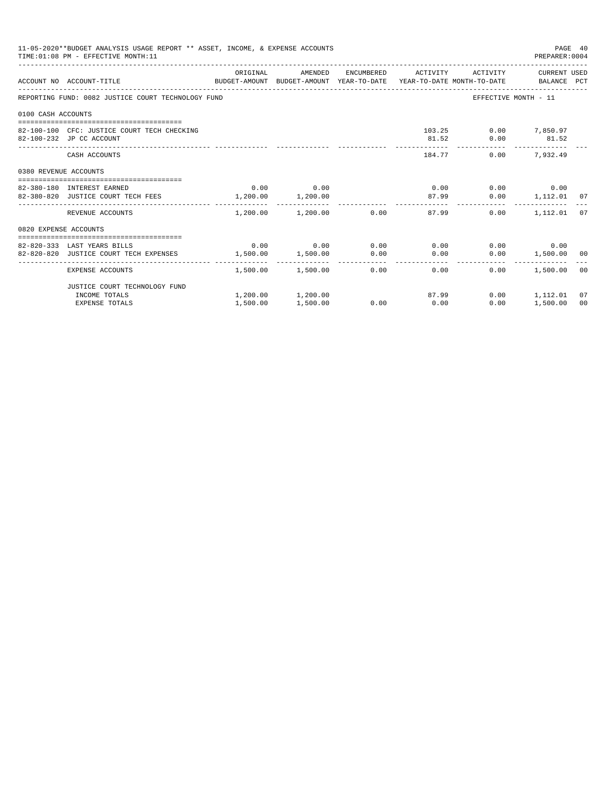|                       | 11-05-2020**BUDGET ANALYSIS USAGE REPORT ** ASSET, INCOME, & EXPENSE ACCOUNTS<br>TIME: 01:08 PM - EFFECTIVE MONTH: 11 |                   |                                    |             |      |                                       | PREPARER: 0004                            | PAGE 40        |
|-----------------------|-----------------------------------------------------------------------------------------------------------------------|-------------------|------------------------------------|-------------|------|---------------------------------------|-------------------------------------------|----------------|
|                       | ACCOUNT NO ACCOUNT-TITLE CONTROL SUDGET-AMOUNT BUDGET-AMOUNT YEAR-TO-DATE YEAR-TO-DATE MONTH-TO-DATE BALANCE PCT      | ORIGINAL          | AMENDED                            |             |      |                                       | ENCUMBERED ACTIVITY ACTIVITY CURRENT USED |                |
|                       | REPORTING FUND: 0082 JUSTICE COURT TECHNOLOGY FUND                                                                    |                   |                                    |             |      |                                       | EFFECTIVE MONTH - 11                      |                |
| 0100 CASH ACCOUNTS    |                                                                                                                       |                   |                                    |             |      |                                       |                                           |                |
|                       | 82-100-100 CFC: JUSTICE COURT TECH CHECKING<br>82-100-232 JP CC ACCOUNT                                               |                   |                                    |             |      |                                       | 103.25 0.00 7,850.97<br>81.52 0.00 81.52  |                |
|                       | CASH ACCOUNTS                                                                                                         |                   |                                    |             |      | -------------<br>184.77 0.00 7.932.49 | -------------                             |                |
| 0380 REVENUE ACCOUNTS |                                                                                                                       |                   |                                    |             |      |                                       |                                           |                |
|                       | 82-380-180 INTEREST EARNED                                                                                            |                   | $0.00$ 0.00                        |             |      |                                       | $0.00$ $0.00$ $0.00$ $0.00$               |                |
|                       | 82-380-820 JUSTICE COURT TECH FEES 1,200.00 1,200.00                                                                  |                   |                                    |             |      | 87.99                                 | $0.00$ 1,112.01 07                        |                |
|                       | REVENUE ACCOUNTS                                                                                                      |                   | $1,200.00$ $1,200.00$ 0.00         |             |      | 87.99                                 | $0.00$ 1.112.01                           | 07             |
| 0820 EXPENSE ACCOUNTS |                                                                                                                       |                   |                                    |             |      |                                       |                                           |                |
|                       |                                                                                                                       |                   |                                    |             |      |                                       |                                           |                |
|                       | 82-820-333 LAST YEARS BILLS<br>82-820-820 JUSTICE COURT TECH EXPENSES                                                 | 1,500.00 1,500.00 | $0.00$ $0.00$ $0.00$ $0.00$ $0.00$ |             |      |                                       | $0.00$ 0.00<br>$0.00$ 1,500.00 00         |                |
|                       |                                                                                                                       |                   |                                    | $0.00$ 0.00 |      |                                       |                                           |                |
|                       | EXPENSE ACCOUNTS                                                                                                      |                   | $1,500.00$ $1,500.00$ $0.00$       |             |      | 0.00                                  | 0.00<br>1,500.00 00                       |                |
|                       | JUSTICE COURT TECHNOLOGY FUND                                                                                         |                   |                                    |             |      |                                       |                                           |                |
|                       | INCOME TOTALS                                                                                                         |                   | 1,200.00 1,200.00                  |             |      | 87.99                                 | $0.00$ 1,112.01                           | 07             |
|                       | <b>EXPENSE TOTALS</b>                                                                                                 | 1,500.00          | 1,500.00                           | 0.00        | 0.00 |                                       | $0.00$ 1,500.00                           | 0 <sup>0</sup> |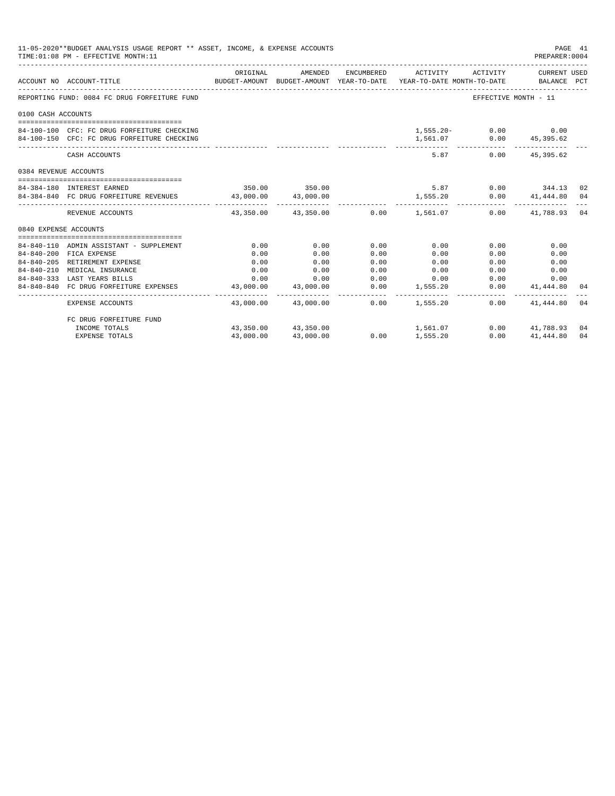|                            | 11-05-2020**BUDGET ANALYSIS USAGE REPORT ** ASSET, INCOME, & EXPENSE ACCOUNTS<br>TIME: 01:08 PM - EFFECTIVE MONTH: 11 |           |                                           |      |                 |                                                                                                                              | PAGE 41<br>PREPARER: 0004             |    |
|----------------------------|-----------------------------------------------------------------------------------------------------------------------|-----------|-------------------------------------------|------|-----------------|------------------------------------------------------------------------------------------------------------------------------|---------------------------------------|----|
|                            | ACCOUNT NO ACCOUNT-TITLE                                                                                              | ORIGINAL  | AMENDED                                   |      |                 | ENCUMBERED ACTIVITY ACTIVITY CURRENT USED<br>BUDGET-AMOUNT BUDGET-AMOUNT YEAR-TO-DATE YEAR-TO-DATE MONTH-TO-DATE BALANCE PCT |                                       |    |
|                            | REPORTING FUND: 0084 FC DRUG FORFEITURE FUND                                                                          |           |                                           |      |                 | EFFECTIVE MONTH - 11                                                                                                         |                                       |    |
| 0100 CASH ACCOUNTS         |                                                                                                                       |           |                                           |      |                 |                                                                                                                              |                                       |    |
|                            |                                                                                                                       |           |                                           |      |                 |                                                                                                                              |                                       |    |
|                            | 84-100-100 CFC: FC DRUG FORFEITURE CHECKING                                                                           |           |                                           |      |                 | $1,555.20 - 0.00$ 0.00                                                                                                       |                                       |    |
|                            | 84-100-150 CFC: FC DRUG FORFEITURE CHECKING                                                                           |           |                                           |      |                 | 1,561.07   0.00   45,395.62<br>------------ -------------                                                                    |                                       |    |
|                            | CASH ACCOUNTS                                                                                                         |           |                                           |      |                 | 5.87                                                                                                                         | $0.00$ 45,395.62                      |    |
| 0384 REVENUE ACCOUNTS      |                                                                                                                       |           |                                           |      |                 |                                                                                                                              |                                       |    |
|                            |                                                                                                                       |           | 350.00 350.00                             |      | 5.87            |                                                                                                                              | $0.00$ 344.13 02                      |    |
| 84-384-180 INTEREST EARNED | 84-384-840 FC DRUG FORFEITURE REVENUES 43,000.00 43,000.00                                                            |           |                                           |      | 1,555.20        |                                                                                                                              |                                       |    |
|                            |                                                                                                                       |           |                                           |      |                 |                                                                                                                              | $0.00$ $41,444.80$ $04$               |    |
|                            | REVENUE ACCOUNTS                                                                                                      |           | $43.350.00$ $43.350.00$ $0.00$ $1.561.07$ |      |                 |                                                                                                                              | $0.00$ $41,788.93$ 04                 |    |
| 0840 EXPENSE ACCOUNTS      |                                                                                                                       |           |                                           |      |                 |                                                                                                                              |                                       |    |
|                            |                                                                                                                       |           |                                           |      |                 |                                                                                                                              |                                       |    |
|                            | 84-840-110 ADMIN ASSISTANT - SUPPLEMENT                                                                               | 0.00      | 0.00                                      | 0.00 | 0.00            | 0.00                                                                                                                         | 0.00                                  |    |
|                            | 84-840-200 FICA EXPENSE                                                                                               | 0.00      | 0.00                                      | 0.00 | 0.00            | 0.00                                                                                                                         | 0.00                                  |    |
|                            | 84-840-205 RETIREMENT EXPENSE                                                                                         | 0.00      | 0.00                                      | 0.00 | 0.00            | 0.00                                                                                                                         | 0.00                                  |    |
| $84 - 840 - 210$           | MEDICAL INSURANCE                                                                                                     | 0.00      | 0.00                                      | 0.00 | 0.00            |                                                                                                                              | $0.00$ and $0.00$<br>0.00             |    |
|                            | 84-840-333 LAST YEARS BILLS                                                                                           |           | $0.00$ $0.00$                             | 0.00 | 0.00            | 0.00                                                                                                                         | 0.00                                  |    |
|                            | 84-840-840 FC DRUG FORFEITURE EXPENSES                                                                                |           | 43,000.00 43,000.00                       |      | $0.00$ 1,555.20 | ---------------                                                                                                              | $0.00$ $41,444.80$ 04<br>____________ |    |
|                            | EXPENSE ACCOUNTS                                                                                                      |           | 43,000.00  43,000.00  0.00  1,555.20      |      |                 | 0.00                                                                                                                         | 41,444.80                             | 04 |
|                            | FC DRUG FORFEITURE FUND                                                                                               |           |                                           |      |                 |                                                                                                                              |                                       |    |
|                            | INCOME TOTALS                                                                                                         |           | 43,350.00 43,350.00                       |      | 1,561.07        |                                                                                                                              | $0.00$ $41.788.93$                    | 04 |
|                            | <b>EXPENSE TOTALS</b>                                                                                                 | 43,000.00 | 43,000.00                                 | 0.00 | 1,555.20        | 0.00                                                                                                                         | 41,444.80                             | 04 |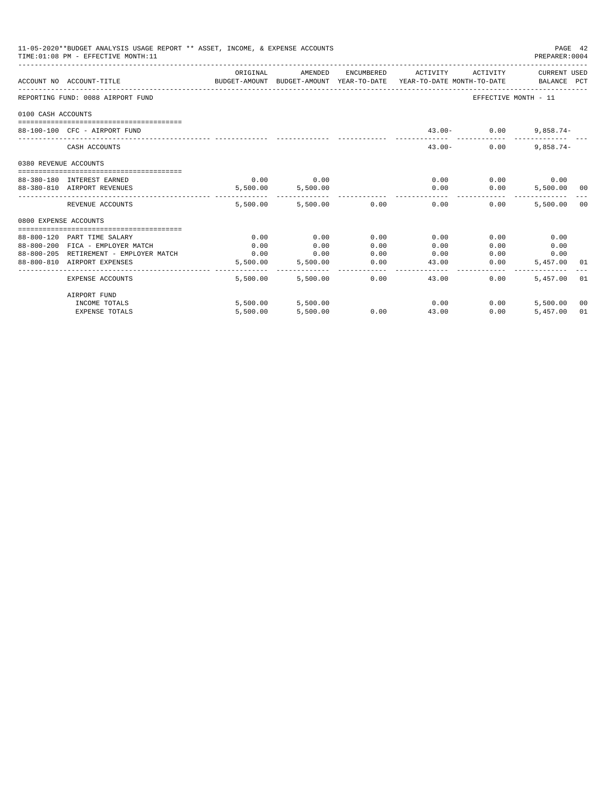|                       | 11-05-2020**BUDGET ANALYSIS USAGE REPORT ** ASSET, INCOME, & EXPENSE ACCOUNTS<br>TIME: 01:08 PM - EFFECTIVE MONTH: 11 |                                                                                             |                              |              |                                           |                                      | PAGE 42<br>PREPARER: 0004 |    |
|-----------------------|-----------------------------------------------------------------------------------------------------------------------|---------------------------------------------------------------------------------------------|------------------------------|--------------|-------------------------------------------|--------------------------------------|---------------------------|----|
|                       | ACCOUNT NO ACCOUNT-TITLE                                                                                              | ORIGINAL<br>BUDGET-AMOUNT BUDGET-AMOUNT YEAR-TO-DATE YEAR-TO-DATE MONTH-TO-DATE BALANCE PCT | AMENDED                      |              | ENCUMBERED ACTIVITY ACTIVITY CURRENT USED |                                      |                           |    |
|                       | REPORTING FUND: 0088 AIRPORT FUND                                                                                     |                                                                                             |                              |              |                                           | EFFECTIVE MONTH - 11                 |                           |    |
| 0100 CASH ACCOUNTS    |                                                                                                                       |                                                                                             |                              |              |                                           |                                      |                           |    |
|                       | 88-100-100 CFC - AIRPORT FUND                                                                                         |                                                                                             |                              |              |                                           | $43.00 - 0.00$                       | $9,858.74-$               |    |
|                       | CASH ACCOUNTS                                                                                                         |                                                                                             |                              |              | $43.00 -$                                 | 0.00                                 | $9.858.74 -$              |    |
| 0380 REVENUE ACCOUNTS |                                                                                                                       |                                                                                             |                              |              |                                           |                                      |                           |    |
|                       | 88-380-180 INTEREST EARNED                                                                                            | 0.00                                                                                        | 0.00                         |              | 0.00                                      | $0.00$ 0.00                          |                           |    |
|                       | 88-380-810 AIRPORT REVENUES                                                                                           |                                                                                             | 5,500.00 5,500.00            |              | 0.00                                      | 0.00                                 | 5,500.00 00               |    |
|                       | REVENUE ACCOUNTS                                                                                                      |                                                                                             | $5.500.00$ $5.500.00$ $0.00$ |              | ------------<br>0.00                      | ____________________________<br>0.00 | 5,500.00 00               |    |
| 0800 EXPENSE ACCOUNTS |                                                                                                                       |                                                                                             |                              |              |                                           |                                      |                           |    |
|                       |                                                                                                                       |                                                                                             |                              |              |                                           |                                      |                           |    |
|                       | 88-800-120 PART TIME SALARY                                                                                           | 0.00                                                                                        | 0.00                         | 0.00         | 0.00                                      | 0.00                                 | 0.00                      |    |
|                       | 88-800-200 FICA - EMPLOYER MATCH<br>88-800-205 RETIREMENT - EMPLOYER MATCH                                            | 0.00<br>0.00                                                                                | 0.00<br>0.00                 | 0.00<br>0.00 | 0.00<br>0.00                              | 0.00<br>0.00                         | 0.00<br>0.00              |    |
|                       | 88-800-810 AIRPORT EXPENSES                                                                                           |                                                                                             | 5,500.00 5,500.00            | 0.00         | 43.00                                     | 0.00                                 | 5,457.00 01               |    |
|                       | EXPENSE ACCOUNTS                                                                                                      | 5,500.00                                                                                    | 5,500.00                     | 0.00         | -------------<br>43.00                    | $0.00 -$                             | 5,457.00 01               |    |
|                       | AIRPORT FUND                                                                                                          |                                                                                             |                              |              |                                           |                                      |                           |    |
|                       | INCOME TOTALS                                                                                                         |                                                                                             | 5,500.00 5,500.00            |              | 0.00                                      | 0.00                                 | 5,500.00 00               |    |
|                       | <b>EXPENSE TOTALS</b>                                                                                                 | 5,500.00                                                                                    | 5,500.00                     | 0.00         | 43.00                                     | 0.00                                 | 5,457.00                  | 01 |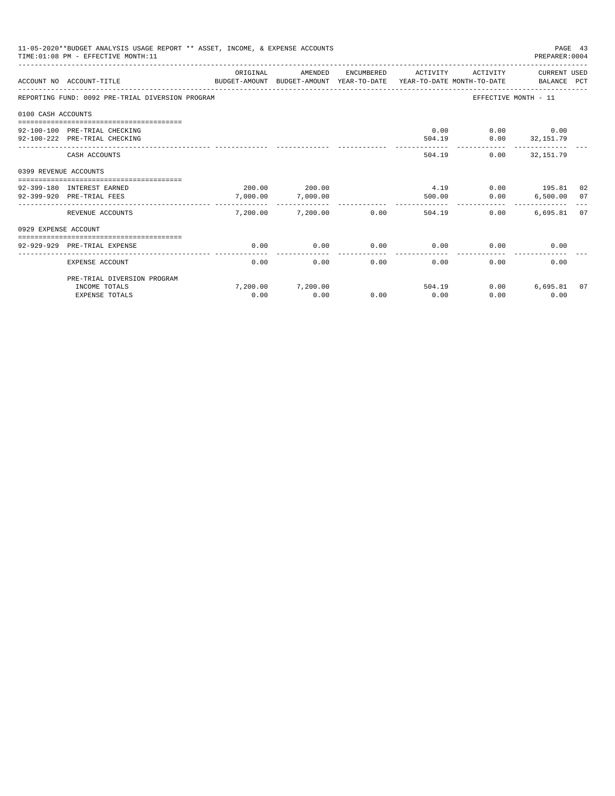|                       | 11-05-2020**BUDGET ANALYSIS USAGE REPORT ** ASSET, INCOME, & EXPENSE ACCOUNTS<br>TIME: 01:08 PM - EFFECTIVE MONTH: 11 |          |                           |            |                |                | PREPARER: 0004                      | PAGE 43 |
|-----------------------|-----------------------------------------------------------------------------------------------------------------------|----------|---------------------------|------------|----------------|----------------|-------------------------------------|---------|
|                       | ACCOUNT NO ACCOUNT-TITLE<br>BUDGET-AMOUNT BUDGET-AMOUNT YEAR-TO-DATE YEAR-TO-DATE MONTH-TO-DATE BALANCE PCT           | ORIGINAL | AMENDED                   | ENCUMBERED | ACTIVITY       | ACTIVITY       | CURRENT USED                        |         |
|                       | REPORTING FUND: 0092 PRE-TRIAL DIVERSION PROGRAM                                                                      |          |                           |            |                |                | EFFECTIVE MONTH - 11                |         |
| 0100 CASH ACCOUNTS    |                                                                                                                       |          |                           |            |                |                |                                     |         |
|                       |                                                                                                                       |          |                           |            |                |                |                                     |         |
|                       | 92-100-100 PRE-TRIAL CHECKING                                                                                         |          |                           |            | 0.00           |                | $0.00$ 0.00                         |         |
|                       | 92-100-222 PRE-TRIAL CHECKING                                                                                         |          |                           |            | 504.19         |                | $0.00$ $32,151.79$<br>------------- |         |
|                       | CASH ACCOUNTS                                                                                                         |          |                           |            |                | 504.19         | $0.00$ $32.151.79$                  |         |
| 0399 REVENUE ACCOUNTS |                                                                                                                       |          |                           |            |                |                |                                     |         |
|                       |                                                                                                                       |          |                           |            |                |                |                                     |         |
|                       | 92-399-180 INTEREST EARNED<br>92-399-920 PRE-TRIAL FEES                                                               | 7,000.00 | 200.00 200.00<br>7,000.00 |            | 4.19<br>500.00 |                | $0.00$ 195.81 02                    |         |
|                       |                                                                                                                       | -------- |                           |            |                |                | 0.00<br>6,500.00 07                 |         |
|                       | REVENUE ACCOUNTS                                                                                                      |          | 7,200.00 7,200.00         | 0.00       |                | 0.00<br>504.19 | 6,695.81 07                         |         |
| 0929 EXPENSE ACCOUNT  |                                                                                                                       |          |                           |            |                |                |                                     |         |
|                       |                                                                                                                       |          |                           |            |                |                |                                     |         |
|                       | 92-929-929 PRE-TRIAL EXPENSE                                                                                          | 0.00     | 0.00                      | 0.00       | 0.00           | 0.00           | 0.00                                |         |
|                       | EXPENSE ACCOUNT                                                                                                       | 0.00     | 0.00                      | $0.00 -$   | 0.00           | 0.00           | 0.00                                |         |
|                       | PRE-TRIAL DIVERSION PROGRAM                                                                                           |          |                           |            |                |                |                                     |         |
|                       | INCOME TOTALS                                                                                                         |          | 7,200.00 7,200.00         |            | 504.19         |                | 0.00<br>6,695.81 07                 |         |
|                       | <b>EXPENSE TOTALS</b>                                                                                                 | 0.00     | 0.00                      | 0.00       | 0.00           | 0.00           | 0.00                                |         |